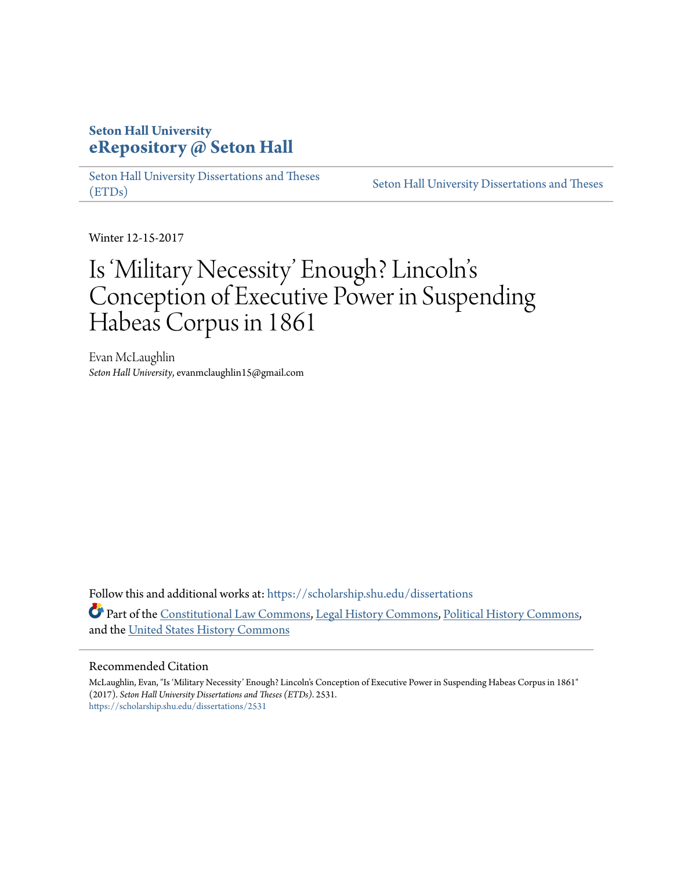## **Seton Hall University [eRepository @ Seton Hall](https://scholarship.shu.edu?utm_source=scholarship.shu.edu%2Fdissertations%2F2531&utm_medium=PDF&utm_campaign=PDFCoverPages)**

[Seton Hall University Dissertations and Theses](https://scholarship.shu.edu/dissertations?utm_source=scholarship.shu.edu%2Fdissertations%2F2531&utm_medium=PDF&utm_campaign=PDFCoverPages) [\(ETDs\)](https://scholarship.shu.edu/dissertations?utm_source=scholarship.shu.edu%2Fdissertations%2F2531&utm_medium=PDF&utm_campaign=PDFCoverPages)

[Seton Hall University Dissertations and Theses](https://scholarship.shu.edu/etds?utm_source=scholarship.shu.edu%2Fdissertations%2F2531&utm_medium=PDF&utm_campaign=PDFCoverPages)

Winter 12-15-2017

# Is 'Military Necessity' Enough? Lincoln' s Conception of Executive Power in Suspending Habeas Corpus in 1861

Evan McLaughlin *Seton Hall University*, evanmclaughlin15@gmail.com

Follow this and additional works at: [https://scholarship.shu.edu/dissertations](https://scholarship.shu.edu/dissertations?utm_source=scholarship.shu.edu%2Fdissertations%2F2531&utm_medium=PDF&utm_campaign=PDFCoverPages) Part of the [Constitutional Law Commons,](http://network.bepress.com/hgg/discipline/589?utm_source=scholarship.shu.edu%2Fdissertations%2F2531&utm_medium=PDF&utm_campaign=PDFCoverPages) [Legal History Commons,](http://network.bepress.com/hgg/discipline/904?utm_source=scholarship.shu.edu%2Fdissertations%2F2531&utm_medium=PDF&utm_campaign=PDFCoverPages) [Political History Commons](http://network.bepress.com/hgg/discipline/505?utm_source=scholarship.shu.edu%2Fdissertations%2F2531&utm_medium=PDF&utm_campaign=PDFCoverPages), and the [United States History Commons](http://network.bepress.com/hgg/discipline/495?utm_source=scholarship.shu.edu%2Fdissertations%2F2531&utm_medium=PDF&utm_campaign=PDFCoverPages)

#### Recommended Citation

McLaughlin, Evan, "Is 'Military Necessity' Enough? Lincoln's Conception of Executive Power in Suspending Habeas Corpus in 1861" (2017). *Seton Hall University Dissertations and Theses (ETDs)*. 2531. [https://scholarship.shu.edu/dissertations/2531](https://scholarship.shu.edu/dissertations/2531?utm_source=scholarship.shu.edu%2Fdissertations%2F2531&utm_medium=PDF&utm_campaign=PDFCoverPages)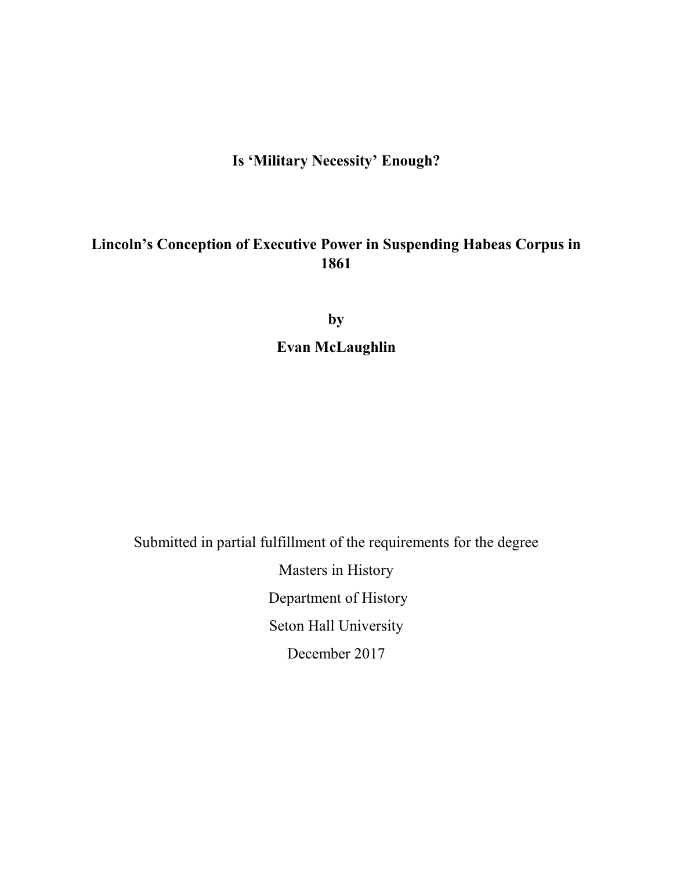## **Is 'Military Necessity' Enough?**

## **Lincoln's Conception of Executive Power in Suspending Habeas Corpus in 1861**

**by Evan McLaughlin** 

Submitted in partial fulfillment of the requirements for the degree

Masters in History Department of History Seton Hall University December 2017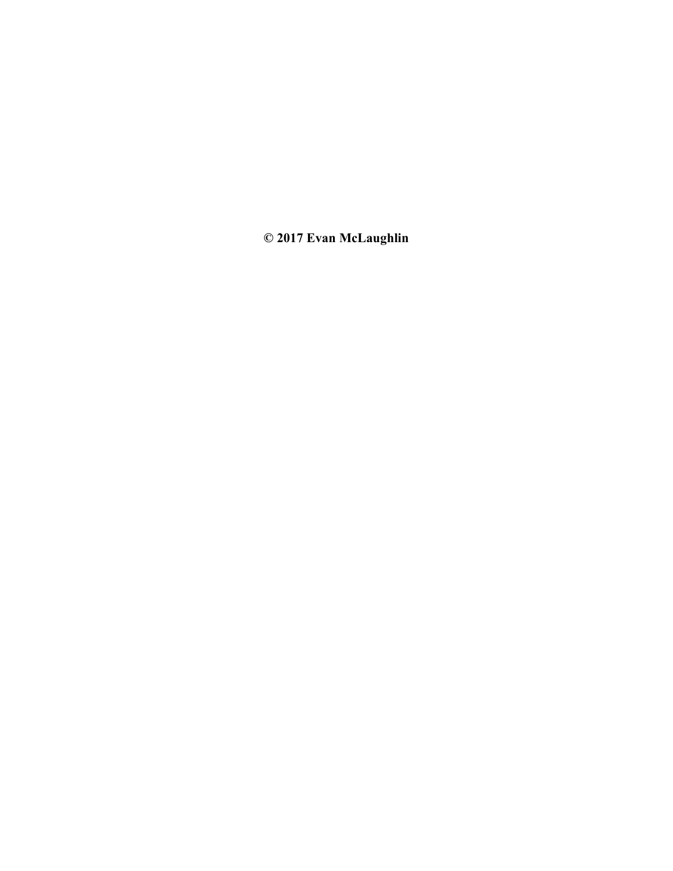**© 2017 Evan McLaughlin**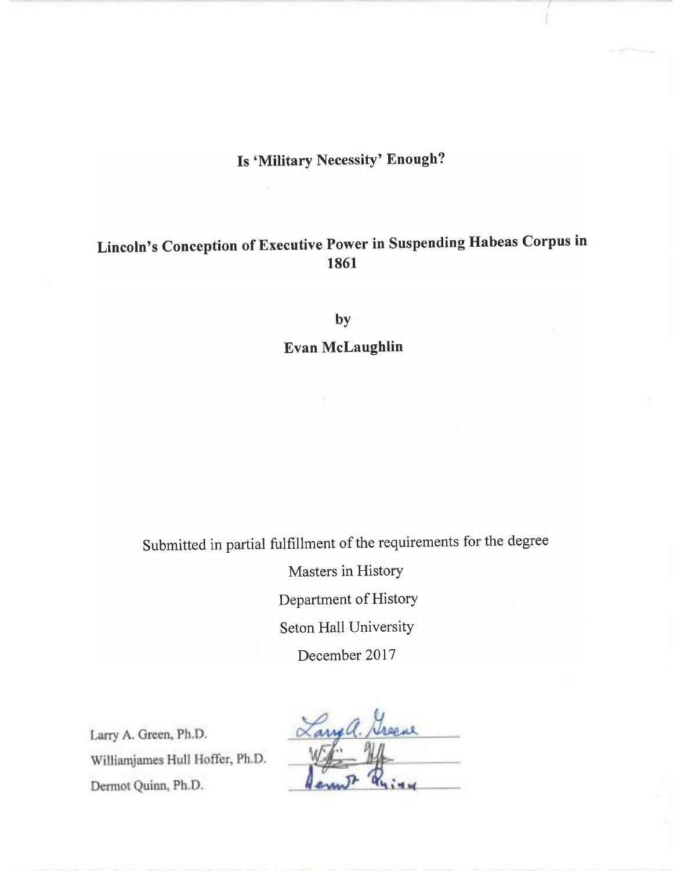# Is 'Military Necessity' Enough?

# Lincoln's Conception of Executive Power in Suspending Habeas Corpus in 1861

by

Evan McLaughlin

Submitted in partial fulfillment of the requirements for the degree

Masters in History Department of History Seton Hall University December 2017

Larry A. Green, Ph.D. Williamjames Hull Hoffer, Ph.D. Dermot Quinn, Ph.D.

Larrya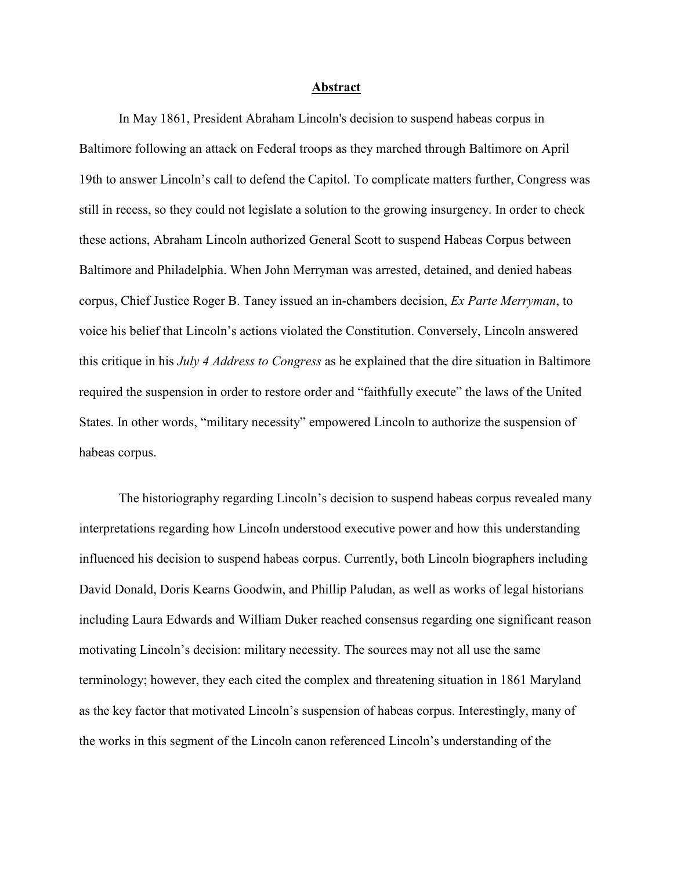#### **Abstract**

In May 1861, President Abraham Lincoln's decision to suspend habeas corpus in Baltimore following an attack on Federal troops as they marched through Baltimore on April 19th to answer Lincoln's call to defend the Capitol. To complicate matters further, Congress was still in recess, so they could not legislate a solution to the growing insurgency. In order to check these actions, Abraham Lincoln authorized General Scott to suspend Habeas Corpus between Baltimore and Philadelphia. When John Merryman was arrested, detained, and denied habeas corpus, Chief Justice Roger B. Taney issued an in-chambers decision, *Ex Parte Merryman*, to voice his belief that Lincoln's actions violated the Constitution. Conversely, Lincoln answered this critique in his *July 4 Address to Congress* as he explained that the dire situation in Baltimore required the suspension in order to restore order and "faithfully execute" the laws of the United States. In other words, "military necessity" empowered Lincoln to authorize the suspension of habeas corpus.

The historiography regarding Lincoln's decision to suspend habeas corpus revealed many interpretations regarding how Lincoln understood executive power and how this understanding influenced his decision to suspend habeas corpus. Currently, both Lincoln biographers including David Donald, Doris Kearns Goodwin, and Phillip Paludan, as well as works of legal historians including Laura Edwards and William Duker reached consensus regarding one significant reason motivating Lincoln's decision: military necessity. The sources may not all use the same terminology; however, they each cited the complex and threatening situation in 1861 Maryland as the key factor that motivated Lincoln's suspension of habeas corpus. Interestingly, many of the works in this segment of the Lincoln canon referenced Lincoln's understanding of the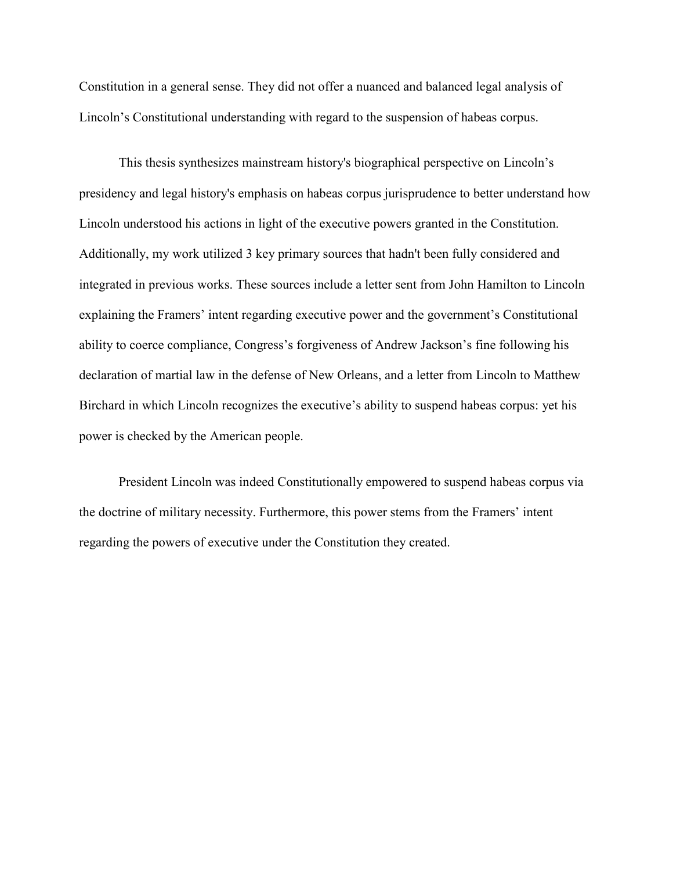Constitution in a general sense. They did not offer a nuanced and balanced legal analysis of Lincoln's Constitutional understanding with regard to the suspension of habeas corpus.

This thesis synthesizes mainstream history's biographical perspective on Lincoln's presidency and legal history's emphasis on habeas corpus jurisprudence to better understand how Lincoln understood his actions in light of the executive powers granted in the Constitution. Additionally, my work utilized 3 key primary sources that hadn't been fully considered and integrated in previous works. These sources include a letter sent from John Hamilton to Lincoln explaining the Framers' intent regarding executive power and the government's Constitutional ability to coerce compliance, Congress's forgiveness of Andrew Jackson's fine following his declaration of martial law in the defense of New Orleans, and a letter from Lincoln to Matthew Birchard in which Lincoln recognizes the executive's ability to suspend habeas corpus: yet his power is checked by the American people.

President Lincoln was indeed Constitutionally empowered to suspend habeas corpus via the doctrine of military necessity. Furthermore, this power stems from the Framers' intent regarding the powers of executive under the Constitution they created.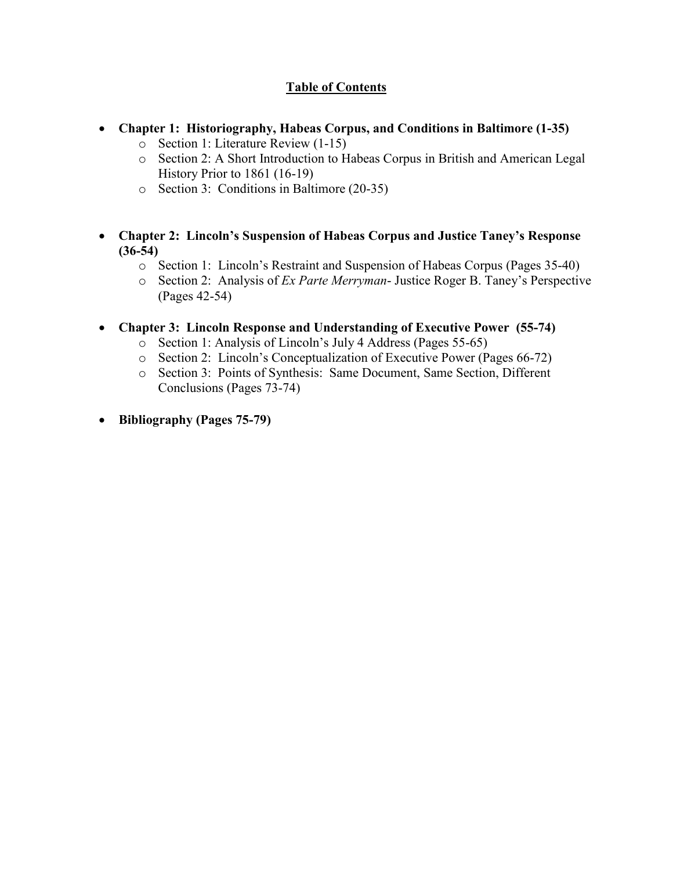### **Table of Contents**

- **Chapter 1: Historiography, Habeas Corpus, and Conditions in Baltimore (1-35)** 
	- o Section 1: Literature Review (1-15)
	- o Section 2: A Short Introduction to Habeas Corpus in British and American Legal History Prior to 1861 (16-19)
	- o Section 3: Conditions in Baltimore (20-35)
- **Chapter 2: Lincoln's Suspension of Habeas Corpus and Justice Taney's Response (36-54)** 
	- o Section 1: Lincoln's Restraint and Suspension of Habeas Corpus (Pages 35-40)
	- o Section 2: Analysis of *Ex Parte Merryman* Justice Roger B. Taney's Perspective (Pages 42-54)
- **Chapter 3: Lincoln Response and Understanding of Executive Power (55-74)** 
	- o Section 1: Analysis of Lincoln's July 4 Address (Pages 55-65)
	- o Section 2: Lincoln's Conceptualization of Executive Power (Pages 66-72)
	- o Section 3: Points of Synthesis: Same Document, Same Section, Different Conclusions (Pages 73-74)
- **Bibliography (Pages 75-79)**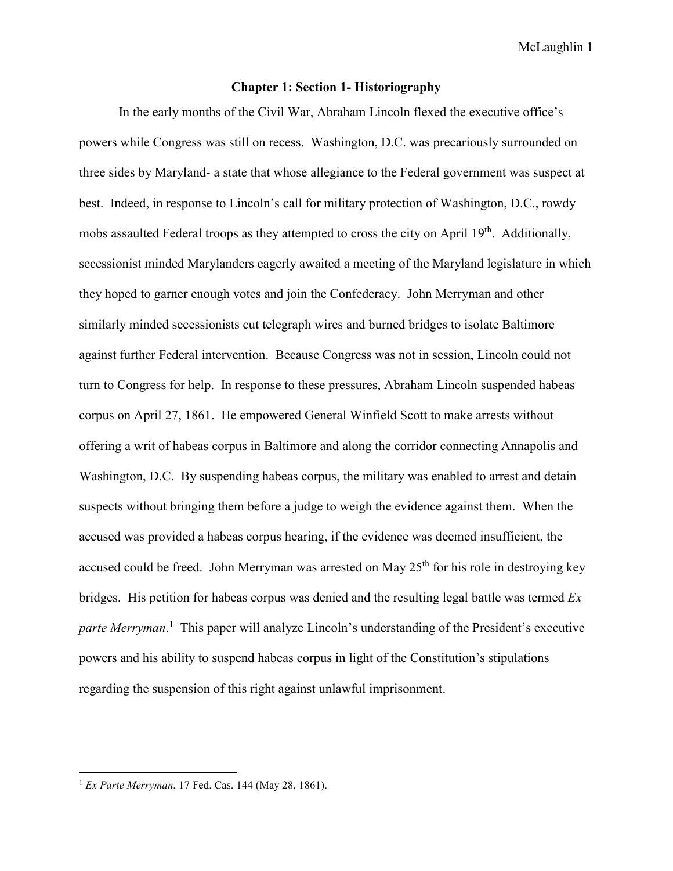### **Chapter 1: Section 1- Historiography**

 In the early months of the Civil War, Abraham Lincoln flexed the executive office's powers while Congress was still on recess. Washington, D.C. was precariously surrounded on three sides by Maryland- a state that whose allegiance to the Federal government was suspect at best. Indeed, in response to Lincoln's call for military protection of Washington, D.C., rowdy mobs assaulted Federal troops as they attempted to cross the city on April 19<sup>th</sup>. Additionally, secessionist minded Marylanders eagerly awaited a meeting of the Maryland legislature in which they hoped to garner enough votes and join the Confederacy. John Merryman and other similarly minded secessionists cut telegraph wires and burned bridges to isolate Baltimore against further Federal intervention. Because Congress was not in session, Lincoln could not turn to Congress for help. In response to these pressures, Abraham Lincoln suspended habeas corpus on April 27, 1861. He empowered General Winfield Scott to make arrests without offering a writ of habeas corpus in Baltimore and along the corridor connecting Annapolis and Washington, D.C. By suspending habeas corpus, the military was enabled to arrest and detain suspects without bringing them before a judge to weigh the evidence against them. When the accused was provided a habeas corpus hearing, if the evidence was deemed insufficient, the accused could be freed. John Merryman was arrested on May  $25<sup>th</sup>$  for his role in destroying key bridges. His petition for habeas corpus was denied and the resulting legal battle was termed *Ex*  parte Merryman.<sup>1</sup> This paper will analyze Lincoln's understanding of the President's executive powers and his ability to suspend habeas corpus in light of the Constitution's stipulations regarding the suspension of this right against unlawful imprisonment.

<sup>1</sup> *Ex Parte Merryman*, 17 Fed. Cas. 144 (May 28, 1861).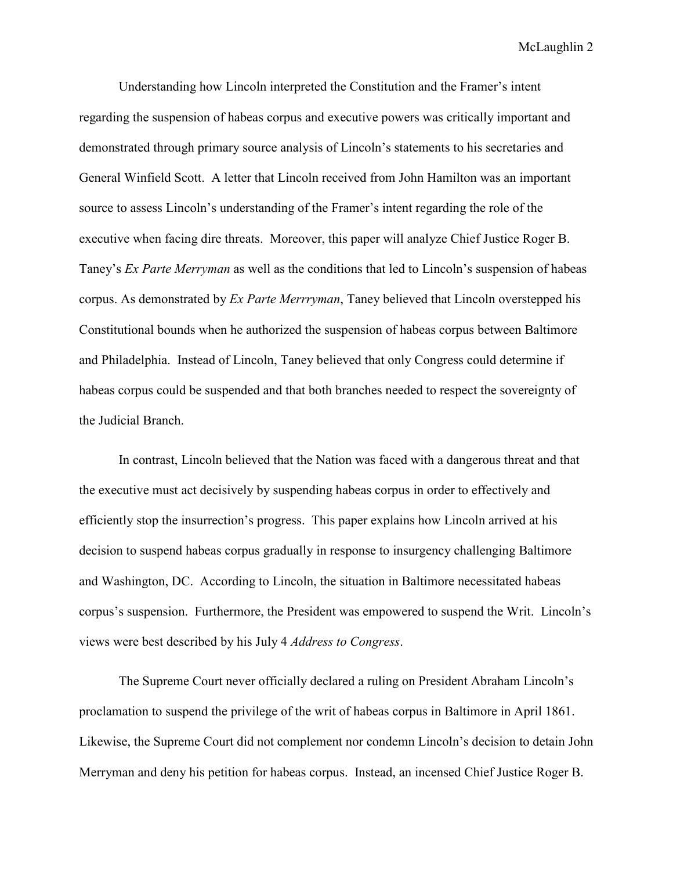Understanding how Lincoln interpreted the Constitution and the Framer's intent regarding the suspension of habeas corpus and executive powers was critically important and demonstrated through primary source analysis of Lincoln's statements to his secretaries and General Winfield Scott. A letter that Lincoln received from John Hamilton was an important source to assess Lincoln's understanding of the Framer's intent regarding the role of the executive when facing dire threats. Moreover, this paper will analyze Chief Justice Roger B. Taney's *Ex Parte Merryman* as well as the conditions that led to Lincoln's suspension of habeas corpus. As demonstrated by *Ex Parte Merrryman*, Taney believed that Lincoln overstepped his Constitutional bounds when he authorized the suspension of habeas corpus between Baltimore and Philadelphia. Instead of Lincoln, Taney believed that only Congress could determine if habeas corpus could be suspended and that both branches needed to respect the sovereignty of the Judicial Branch.

In contrast, Lincoln believed that the Nation was faced with a dangerous threat and that the executive must act decisively by suspending habeas corpus in order to effectively and efficiently stop the insurrection's progress. This paper explains how Lincoln arrived at his decision to suspend habeas corpus gradually in response to insurgency challenging Baltimore and Washington, DC. According to Lincoln, the situation in Baltimore necessitated habeas corpus's suspension. Furthermore, the President was empowered to suspend the Writ. Lincoln's views were best described by his July 4 *Address to Congress*.

The Supreme Court never officially declared a ruling on President Abraham Lincoln's proclamation to suspend the privilege of the writ of habeas corpus in Baltimore in April 1861. Likewise, the Supreme Court did not complement nor condemn Lincoln's decision to detain John Merryman and deny his petition for habeas corpus. Instead, an incensed Chief Justice Roger B.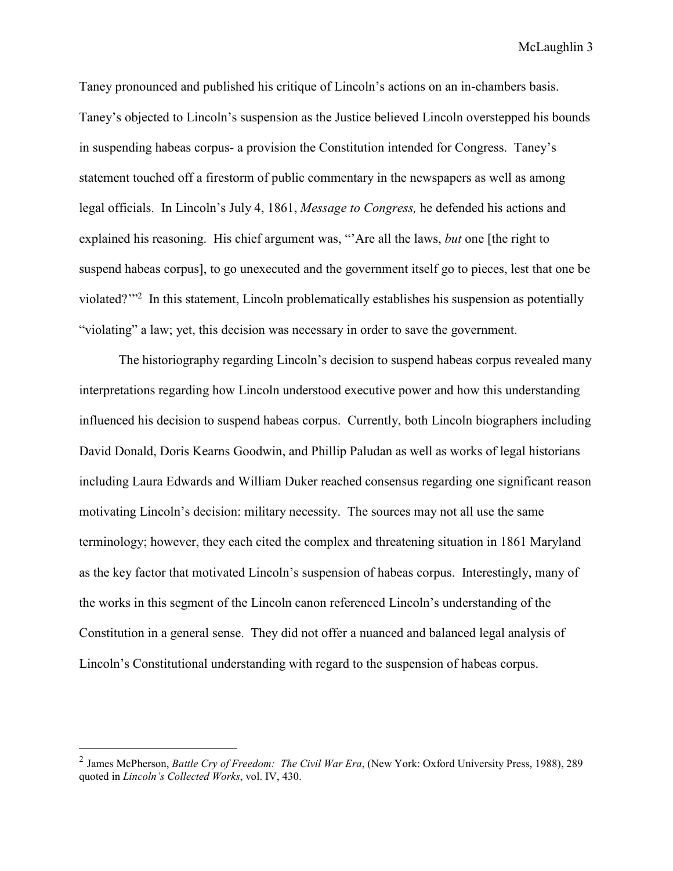Taney pronounced and published his critique of Lincoln's actions on an in-chambers basis. Taney's objected to Lincoln's suspension as the Justice believed Lincoln overstepped his bounds in suspending habeas corpus- a provision the Constitution intended for Congress. Taney's statement touched off a firestorm of public commentary in the newspapers as well as among legal officials. In Lincoln's July 4, 1861, *Message to Congress,* he defended his actions and explained his reasoning. His chief argument was, "'Are all the laws, *but* one [the right to suspend habeas corpus], to go unexecuted and the government itself go to pieces, lest that one be violated?"<sup>2</sup> In this statement, Lincoln problematically establishes his suspension as potentially "violating" a law; yet, this decision was necessary in order to save the government.

 The historiography regarding Lincoln's decision to suspend habeas corpus revealed many interpretations regarding how Lincoln understood executive power and how this understanding influenced his decision to suspend habeas corpus. Currently, both Lincoln biographers including David Donald, Doris Kearns Goodwin, and Phillip Paludan as well as works of legal historians including Laura Edwards and William Duker reached consensus regarding one significant reason motivating Lincoln's decision: military necessity. The sources may not all use the same terminology; however, they each cited the complex and threatening situation in 1861 Maryland as the key factor that motivated Lincoln's suspension of habeas corpus. Interestingly, many of the works in this segment of the Lincoln canon referenced Lincoln's understanding of the Constitution in a general sense. They did not offer a nuanced and balanced legal analysis of Lincoln's Constitutional understanding with regard to the suspension of habeas corpus.

<sup>2</sup> James McPherson, *Battle Cry of Freedom: The Civil War Era*, (New York: Oxford University Press, 1988), 289 quoted in *Lincoln's Collected Works*, vol. IV, 430.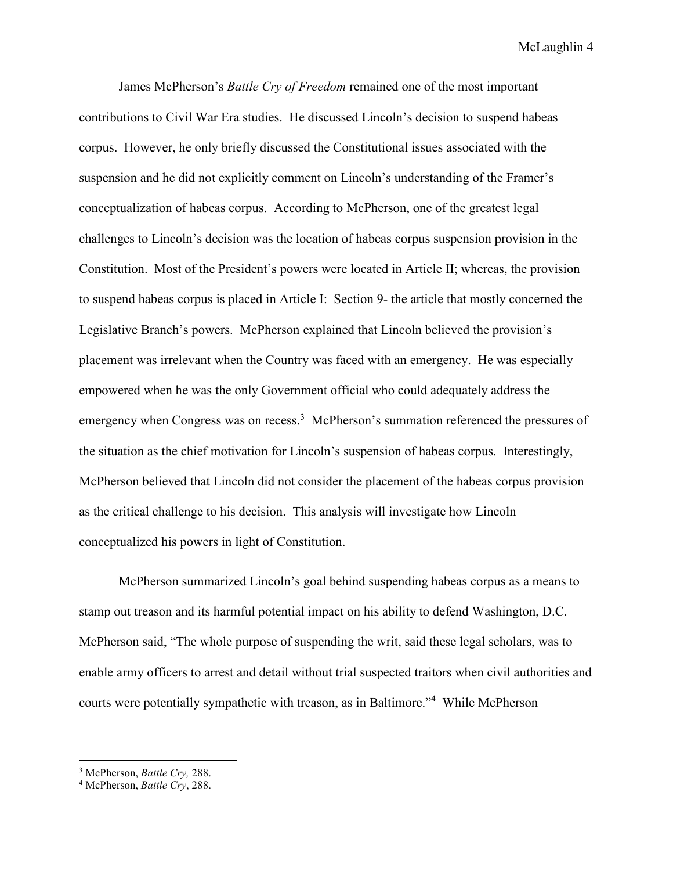James McPherson's *Battle Cry of Freedom* remained one of the most important contributions to Civil War Era studies. He discussed Lincoln's decision to suspend habeas corpus. However, he only briefly discussed the Constitutional issues associated with the suspension and he did not explicitly comment on Lincoln's understanding of the Framer's conceptualization of habeas corpus. According to McPherson, one of the greatest legal challenges to Lincoln's decision was the location of habeas corpus suspension provision in the Constitution. Most of the President's powers were located in Article II; whereas, the provision to suspend habeas corpus is placed in Article I: Section 9- the article that mostly concerned the Legislative Branch's powers. McPherson explained that Lincoln believed the provision's placement was irrelevant when the Country was faced with an emergency. He was especially empowered when he was the only Government official who could adequately address the emergency when Congress was on recess.<sup>3</sup> McPherson's summation referenced the pressures of the situation as the chief motivation for Lincoln's suspension of habeas corpus. Interestingly, McPherson believed that Lincoln did not consider the placement of the habeas corpus provision as the critical challenge to his decision. This analysis will investigate how Lincoln conceptualized his powers in light of Constitution.

McPherson summarized Lincoln's goal behind suspending habeas corpus as a means to stamp out treason and its harmful potential impact on his ability to defend Washington, D.C. McPherson said, "The whole purpose of suspending the writ, said these legal scholars, was to enable army officers to arrest and detail without trial suspected traitors when civil authorities and courts were potentially sympathetic with treason, as in Baltimore."<sup>4</sup> While McPherson

 $\overline{a}$ 

<sup>3</sup> McPherson, *Battle Cry,* 288.

<sup>4</sup> McPherson, *Battle Cry*, 288.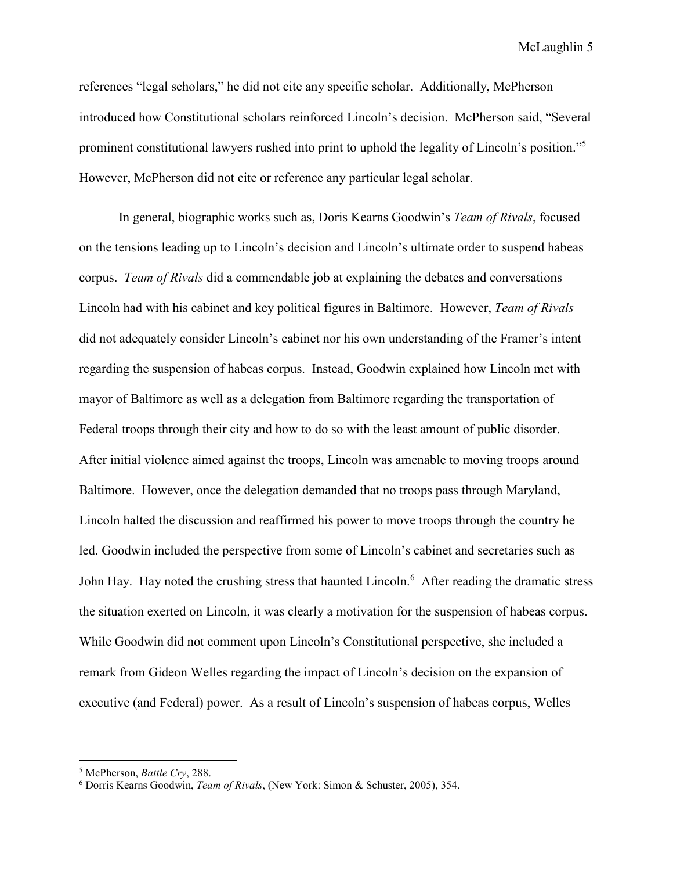references "legal scholars," he did not cite any specific scholar. Additionally, McPherson introduced how Constitutional scholars reinforced Lincoln's decision. McPherson said, "Several prominent constitutional lawyers rushed into print to uphold the legality of Lincoln's position."<sup>5</sup> However, McPherson did not cite or reference any particular legal scholar.

In general, biographic works such as, Doris Kearns Goodwin's *Team of Rivals*, focused on the tensions leading up to Lincoln's decision and Lincoln's ultimate order to suspend habeas corpus. *Team of Rivals* did a commendable job at explaining the debates and conversations Lincoln had with his cabinet and key political figures in Baltimore. However, *Team of Rivals* did not adequately consider Lincoln's cabinet nor his own understanding of the Framer's intent regarding the suspension of habeas corpus. Instead, Goodwin explained how Lincoln met with mayor of Baltimore as well as a delegation from Baltimore regarding the transportation of Federal troops through their city and how to do so with the least amount of public disorder. After initial violence aimed against the troops, Lincoln was amenable to moving troops around Baltimore. However, once the delegation demanded that no troops pass through Maryland, Lincoln halted the discussion and reaffirmed his power to move troops through the country he led. Goodwin included the perspective from some of Lincoln's cabinet and secretaries such as John Hay. Hay noted the crushing stress that haunted Lincoln.<sup>6</sup> After reading the dramatic stress the situation exerted on Lincoln, it was clearly a motivation for the suspension of habeas corpus. While Goodwin did not comment upon Lincoln's Constitutional perspective, she included a remark from Gideon Welles regarding the impact of Lincoln's decision on the expansion of executive (and Federal) power. As a result of Lincoln's suspension of habeas corpus, Welles

 $\overline{a}$ 

<sup>5</sup> McPherson, *Battle Cry*, 288.

<sup>6</sup> Dorris Kearns Goodwin, *Team of Rivals*, (New York: Simon & Schuster, 2005), 354.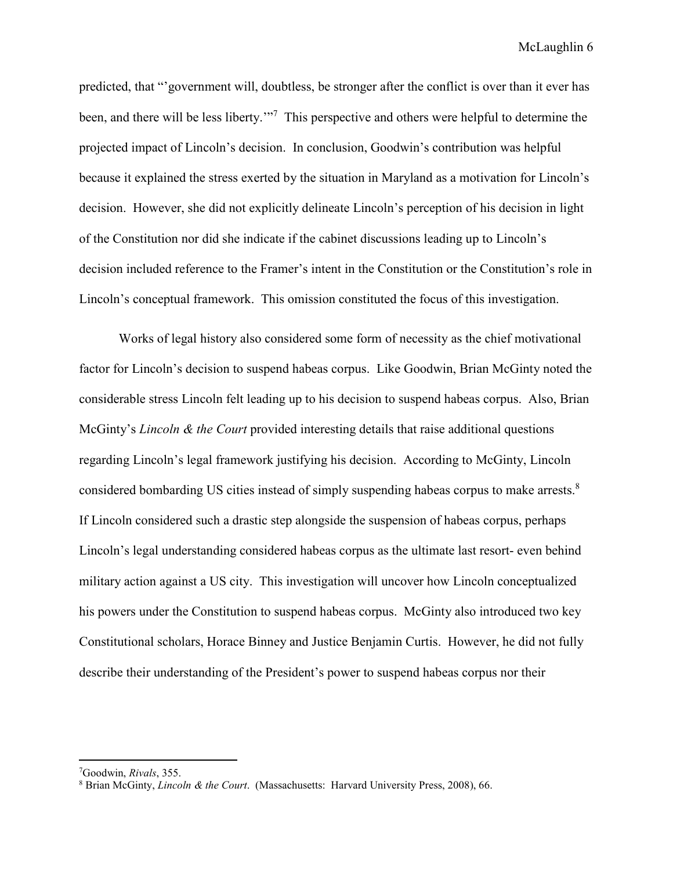predicted, that "'government will, doubtless, be stronger after the conflict is over than it ever has been, and there will be less liberty."<sup>7</sup> This perspective and others were helpful to determine the projected impact of Lincoln's decision. In conclusion, Goodwin's contribution was helpful because it explained the stress exerted by the situation in Maryland as a motivation for Lincoln's decision. However, she did not explicitly delineate Lincoln's perception of his decision in light of the Constitution nor did she indicate if the cabinet discussions leading up to Lincoln's decision included reference to the Framer's intent in the Constitution or the Constitution's role in Lincoln's conceptual framework. This omission constituted the focus of this investigation.

Works of legal history also considered some form of necessity as the chief motivational factor for Lincoln's decision to suspend habeas corpus. Like Goodwin, Brian McGinty noted the considerable stress Lincoln felt leading up to his decision to suspend habeas corpus. Also, Brian McGinty's *Lincoln & the Court* provided interesting details that raise additional questions regarding Lincoln's legal framework justifying his decision. According to McGinty, Lincoln considered bombarding US cities instead of simply suspending habeas corpus to make arrests.<sup>8</sup> If Lincoln considered such a drastic step alongside the suspension of habeas corpus, perhaps Lincoln's legal understanding considered habeas corpus as the ultimate last resort- even behind military action against a US city. This investigation will uncover how Lincoln conceptualized his powers under the Constitution to suspend habeas corpus. McGinty also introduced two key Constitutional scholars, Horace Binney and Justice Benjamin Curtis. However, he did not fully describe their understanding of the President's power to suspend habeas corpus nor their

<sup>7</sup>Goodwin, *Rivals*, 355.

<sup>8</sup> Brian McGinty, *Lincoln & the Court*. (Massachusetts: Harvard University Press, 2008), 66.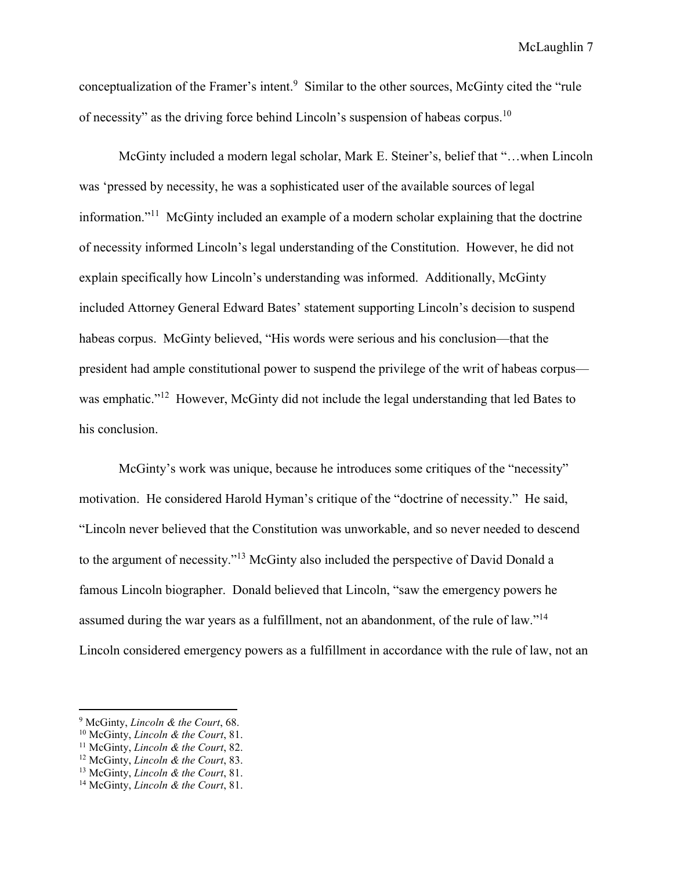conceptualization of the Framer's intent.<sup>9</sup> Similar to the other sources, McGinty cited the "rule" of necessity" as the driving force behind Lincoln's suspension of habeas corpus.<sup>10</sup>

McGinty included a modern legal scholar, Mark E. Steiner's, belief that "…when Lincoln was 'pressed by necessity, he was a sophisticated user of the available sources of legal information."<sup>11</sup> McGinty included an example of a modern scholar explaining that the doctrine of necessity informed Lincoln's legal understanding of the Constitution. However, he did not explain specifically how Lincoln's understanding was informed. Additionally, McGinty included Attorney General Edward Bates' statement supporting Lincoln's decision to suspend habeas corpus. McGinty believed, "His words were serious and his conclusion—that the president had ample constitutional power to suspend the privilege of the writ of habeas corpus was emphatic."<sup>12</sup> However, McGinty did not include the legal understanding that led Bates to his conclusion.

McGinty's work was unique, because he introduces some critiques of the "necessity" motivation. He considered Harold Hyman's critique of the "doctrine of necessity." He said, "Lincoln never believed that the Constitution was unworkable, and so never needed to descend to the argument of necessity."<sup>13</sup> McGinty also included the perspective of David Donald a famous Lincoln biographer. Donald believed that Lincoln, "saw the emergency powers he assumed during the war years as a fulfillment, not an abandonment, of the rule of law."<sup>14</sup> Lincoln considered emergency powers as a fulfillment in accordance with the rule of law, not an

-

<sup>9</sup> McGinty, *Lincoln & the Court*, 68.

<sup>10</sup> McGinty, *Lincoln & the Court*, 81.

<sup>11</sup> McGinty, *Lincoln & the Court*, 82.

<sup>12</sup> McGinty, *Lincoln & the Court*, 83.

<sup>13</sup> McGinty, *Lincoln & the Court*, 81.

<sup>14</sup> McGinty, *Lincoln & the Court*, 81.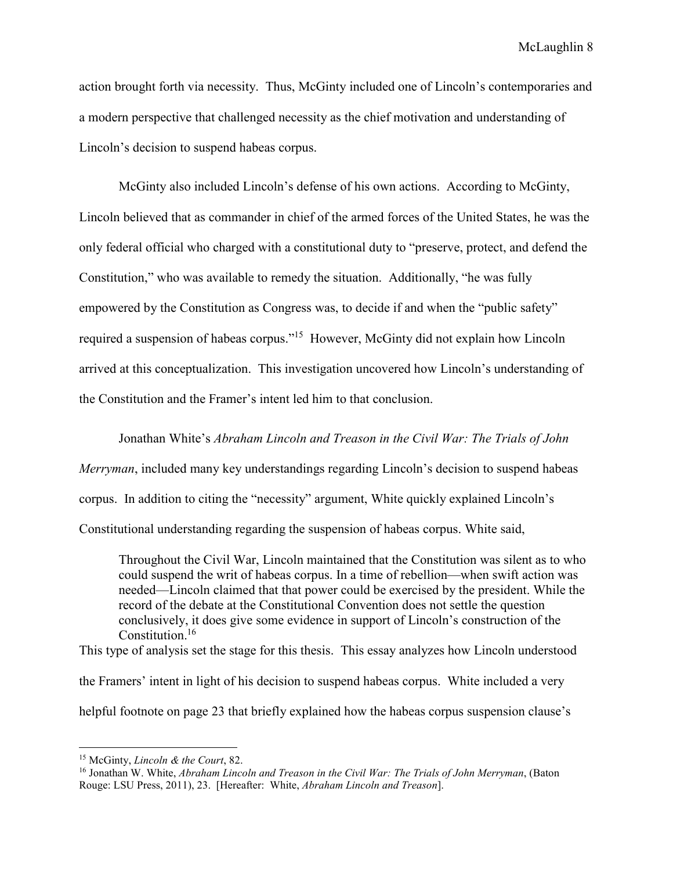action brought forth via necessity. Thus, McGinty included one of Lincoln's contemporaries and a modern perspective that challenged necessity as the chief motivation and understanding of Lincoln's decision to suspend habeas corpus.

McGinty also included Lincoln's defense of his own actions. According to McGinty, Lincoln believed that as commander in chief of the armed forces of the United States, he was the only federal official who charged with a constitutional duty to "preserve, protect, and defend the Constitution," who was available to remedy the situation. Additionally, "he was fully empowered by the Constitution as Congress was, to decide if and when the "public safety" required a suspension of habeas corpus."<sup>15</sup> However, McGinty did not explain how Lincoln arrived at this conceptualization. This investigation uncovered how Lincoln's understanding of the Constitution and the Framer's intent led him to that conclusion.

Jonathan White's *Abraham Lincoln and Treason in the Civil War: The Trials of John* 

*Merryman*, included many key understandings regarding Lincoln's decision to suspend habeas

corpus. In addition to citing the "necessity" argument, White quickly explained Lincoln's

Constitutional understanding regarding the suspension of habeas corpus. White said,

Throughout the Civil War, Lincoln maintained that the Constitution was silent as to who could suspend the writ of habeas corpus. In a time of rebellion—when swift action was needed—Lincoln claimed that that power could be exercised by the president. While the record of the debate at the Constitutional Convention does not settle the question conclusively, it does give some evidence in support of Lincoln's construction of the Constitution.<sup>16</sup>

This type of analysis set the stage for this thesis. This essay analyzes how Lincoln understood

the Framers' intent in light of his decision to suspend habeas corpus. White included a very

helpful footnote on page 23 that briefly explained how the habeas corpus suspension clause's

<sup>15</sup> McGinty, *Lincoln & the Court*, 82.

<sup>16</sup> Jonathan W. White, *Abraham Lincoln and Treason in the Civil War: The Trials of John Merryman*, (Baton Rouge: LSU Press, 2011), 23. [Hereafter: White, *Abraham Lincoln and Treason*].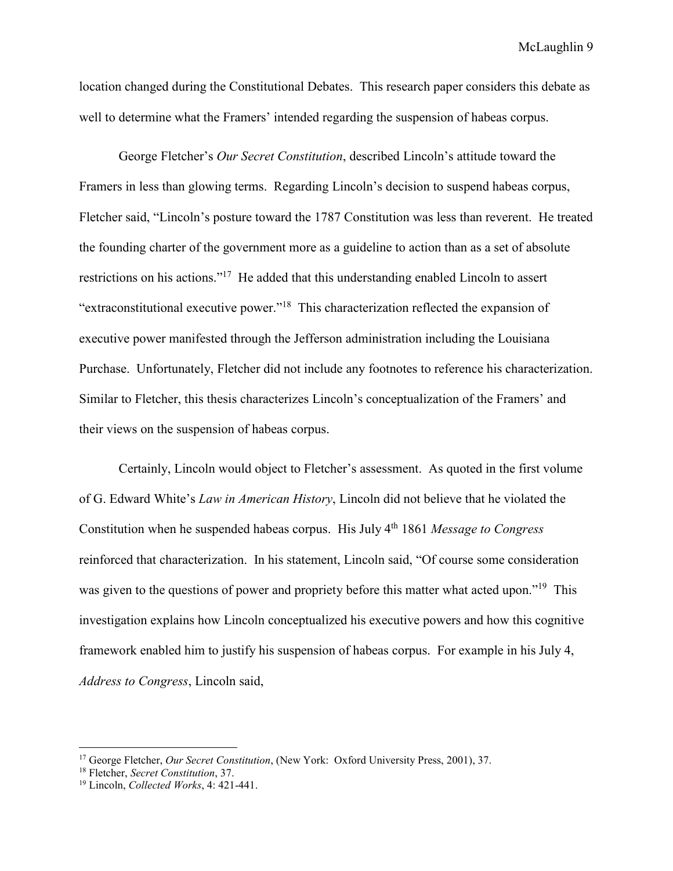location changed during the Constitutional Debates. This research paper considers this debate as well to determine what the Framers' intended regarding the suspension of habeas corpus.

George Fletcher's *Our Secret Constitution*, described Lincoln's attitude toward the Framers in less than glowing terms. Regarding Lincoln's decision to suspend habeas corpus, Fletcher said, "Lincoln's posture toward the 1787 Constitution was less than reverent. He treated the founding charter of the government more as a guideline to action than as a set of absolute restrictions on his actions."<sup>17</sup> He added that this understanding enabled Lincoln to assert "extraconstitutional executive power."<sup>18</sup> This characterization reflected the expansion of executive power manifested through the Jefferson administration including the Louisiana Purchase. Unfortunately, Fletcher did not include any footnotes to reference his characterization. Similar to Fletcher, this thesis characterizes Lincoln's conceptualization of the Framers' and their views on the suspension of habeas corpus.

Certainly, Lincoln would object to Fletcher's assessment. As quoted in the first volume of G. Edward White's *Law in American History*, Lincoln did not believe that he violated the Constitution when he suspended habeas corpus. His July 4th 1861 *Message to Congress* reinforced that characterization. In his statement, Lincoln said, "Of course some consideration was given to the questions of power and propriety before this matter what acted upon."<sup>19</sup> This investigation explains how Lincoln conceptualized his executive powers and how this cognitive framework enabled him to justify his suspension of habeas corpus. For example in his July 4, *Address to Congress*, Lincoln said,

<sup>17</sup> George Fletcher, *Our Secret Constitution*, (New York: Oxford University Press, 2001), 37.

<sup>18</sup> Fletcher, *Secret Constitution*, 37.

<sup>19</sup> Lincoln, *Collected Works*, 4: 421-441.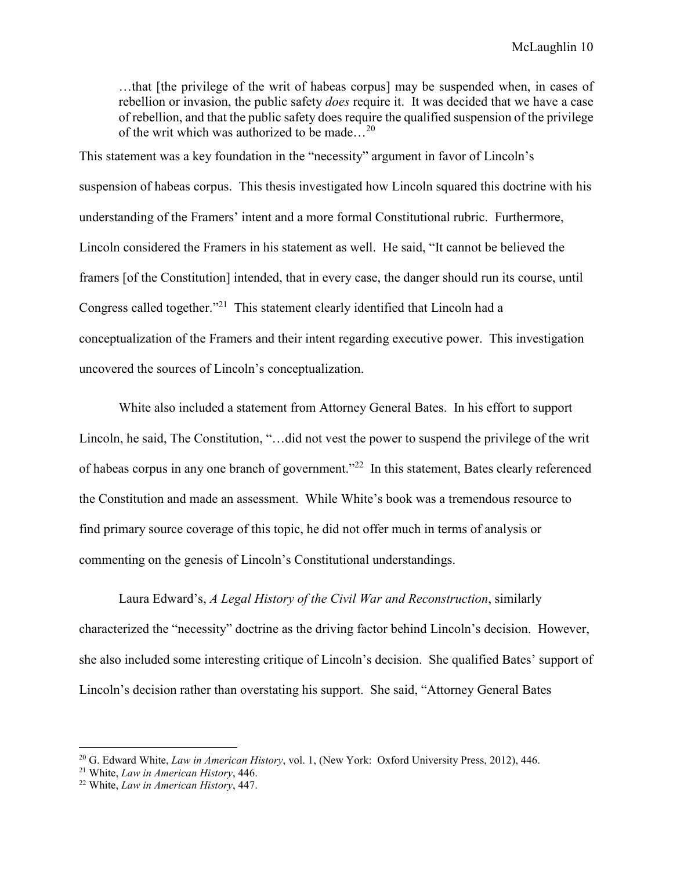…that [the privilege of the writ of habeas corpus] may be suspended when, in cases of rebellion or invasion, the public safety *does* require it. It was decided that we have a case of rebellion, and that the public safety does require the qualified suspension of the privilege of the writ which was authorized to be made…<sup>20</sup>

This statement was a key foundation in the "necessity" argument in favor of Lincoln's suspension of habeas corpus. This thesis investigated how Lincoln squared this doctrine with his understanding of the Framers' intent and a more formal Constitutional rubric. Furthermore, Lincoln considered the Framers in his statement as well. He said, "It cannot be believed the framers [of the Constitution] intended, that in every case, the danger should run its course, until Congress called together."<sup>21</sup> This statement clearly identified that Lincoln had a conceptualization of the Framers and their intent regarding executive power. This investigation uncovered the sources of Lincoln's conceptualization.

White also included a statement from Attorney General Bates. In his effort to support Lincoln, he said, The Constitution, "…did not vest the power to suspend the privilege of the writ of habeas corpus in any one branch of government."<sup>22</sup> In this statement, Bates clearly referenced the Constitution and made an assessment. While White's book was a tremendous resource to find primary source coverage of this topic, he did not offer much in terms of analysis or commenting on the genesis of Lincoln's Constitutional understandings.

Laura Edward's, *A Legal History of the Civil War and Reconstruction*, similarly characterized the "necessity" doctrine as the driving factor behind Lincoln's decision. However, she also included some interesting critique of Lincoln's decision. She qualified Bates' support of Lincoln's decision rather than overstating his support. She said, "Attorney General Bates

<sup>20</sup> G. Edward White, *Law in American History*, vol. 1, (New York: Oxford University Press, 2012), 446.

<sup>21</sup> White, *Law in American History*, 446.

<sup>22</sup> White, *Law in American History*, 447.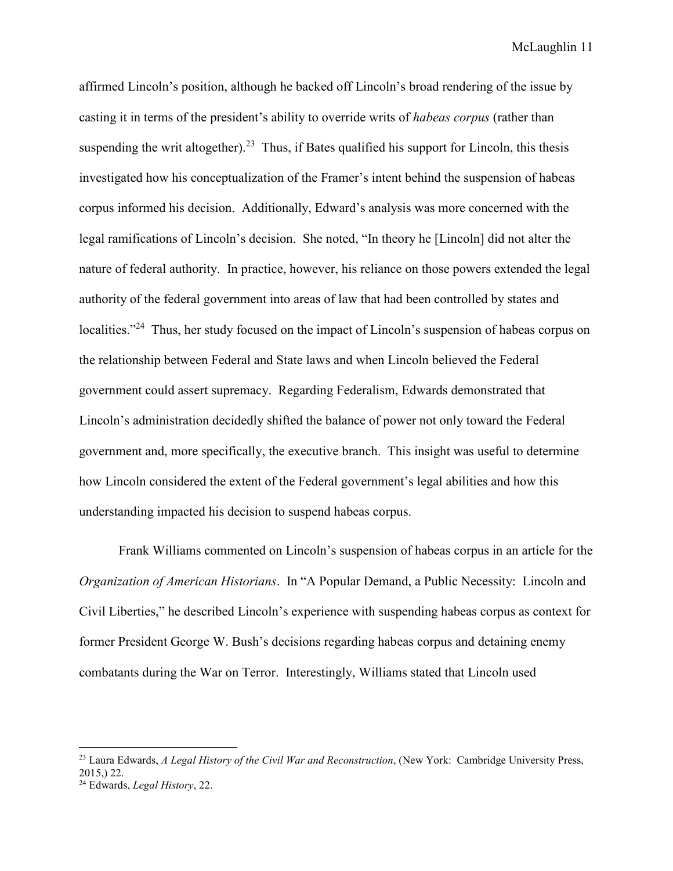affirmed Lincoln's position, although he backed off Lincoln's broad rendering of the issue by casting it in terms of the president's ability to override writs of *habeas corpus* (rather than suspending the writ altogether).<sup>23</sup> Thus, if Bates qualified his support for Lincoln, this thesis investigated how his conceptualization of the Framer's intent behind the suspension of habeas corpus informed his decision. Additionally, Edward's analysis was more concerned with the legal ramifications of Lincoln's decision. She noted, "In theory he [Lincoln] did not alter the nature of federal authority. In practice, however, his reliance on those powers extended the legal authority of the federal government into areas of law that had been controlled by states and localities."<sup>24</sup> Thus, her study focused on the impact of Lincoln's suspension of habeas corpus on the relationship between Federal and State laws and when Lincoln believed the Federal government could assert supremacy. Regarding Federalism, Edwards demonstrated that Lincoln's administration decidedly shifted the balance of power not only toward the Federal government and, more specifically, the executive branch. This insight was useful to determine how Lincoln considered the extent of the Federal government's legal abilities and how this understanding impacted his decision to suspend habeas corpus.

Frank Williams commented on Lincoln's suspension of habeas corpus in an article for the *Organization of American Historians*. In "A Popular Demand, a Public Necessity: Lincoln and Civil Liberties," he described Lincoln's experience with suspending habeas corpus as context for former President George W. Bush's decisions regarding habeas corpus and detaining enemy combatants during the War on Terror. Interestingly, Williams stated that Lincoln used

<sup>23</sup> Laura Edwards, *A Legal History of the Civil War and Reconstruction*, (New York: Cambridge University Press, 2015,) 22.

<sup>24</sup> Edwards, *Legal History*, 22.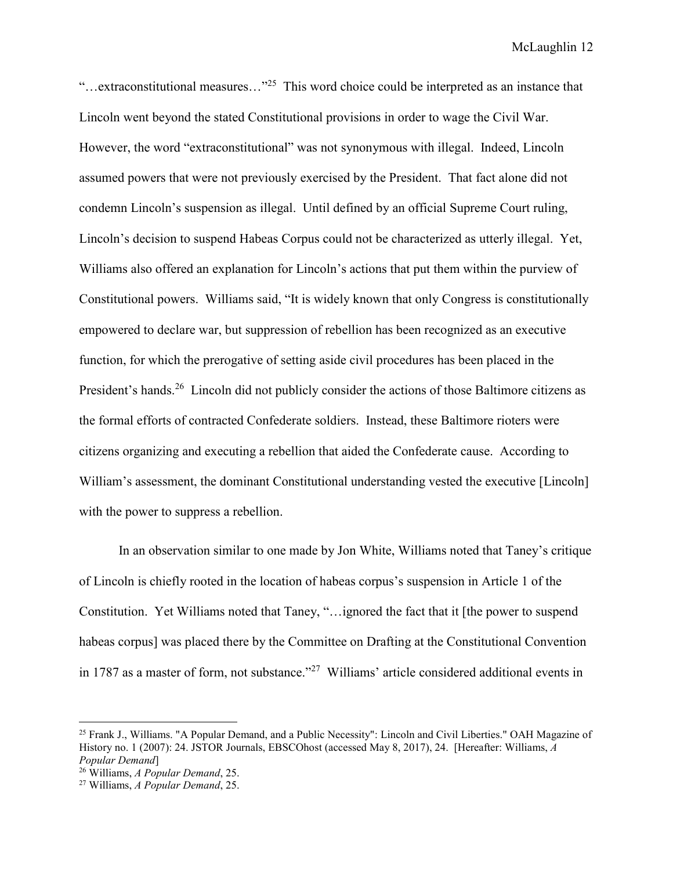"...extraconstitutional measures..."<sup>25</sup> This word choice could be interpreted as an instance that Lincoln went beyond the stated Constitutional provisions in order to wage the Civil War. However, the word "extraconstitutional" was not synonymous with illegal. Indeed, Lincoln assumed powers that were not previously exercised by the President. That fact alone did not condemn Lincoln's suspension as illegal. Until defined by an official Supreme Court ruling, Lincoln's decision to suspend Habeas Corpus could not be characterized as utterly illegal. Yet, Williams also offered an explanation for Lincoln's actions that put them within the purview of Constitutional powers. Williams said, "It is widely known that only Congress is constitutionally empowered to declare war, but suppression of rebellion has been recognized as an executive function, for which the prerogative of setting aside civil procedures has been placed in the President's hands.<sup>26</sup> Lincoln did not publicly consider the actions of those Baltimore citizens as the formal efforts of contracted Confederate soldiers. Instead, these Baltimore rioters were citizens organizing and executing a rebellion that aided the Confederate cause. According to William's assessment, the dominant Constitutional understanding vested the executive [Lincoln] with the power to suppress a rebellion.

In an observation similar to one made by Jon White, Williams noted that Taney's critique of Lincoln is chiefly rooted in the location of habeas corpus's suspension in Article 1 of the Constitution. Yet Williams noted that Taney, "…ignored the fact that it [the power to suspend habeas corpus] was placed there by the Committee on Drafting at the Constitutional Convention in 1787 as a master of form, not substance."<sup>27</sup> Williams' article considered additional events in

-

<sup>&</sup>lt;sup>25</sup> Frank J., Williams. "A Popular Demand, and a Public Necessity": Lincoln and Civil Liberties." OAH Magazine of History no. 1 (2007): 24. JSTOR Journals, EBSCOhost (accessed May 8, 2017), 24. [Hereafter: Williams, *A Popular Demand*]

<sup>26</sup> Williams, *A Popular Demand*, 25.

<sup>27</sup> Williams, *A Popular Demand*, 25.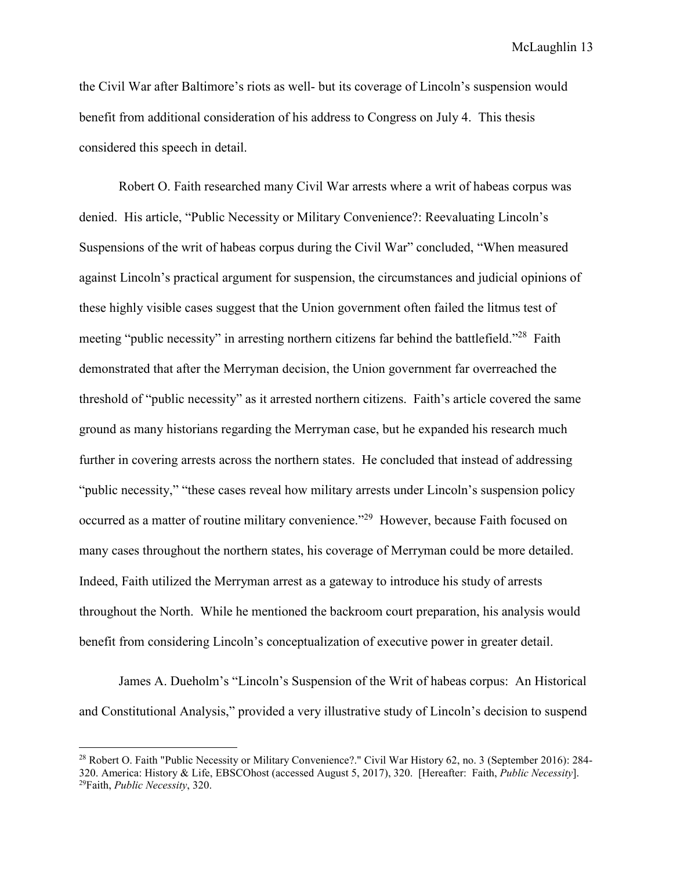the Civil War after Baltimore's riots as well- but its coverage of Lincoln's suspension would benefit from additional consideration of his address to Congress on July 4. This thesis considered this speech in detail.

Robert O. Faith researched many Civil War arrests where a writ of habeas corpus was denied. His article, "Public Necessity or Military Convenience?: Reevaluating Lincoln's Suspensions of the writ of habeas corpus during the Civil War" concluded, "When measured against Lincoln's practical argument for suspension, the circumstances and judicial opinions of these highly visible cases suggest that the Union government often failed the litmus test of meeting "public necessity" in arresting northern citizens far behind the battlefield."<sup>28</sup> Faith demonstrated that after the Merryman decision, the Union government far overreached the threshold of "public necessity" as it arrested northern citizens. Faith's article covered the same ground as many historians regarding the Merryman case, but he expanded his research much further in covering arrests across the northern states. He concluded that instead of addressing "public necessity," "these cases reveal how military arrests under Lincoln's suspension policy occurred as a matter of routine military convenience."<sup>29</sup> However, because Faith focused on many cases throughout the northern states, his coverage of Merryman could be more detailed. Indeed, Faith utilized the Merryman arrest as a gateway to introduce his study of arrests throughout the North. While he mentioned the backroom court preparation, his analysis would benefit from considering Lincoln's conceptualization of executive power in greater detail.

James A. Dueholm's "Lincoln's Suspension of the Writ of habeas corpus: An Historical and Constitutional Analysis," provided a very illustrative study of Lincoln's decision to suspend

<sup>&</sup>lt;sup>28</sup> Robert O. Faith "Public Necessity or Military Convenience?." Civil War History 62, no. 3 (September 2016): 284-320. America: History & Life, EBSCOhost (accessed August 5, 2017), 320. [Hereafter: Faith, *Public Necessity*]. 29Faith, *Public Necessity*, 320.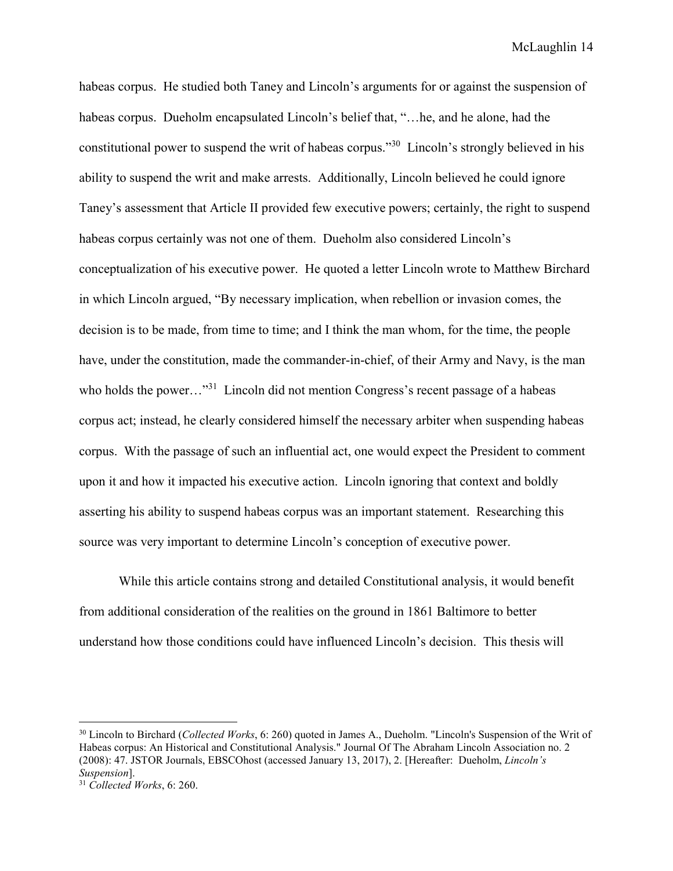habeas corpus. He studied both Taney and Lincoln's arguments for or against the suspension of habeas corpus. Dueholm encapsulated Lincoln's belief that, "... he, and he alone, had the constitutional power to suspend the writ of habeas corpus."<sup>30</sup> Lincoln's strongly believed in his ability to suspend the writ and make arrests. Additionally, Lincoln believed he could ignore Taney's assessment that Article II provided few executive powers; certainly, the right to suspend habeas corpus certainly was not one of them. Dueholm also considered Lincoln's conceptualization of his executive power. He quoted a letter Lincoln wrote to Matthew Birchard in which Lincoln argued, "By necessary implication, when rebellion or invasion comes, the decision is to be made, from time to time; and I think the man whom, for the time, the people have, under the constitution, made the commander-in-chief, of their Army and Navy, is the man who holds the power..."<sup>31</sup> Lincoln did not mention Congress's recent passage of a habeas corpus act; instead, he clearly considered himself the necessary arbiter when suspending habeas corpus. With the passage of such an influential act, one would expect the President to comment upon it and how it impacted his executive action. Lincoln ignoring that context and boldly asserting his ability to suspend habeas corpus was an important statement. Researching this source was very important to determine Lincoln's conception of executive power.

While this article contains strong and detailed Constitutional analysis, it would benefit from additional consideration of the realities on the ground in 1861 Baltimore to better understand how those conditions could have influenced Lincoln's decision. This thesis will

 $\overline{a}$ 

<sup>30</sup> Lincoln to Birchard (*Collected Works*, 6: 260) quoted in James A., Dueholm. "Lincoln's Suspension of the Writ of Habeas corpus: An Historical and Constitutional Analysis." Journal Of The Abraham Lincoln Association no. 2 (2008): 47. JSTOR Journals, EBSCOhost (accessed January 13, 2017), 2. [Hereafter: Dueholm, *Lincoln's Suspension*].

<sup>31</sup> *Collected Works*, 6: 260.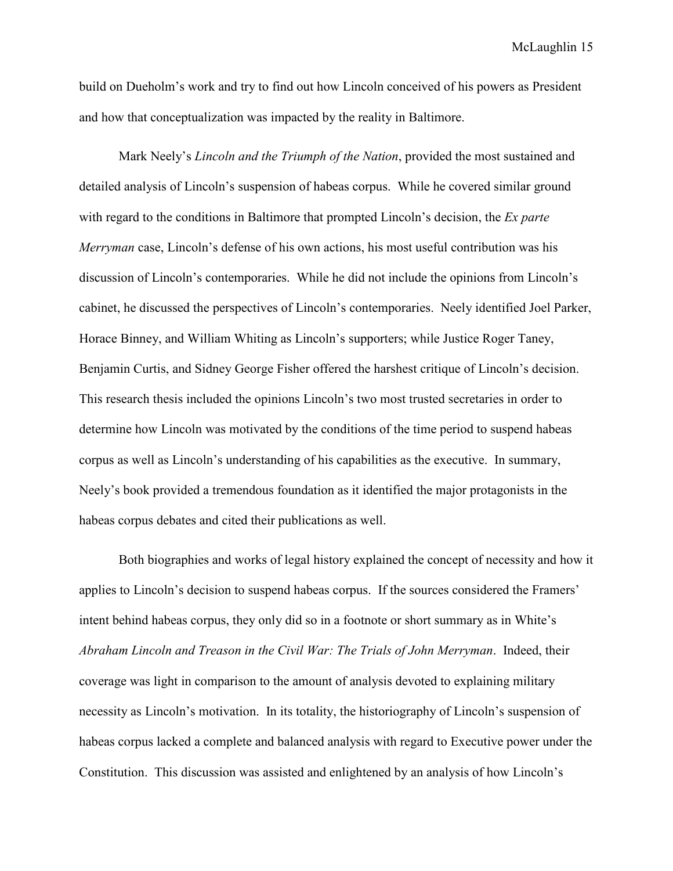build on Dueholm's work and try to find out how Lincoln conceived of his powers as President and how that conceptualization was impacted by the reality in Baltimore.

Mark Neely's *Lincoln and the Triumph of the Nation*, provided the most sustained and detailed analysis of Lincoln's suspension of habeas corpus. While he covered similar ground with regard to the conditions in Baltimore that prompted Lincoln's decision, the *Ex parte Merryman* case, Lincoln's defense of his own actions, his most useful contribution was his discussion of Lincoln's contemporaries. While he did not include the opinions from Lincoln's cabinet, he discussed the perspectives of Lincoln's contemporaries. Neely identified Joel Parker, Horace Binney, and William Whiting as Lincoln's supporters; while Justice Roger Taney, Benjamin Curtis, and Sidney George Fisher offered the harshest critique of Lincoln's decision. This research thesis included the opinions Lincoln's two most trusted secretaries in order to determine how Lincoln was motivated by the conditions of the time period to suspend habeas corpus as well as Lincoln's understanding of his capabilities as the executive. In summary, Neely's book provided a tremendous foundation as it identified the major protagonists in the habeas corpus debates and cited their publications as well.

Both biographies and works of legal history explained the concept of necessity and how it applies to Lincoln's decision to suspend habeas corpus. If the sources considered the Framers' intent behind habeas corpus, they only did so in a footnote or short summary as in White's *Abraham Lincoln and Treason in the Civil War: The Trials of John Merryman*. Indeed, their coverage was light in comparison to the amount of analysis devoted to explaining military necessity as Lincoln's motivation. In its totality, the historiography of Lincoln's suspension of habeas corpus lacked a complete and balanced analysis with regard to Executive power under the Constitution. This discussion was assisted and enlightened by an analysis of how Lincoln's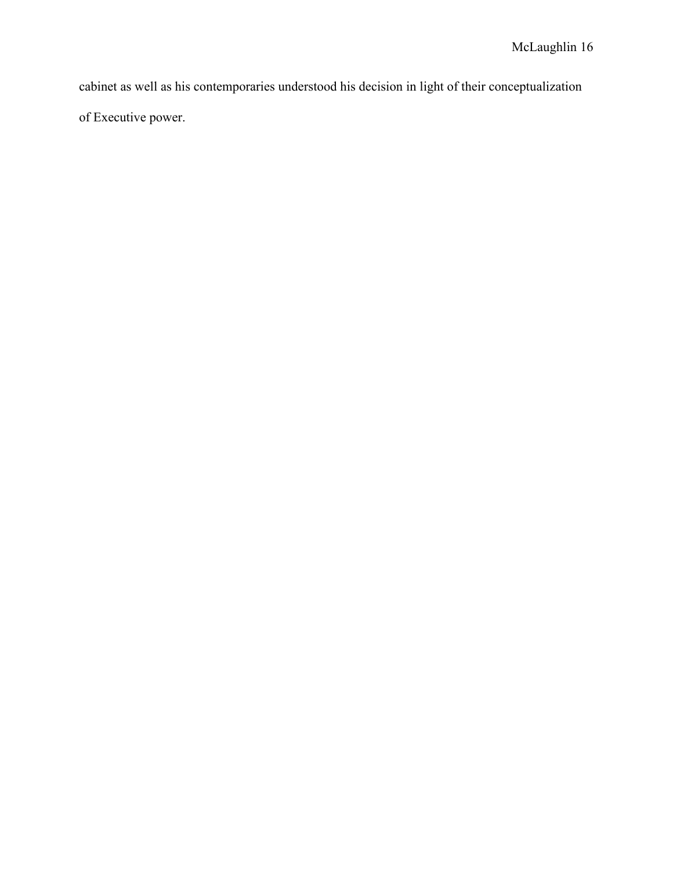cabinet as well as his contemporaries understood his decision in light of their conceptualization of Executive power.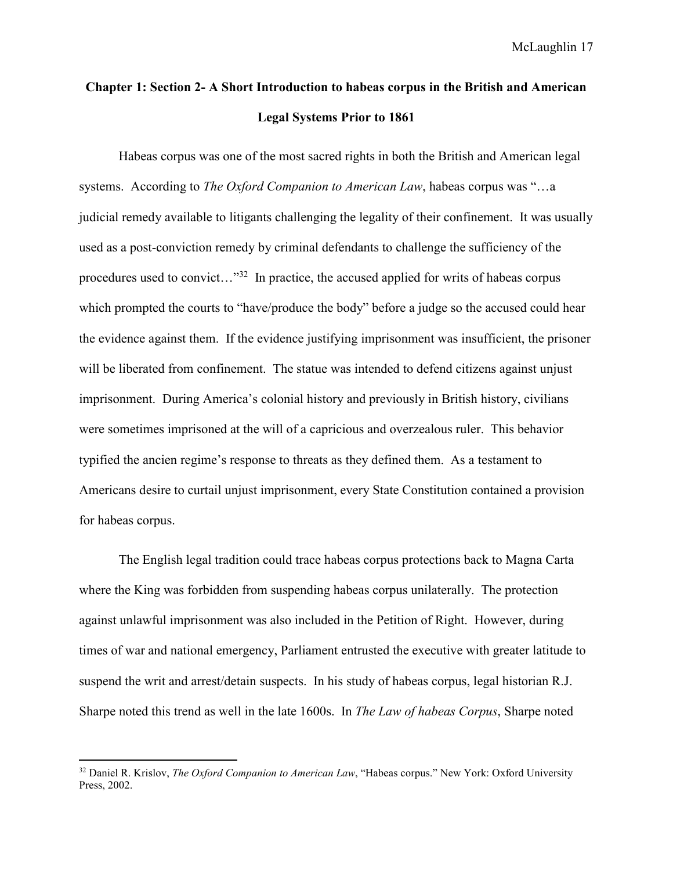# **Chapter 1: Section 2- A Short Introduction to habeas corpus in the British and American Legal Systems Prior to 1861**

Habeas corpus was one of the most sacred rights in both the British and American legal systems. According to *The Oxford Companion to American Law*, habeas corpus was "…a judicial remedy available to litigants challenging the legality of their confinement. It was usually used as a post-conviction remedy by criminal defendants to challenge the sufficiency of the procedures used to convict..."<sup>32</sup> In practice, the accused applied for writs of habeas corpus which prompted the courts to "have/produce the body" before a judge so the accused could hear the evidence against them. If the evidence justifying imprisonment was insufficient, the prisoner will be liberated from confinement. The statue was intended to defend citizens against unjust imprisonment. During America's colonial history and previously in British history, civilians were sometimes imprisoned at the will of a capricious and overzealous ruler. This behavior typified the ancien regime's response to threats as they defined them. As a testament to Americans desire to curtail unjust imprisonment, every State Constitution contained a provision for habeas corpus.

The English legal tradition could trace habeas corpus protections back to Magna Carta where the King was forbidden from suspending habeas corpus unilaterally. The protection against unlawful imprisonment was also included in the Petition of Right. However, during times of war and national emergency, Parliament entrusted the executive with greater latitude to suspend the writ and arrest/detain suspects. In his study of habeas corpus, legal historian R.J. Sharpe noted this trend as well in the late 1600s. In *The Law of habeas Corpus*, Sharpe noted

<sup>32</sup> Daniel R. Krislov, *The Oxford Companion to American Law*, "Habeas corpus." New York: Oxford University Press, 2002.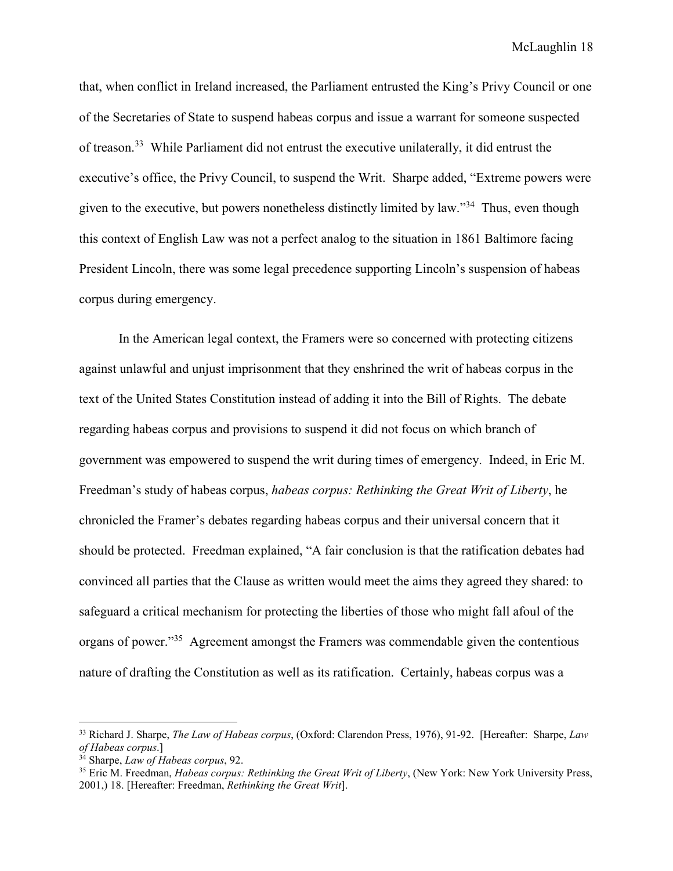that, when conflict in Ireland increased, the Parliament entrusted the King's Privy Council or one of the Secretaries of State to suspend habeas corpus and issue a warrant for someone suspected of treason.<sup>33</sup> While Parliament did not entrust the executive unilaterally, it did entrust the executive's office, the Privy Council, to suspend the Writ. Sharpe added, "Extreme powers were given to the executive, but powers nonetheless distinctly limited by law."<sup>34</sup> Thus, even though this context of English Law was not a perfect analog to the situation in 1861 Baltimore facing President Lincoln, there was some legal precedence supporting Lincoln's suspension of habeas corpus during emergency.

In the American legal context, the Framers were so concerned with protecting citizens against unlawful and unjust imprisonment that they enshrined the writ of habeas corpus in the text of the United States Constitution instead of adding it into the Bill of Rights. The debate regarding habeas corpus and provisions to suspend it did not focus on which branch of government was empowered to suspend the writ during times of emergency. Indeed, in Eric M. Freedman's study of habeas corpus, *habeas corpus: Rethinking the Great Writ of Liberty*, he chronicled the Framer's debates regarding habeas corpus and their universal concern that it should be protected. Freedman explained, "A fair conclusion is that the ratification debates had convinced all parties that the Clause as written would meet the aims they agreed they shared: to safeguard a critical mechanism for protecting the liberties of those who might fall afoul of the organs of power."<sup>35</sup> Agreement amongst the Framers was commendable given the contentious nature of drafting the Constitution as well as its ratification. Certainly, habeas corpus was a

-

<sup>33</sup> Richard J. Sharpe, *The Law of Habeas corpus*, (Oxford: Clarendon Press, 1976), 91-92. [Hereafter: Sharpe, *Law of Habeas corpus*.]

<sup>34</sup> Sharpe, *Law of Habeas corpus*, 92.

<sup>35</sup> Eric M. Freedman, *Habeas corpus: Rethinking the Great Writ of Liberty*, (New York: New York University Press, 2001,) 18. [Hereafter: Freedman, *Rethinking the Great Writ*].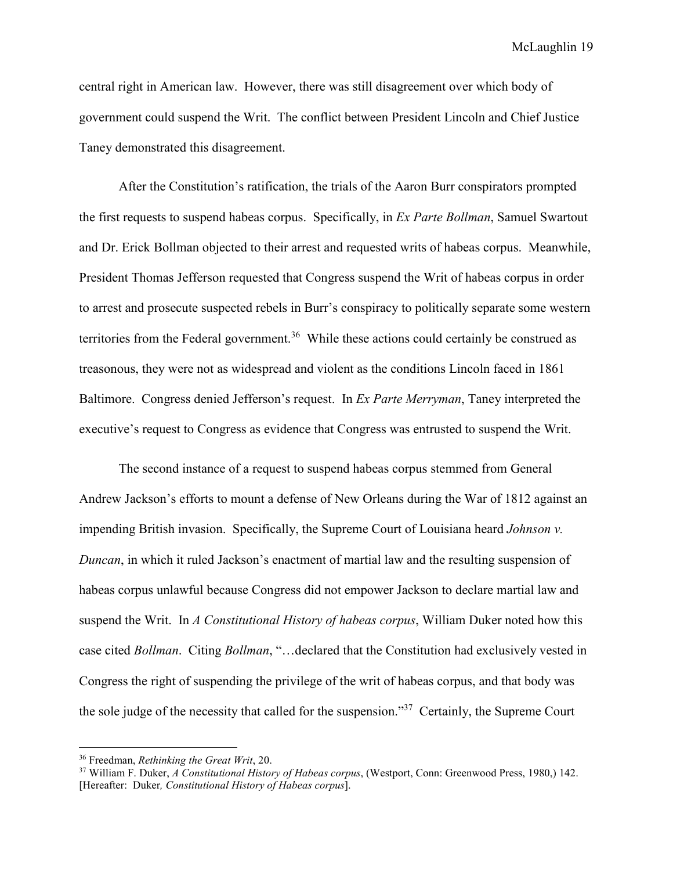central right in American law. However, there was still disagreement over which body of government could suspend the Writ. The conflict between President Lincoln and Chief Justice Taney demonstrated this disagreement.

After the Constitution's ratification, the trials of the Aaron Burr conspirators prompted the first requests to suspend habeas corpus. Specifically, in *Ex Parte Bollman*, Samuel Swartout and Dr. Erick Bollman objected to their arrest and requested writs of habeas corpus. Meanwhile, President Thomas Jefferson requested that Congress suspend the Writ of habeas corpus in order to arrest and prosecute suspected rebels in Burr's conspiracy to politically separate some western territories from the Federal government.<sup>36</sup> While these actions could certainly be construed as treasonous, they were not as widespread and violent as the conditions Lincoln faced in 1861 Baltimore. Congress denied Jefferson's request. In *Ex Parte Merryman*, Taney interpreted the executive's request to Congress as evidence that Congress was entrusted to suspend the Writ.

The second instance of a request to suspend habeas corpus stemmed from General Andrew Jackson's efforts to mount a defense of New Orleans during the War of 1812 against an impending British invasion. Specifically, the Supreme Court of Louisiana heard *Johnson v. Duncan*, in which it ruled Jackson's enactment of martial law and the resulting suspension of habeas corpus unlawful because Congress did not empower Jackson to declare martial law and suspend the Writ. In *A Constitutional History of habeas corpus*, William Duker noted how this case cited *Bollman*. Citing *Bollman*, "…declared that the Constitution had exclusively vested in Congress the right of suspending the privilege of the writ of habeas corpus, and that body was the sole judge of the necessity that called for the suspension."<sup>37</sup> Certainly, the Supreme Court

 $\overline{a}$ 

<sup>36</sup> Freedman, *Rethinking the Great Writ*, 20.

<sup>37</sup> William F. Duker, *A Constitutional History of Habeas corpus*, (Westport, Conn: Greenwood Press, 1980,) 142. [Hereafter: Duker*, Constitutional History of Habeas corpus*].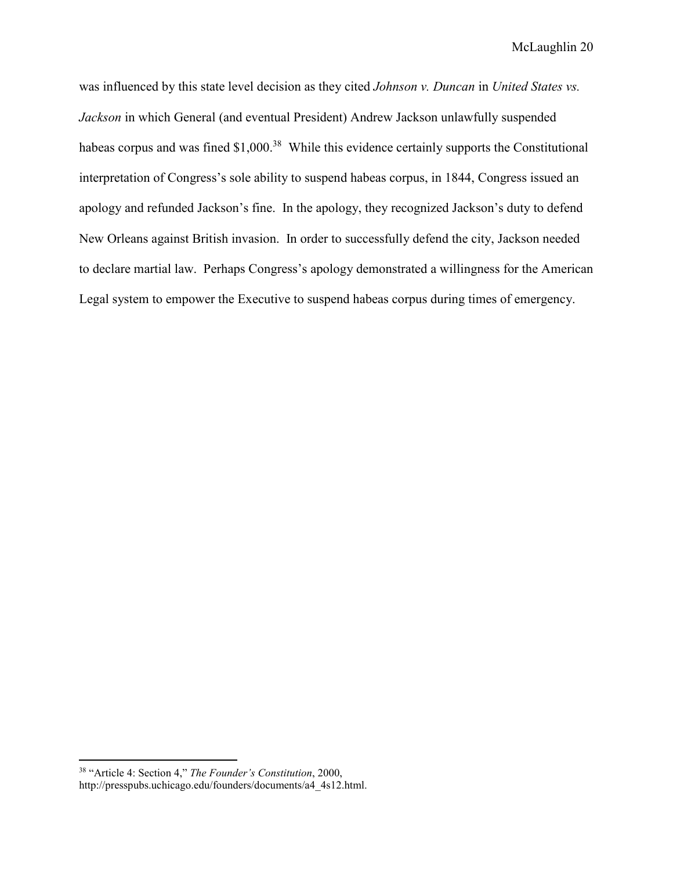was influenced by this state level decision as they cited *Johnson v. Duncan* in *United States vs. Jackson* in which General (and eventual President) Andrew Jackson unlawfully suspended habeas corpus and was fined \$1,000.<sup>38</sup> While this evidence certainly supports the Constitutional interpretation of Congress's sole ability to suspend habeas corpus, in 1844, Congress issued an apology and refunded Jackson's fine. In the apology, they recognized Jackson's duty to defend New Orleans against British invasion. In order to successfully defend the city, Jackson needed to declare martial law. Perhaps Congress's apology demonstrated a willingness for the American Legal system to empower the Executive to suspend habeas corpus during times of emergency.

<sup>38</sup> "Article 4: Section 4," *The Founder's Constitution*, 2000, http://presspubs.uchicago.edu/founders/documents/a4\_4s12.html.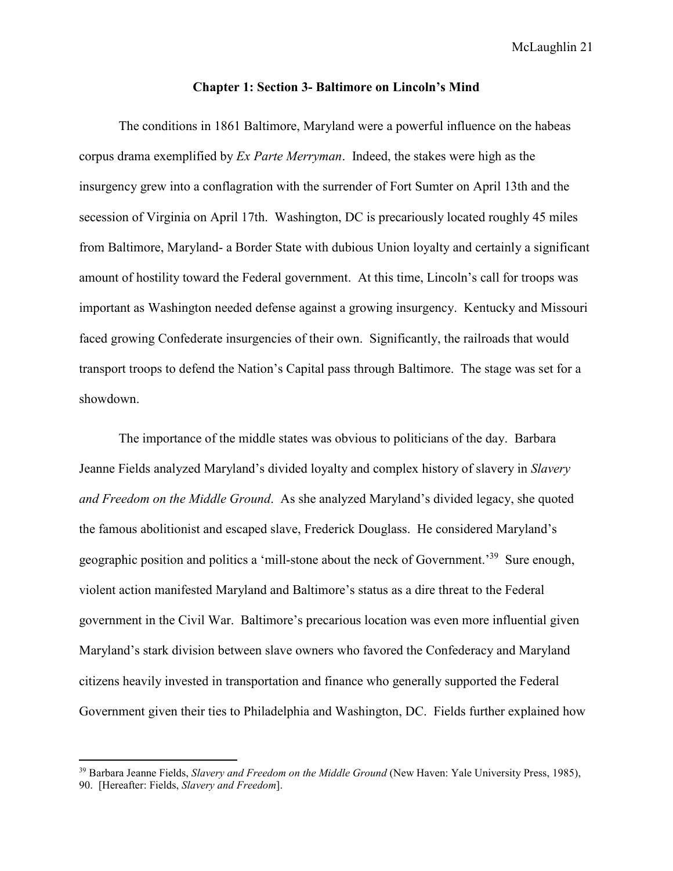#### **Chapter 1: Section 3- Baltimore on Lincoln's Mind**

The conditions in 1861 Baltimore, Maryland were a powerful influence on the habeas corpus drama exemplified by *Ex Parte Merryman*. Indeed, the stakes were high as the insurgency grew into a conflagration with the surrender of Fort Sumter on April 13th and the secession of Virginia on April 17th. Washington, DC is precariously located roughly 45 miles from Baltimore, Maryland- a Border State with dubious Union loyalty and certainly a significant amount of hostility toward the Federal government. At this time, Lincoln's call for troops was important as Washington needed defense against a growing insurgency. Kentucky and Missouri faced growing Confederate insurgencies of their own. Significantly, the railroads that would transport troops to defend the Nation's Capital pass through Baltimore. The stage was set for a showdown.

 The importance of the middle states was obvious to politicians of the day. Barbara Jeanne Fields analyzed Maryland's divided loyalty and complex history of slavery in *Slavery and Freedom on the Middle Ground*.As she analyzed Maryland's divided legacy, she quoted the famous abolitionist and escaped slave, Frederick Douglass. He considered Maryland's geographic position and politics a 'mill-stone about the neck of Government.'<sup>39</sup> Sure enough, violent action manifested Maryland and Baltimore's status as a dire threat to the Federal government in the Civil War. Baltimore's precarious location was even more influential given Maryland's stark division between slave owners who favored the Confederacy and Maryland citizens heavily invested in transportation and finance who generally supported the Federal Government given their ties to Philadelphia and Washington, DC. Fields further explained how

<sup>39</sup> Barbara Jeanne Fields, *Slavery and Freedom on the Middle Ground* (New Haven: Yale University Press, 1985), 90. [Hereafter: Fields, *Slavery and Freedom*].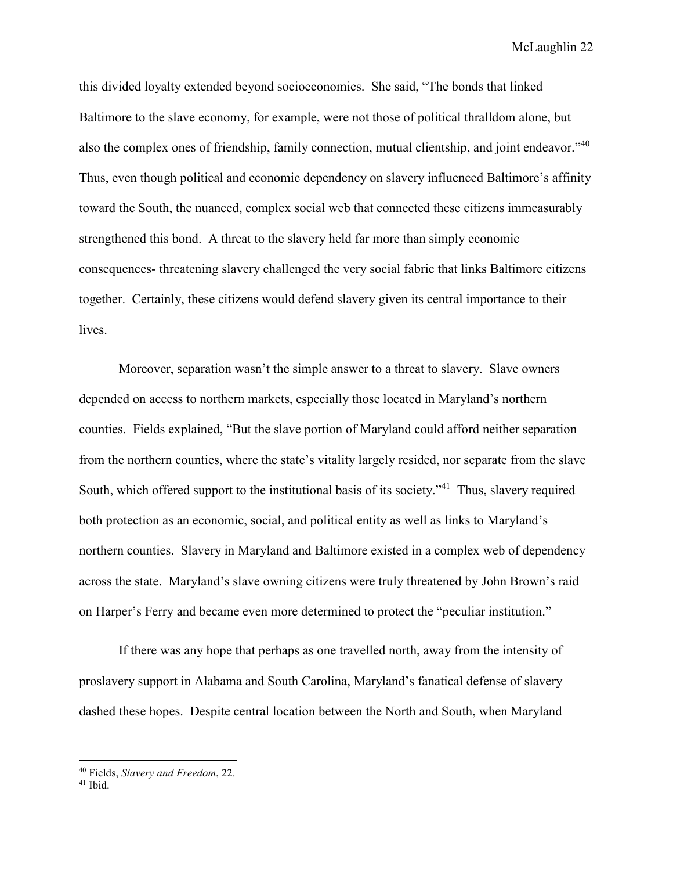this divided loyalty extended beyond socioeconomics. She said, "The bonds that linked Baltimore to the slave economy, for example, were not those of political thralldom alone, but also the complex ones of friendship, family connection, mutual clientship, and joint endeavor."<sup>40</sup> Thus, even though political and economic dependency on slavery influenced Baltimore's affinity toward the South, the nuanced, complex social web that connected these citizens immeasurably strengthened this bond. A threat to the slavery held far more than simply economic consequences- threatening slavery challenged the very social fabric that links Baltimore citizens together. Certainly, these citizens would defend slavery given its central importance to their lives.

Moreover, separation wasn't the simple answer to a threat to slavery. Slave owners depended on access to northern markets, especially those located in Maryland's northern counties. Fields explained, "But the slave portion of Maryland could afford neither separation from the northern counties, where the state's vitality largely resided, nor separate from the slave South, which offered support to the institutional basis of its society."<sup>41</sup> Thus, slavery required both protection as an economic, social, and political entity as well as links to Maryland's northern counties. Slavery in Maryland and Baltimore existed in a complex web of dependency across the state. Maryland's slave owning citizens were truly threatened by John Brown's raid on Harper's Ferry and became even more determined to protect the "peculiar institution."

If there was any hope that perhaps as one travelled north, away from the intensity of proslavery support in Alabama and South Carolina, Maryland's fanatical defense of slavery dashed these hopes. Despite central location between the North and South, when Maryland

<sup>40</sup> Fields, *Slavery and Freedom*, 22.

<sup>41</sup> Ibid.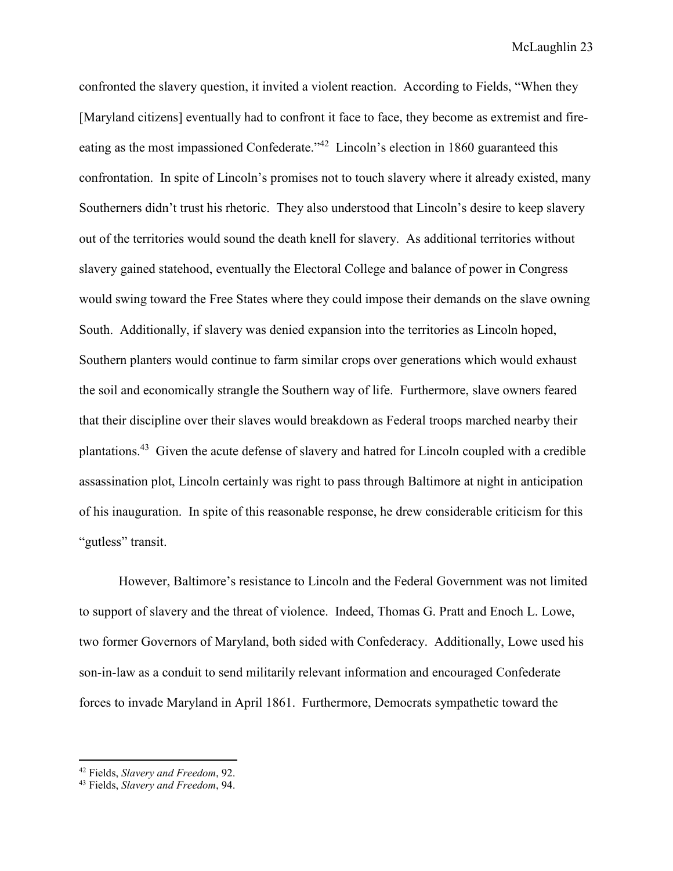confronted the slavery question, it invited a violent reaction. According to Fields, "When they [Maryland citizens] eventually had to confront it face to face, they become as extremist and fireeating as the most impassioned Confederate."<sup>42</sup> Lincoln's election in 1860 guaranteed this confrontation. In spite of Lincoln's promises not to touch slavery where it already existed, many Southerners didn't trust his rhetoric. They also understood that Lincoln's desire to keep slavery out of the territories would sound the death knell for slavery. As additional territories without slavery gained statehood, eventually the Electoral College and balance of power in Congress would swing toward the Free States where they could impose their demands on the slave owning South. Additionally, if slavery was denied expansion into the territories as Lincoln hoped, Southern planters would continue to farm similar crops over generations which would exhaust the soil and economically strangle the Southern way of life. Furthermore, slave owners feared that their discipline over their slaves would breakdown as Federal troops marched nearby their plantations.<sup>43</sup> Given the acute defense of slavery and hatred for Lincoln coupled with a credible assassination plot, Lincoln certainly was right to pass through Baltimore at night in anticipation of his inauguration. In spite of this reasonable response, he drew considerable criticism for this "gutless" transit.

However, Baltimore's resistance to Lincoln and the Federal Government was not limited to support of slavery and the threat of violence. Indeed, Thomas G. Pratt and Enoch L. Lowe, two former Governors of Maryland, both sided with Confederacy. Additionally, Lowe used his son-in-law as a conduit to send militarily relevant information and encouraged Confederate forces to invade Maryland in April 1861. Furthermore, Democrats sympathetic toward the

<sup>42</sup> Fields, *Slavery and Freedom*, 92.

<sup>43</sup> Fields, *Slavery and Freedom*, 94.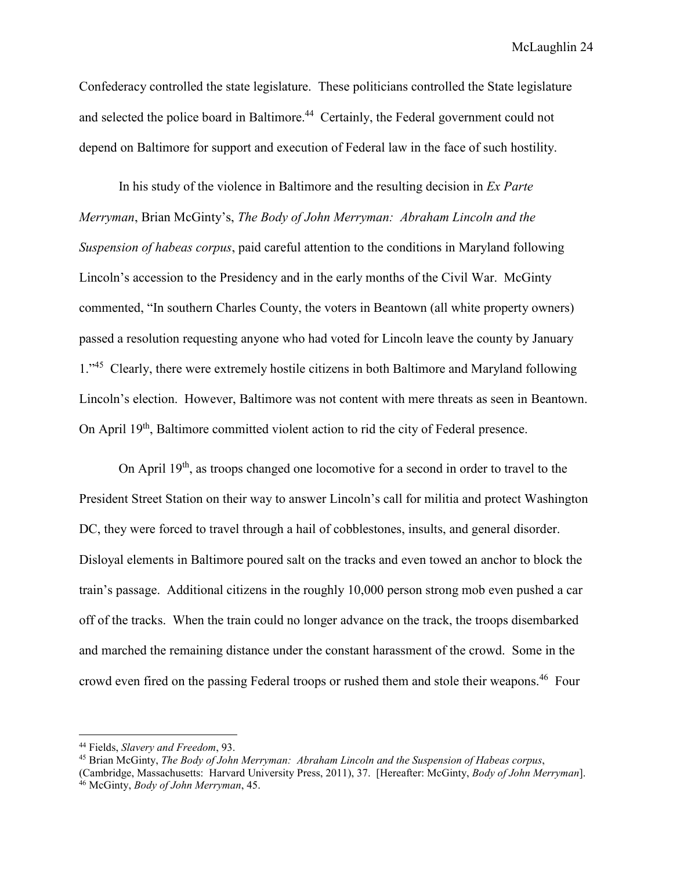Confederacy controlled the state legislature. These politicians controlled the State legislature and selected the police board in Baltimore.<sup>44</sup> Certainly, the Federal government could not depend on Baltimore for support and execution of Federal law in the face of such hostility.

In his study of the violence in Baltimore and the resulting decision in *Ex Parte Merryman*, Brian McGinty's, *The Body of John Merryman: Abraham Lincoln and the Suspension of habeas corpus*, paid careful attention to the conditions in Maryland following Lincoln's accession to the Presidency and in the early months of the Civil War. McGinty commented, "In southern Charles County, the voters in Beantown (all white property owners) passed a resolution requesting anyone who had voted for Lincoln leave the county by January 1.<sup>345</sup> Clearly, there were extremely hostile citizens in both Baltimore and Maryland following Lincoln's election. However, Baltimore was not content with mere threats as seen in Beantown. On April 19<sup>th</sup>, Baltimore committed violent action to rid the city of Federal presence.

On April 19<sup>th</sup>, as troops changed one locomotive for a second in order to travel to the President Street Station on their way to answer Lincoln's call for militia and protect Washington DC, they were forced to travel through a hail of cobblestones, insults, and general disorder. Disloyal elements in Baltimore poured salt on the tracks and even towed an anchor to block the train's passage. Additional citizens in the roughly 10,000 person strong mob even pushed a car off of the tracks. When the train could no longer advance on the track, the troops disembarked and marched the remaining distance under the constant harassment of the crowd. Some in the crowd even fired on the passing Federal troops or rushed them and stole their weapons.<sup>46</sup> Four

 $\overline{a}$ 

<sup>44</sup> Fields, *Slavery and Freedom*, 93.

<sup>45</sup> Brian McGinty, *The Body of John Merryman: Abraham Lincoln and the Suspension of Habeas corpus*,

<sup>(</sup>Cambridge, Massachusetts: Harvard University Press, 2011), 37. [Hereafter: McGinty, *Body of John Merryman*]. 46 McGinty, *Body of John Merryman*, 45.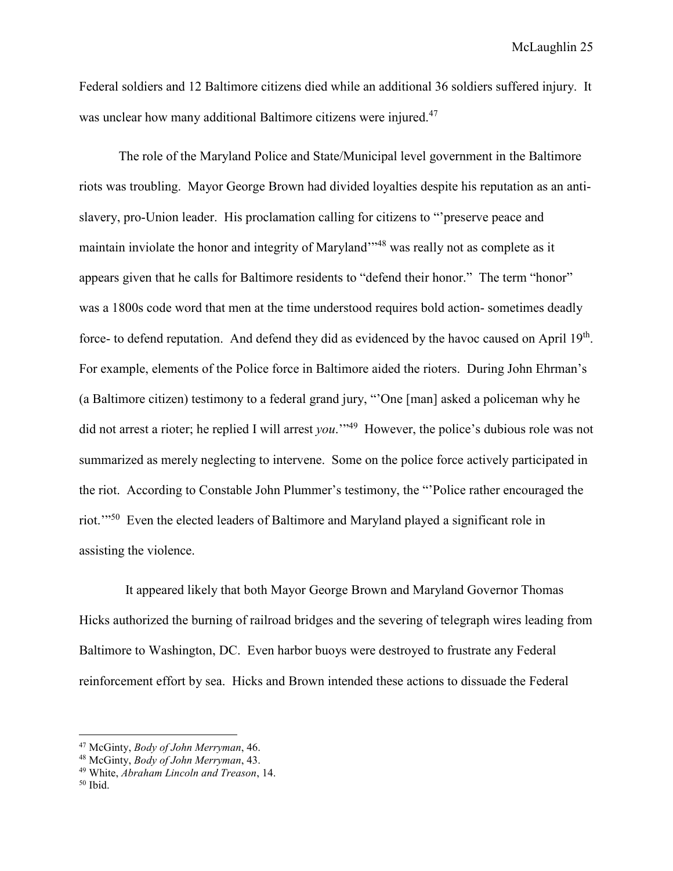Federal soldiers and 12 Baltimore citizens died while an additional 36 soldiers suffered injury. It was unclear how many additional Baltimore citizens were injured.<sup>47</sup>

The role of the Maryland Police and State/Municipal level government in the Baltimore riots was troubling. Mayor George Brown had divided loyalties despite his reputation as an antislavery, pro-Union leader. His proclamation calling for citizens to "'preserve peace and maintain inviolate the honor and integrity of Maryland"<sup>48</sup> was really not as complete as it appears given that he calls for Baltimore residents to "defend their honor." The term "honor" was a 1800s code word that men at the time understood requires bold action- sometimes deadly force- to defend reputation. And defend they did as evidenced by the havoc caused on April 19<sup>th</sup>. For example, elements of the Police force in Baltimore aided the rioters. During John Ehrman's (a Baltimore citizen) testimony to a federal grand jury, "'One [man] asked a policeman why he did not arrest a rioter; he replied I will arrest *you*.'"<sup>49</sup> However, the police's dubious role was not summarized as merely neglecting to intervene. Some on the police force actively participated in the riot. According to Constable John Plummer's testimony, the "'Police rather encouraged the riot.'"<sup>50</sup> Even the elected leaders of Baltimore and Maryland played a significant role in assisting the violence.

 It appeared likely that both Mayor George Brown and Maryland Governor Thomas Hicks authorized the burning of railroad bridges and the severing of telegraph wires leading from Baltimore to Washington, DC. Even harbor buoys were destroyed to frustrate any Federal reinforcement effort by sea. Hicks and Brown intended these actions to dissuade the Federal

<sup>47</sup> McGinty, *Body of John Merryman*, 46.

<sup>48</sup> McGinty, *Body of John Merryman*, 43.

<sup>49</sup> White, *Abraham Lincoln and Treason*, 14.

<sup>50</sup> Ibid.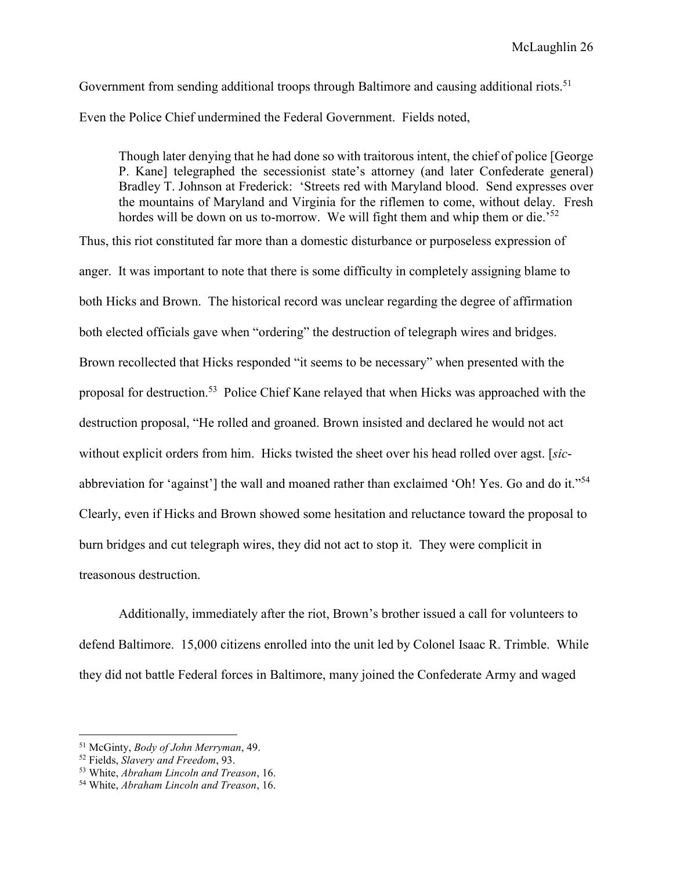Government from sending additional troops through Baltimore and causing additional riots.<sup>51</sup> Even the Police Chief undermined the Federal Government. Fields noted,

Though later denying that he had done so with traitorous intent, the chief of police [George P. Kane] telegraphed the secessionist state's attorney (and later Confederate general) Bradley T. Johnson at Frederick: 'Streets red with Maryland blood. Send expresses over the mountains of Maryland and Virginia for the riflemen to come, without delay. Fresh hordes will be down on us to-morrow. We will fight them and whip them or die.<sup>52</sup>

Thus, this riot constituted far more than a domestic disturbance or purposeless expression of anger. It was important to note that there is some difficulty in completely assigning blame to both Hicks and Brown. The historical record was unclear regarding the degree of affirmation both elected officials gave when "ordering" the destruction of telegraph wires and bridges. Brown recollected that Hicks responded "it seems to be necessary" when presented with the proposal for destruction.<sup>53</sup> Police Chief Kane relayed that when Hicks was approached with the destruction proposal, "He rolled and groaned. Brown insisted and declared he would not act without explicit orders from him. Hicks twisted the sheet over his head rolled over agst. [*sic*abbreviation for 'against'] the wall and moaned rather than exclaimed 'Oh! Yes. Go and do it."<sup>54</sup> Clearly, even if Hicks and Brown showed some hesitation and reluctance toward the proposal to burn bridges and cut telegraph wires, they did not act to stop it. They were complicit in treasonous destruction.

 Additionally, immediately after the riot, Brown's brother issued a call for volunteers to defend Baltimore. 15,000 citizens enrolled into the unit led by Colonel Isaac R. Trimble. While they did not battle Federal forces in Baltimore, many joined the Confederate Army and waged

<sup>51</sup> McGinty, *Body of John Merryman*, 49.

<sup>52</sup> Fields, *Slavery and Freedom*, 93.

<sup>53</sup> White, *Abraham Lincoln and Treason*, 16.

<sup>54</sup> White, *Abraham Lincoln and Treason*, 16.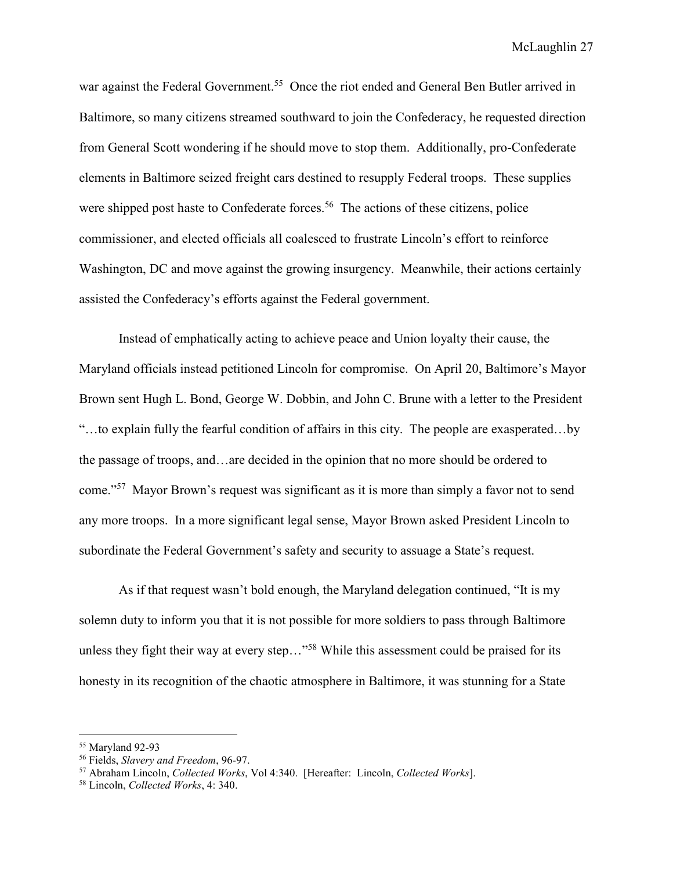war against the Federal Government.<sup>55</sup> Once the riot ended and General Ben Butler arrived in Baltimore, so many citizens streamed southward to join the Confederacy, he requested direction from General Scott wondering if he should move to stop them. Additionally, pro-Confederate elements in Baltimore seized freight cars destined to resupply Federal troops. These supplies were shipped post haste to Confederate forces.<sup>56</sup> The actions of these citizens, police commissioner, and elected officials all coalesced to frustrate Lincoln's effort to reinforce Washington, DC and move against the growing insurgency. Meanwhile, their actions certainly assisted the Confederacy's efforts against the Federal government.

 Instead of emphatically acting to achieve peace and Union loyalty their cause, the Maryland officials instead petitioned Lincoln for compromise. On April 20, Baltimore's Mayor Brown sent Hugh L. Bond, George W. Dobbin, and John C. Brune with a letter to the President "…to explain fully the fearful condition of affairs in this city. The people are exasperated…by the passage of troops, and…are decided in the opinion that no more should be ordered to come."<sup>57</sup> Mayor Brown's request was significant as it is more than simply a favor not to send any more troops. In a more significant legal sense, Mayor Brown asked President Lincoln to subordinate the Federal Government's safety and security to assuage a State's request.

As if that request wasn't bold enough, the Maryland delegation continued, "It is my solemn duty to inform you that it is not possible for more soldiers to pass through Baltimore unless they fight their way at every step..."<sup>58</sup> While this assessment could be praised for its honesty in its recognition of the chaotic atmosphere in Baltimore, it was stunning for a State

<sup>55</sup> Maryland 92-93

<sup>56</sup> Fields, *Slavery and Freedom*, 96-97.

<sup>57</sup> Abraham Lincoln, *Collected Works*, Vol 4:340. [Hereafter: Lincoln, *Collected Works*].

<sup>58</sup> Lincoln, *Collected Works*, 4: 340.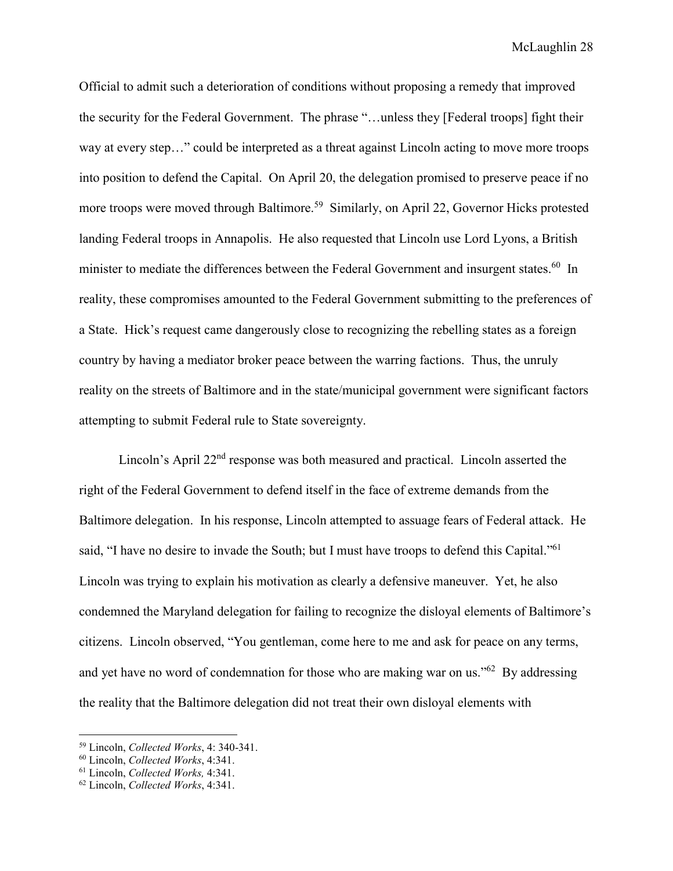Official to admit such a deterioration of conditions without proposing a remedy that improved the security for the Federal Government. The phrase "…unless they [Federal troops] fight their way at every step…" could be interpreted as a threat against Lincoln acting to move more troops into position to defend the Capital. On April 20, the delegation promised to preserve peace if no more troops were moved through Baltimore.<sup>59</sup> Similarly, on April 22, Governor Hicks protested landing Federal troops in Annapolis. He also requested that Lincoln use Lord Lyons, a British minister to mediate the differences between the Federal Government and insurgent states.<sup>60</sup> In reality, these compromises amounted to the Federal Government submitting to the preferences of a State. Hick's request came dangerously close to recognizing the rebelling states as a foreign country by having a mediator broker peace between the warring factions. Thus, the unruly reality on the streets of Baltimore and in the state/municipal government were significant factors attempting to submit Federal rule to State sovereignty.

Lincoln's April 22<sup>nd</sup> response was both measured and practical. Lincoln asserted the right of the Federal Government to defend itself in the face of extreme demands from the Baltimore delegation. In his response, Lincoln attempted to assuage fears of Federal attack. He said, "I have no desire to invade the South; but I must have troops to defend this Capital."<sup>61</sup> Lincoln was trying to explain his motivation as clearly a defensive maneuver. Yet, he also condemned the Maryland delegation for failing to recognize the disloyal elements of Baltimore's citizens. Lincoln observed, "You gentleman, come here to me and ask for peace on any terms, and yet have no word of condemnation for those who are making war on us." $62$  By addressing the reality that the Baltimore delegation did not treat their own disloyal elements with

 $\overline{a}$ 

<sup>59</sup> Lincoln, *Collected Works*, 4: 340-341.

<sup>60</sup> Lincoln, *Collected Works*, 4:341.

<sup>61</sup> Lincoln, *Collected Works,* 4:341.

<sup>62</sup> Lincoln, *Collected Works*, 4:341.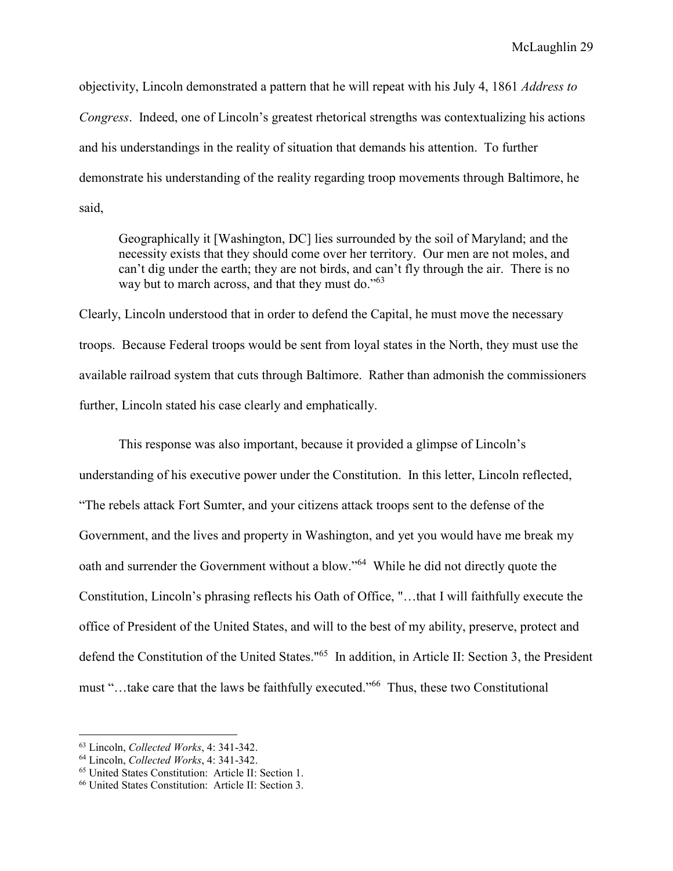objectivity, Lincoln demonstrated a pattern that he will repeat with his July 4, 1861 *Address to Congress*. Indeed, one of Lincoln's greatest rhetorical strengths was contextualizing his actions and his understandings in the reality of situation that demands his attention. To further demonstrate his understanding of the reality regarding troop movements through Baltimore, he said,

Geographically it [Washington, DC] lies surrounded by the soil of Maryland; and the necessity exists that they should come over her territory. Our men are not moles, and can't dig under the earth; they are not birds, and can't fly through the air. There is no way but to march across, and that they must do."<sup>63</sup>

Clearly, Lincoln understood that in order to defend the Capital, he must move the necessary troops. Because Federal troops would be sent from loyal states in the North, they must use the available railroad system that cuts through Baltimore. Rather than admonish the commissioners further, Lincoln stated his case clearly and emphatically.

 This response was also important, because it provided a glimpse of Lincoln's understanding of his executive power under the Constitution. In this letter, Lincoln reflected, "The rebels attack Fort Sumter, and your citizens attack troops sent to the defense of the Government, and the lives and property in Washington, and yet you would have me break my oath and surrender the Government without a blow."<sup>64</sup> While he did not directly quote the Constitution, Lincoln's phrasing reflects his Oath of Office, "…that I will faithfully execute the office of President of the United States, and will to the best of my ability, preserve, protect and defend the Constitution of the United States."<sup>65</sup> In addition, in Article II: Section 3, the President must "…take care that the laws be faithfully executed."<sup>66</sup> Thus, these two Constitutional

 $\overline{a}$ 

<sup>63</sup> Lincoln, *Collected Works*, 4: 341-342.

<sup>64</sup> Lincoln, *Collected Works*, 4: 341-342.

<sup>65</sup> United States Constitution: Article II: Section 1.

<sup>66</sup> United States Constitution: Article II: Section 3.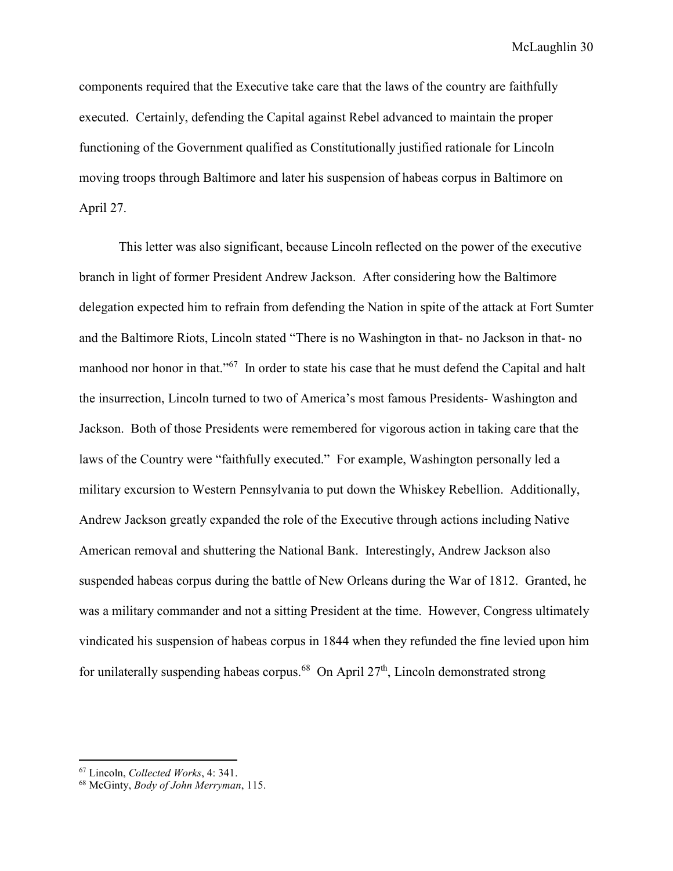components required that the Executive take care that the laws of the country are faithfully executed. Certainly, defending the Capital against Rebel advanced to maintain the proper functioning of the Government qualified as Constitutionally justified rationale for Lincoln moving troops through Baltimore and later his suspension of habeas corpus in Baltimore on April 27.

 This letter was also significant, because Lincoln reflected on the power of the executive branch in light of former President Andrew Jackson. After considering how the Baltimore delegation expected him to refrain from defending the Nation in spite of the attack at Fort Sumter and the Baltimore Riots, Lincoln stated "There is no Washington in that- no Jackson in that- no manhood nor honor in that."<sup>67</sup> In order to state his case that he must defend the Capital and halt the insurrection, Lincoln turned to two of America's most famous Presidents- Washington and Jackson. Both of those Presidents were remembered for vigorous action in taking care that the laws of the Country were "faithfully executed." For example, Washington personally led a military excursion to Western Pennsylvania to put down the Whiskey Rebellion. Additionally, Andrew Jackson greatly expanded the role of the Executive through actions including Native American removal and shuttering the National Bank. Interestingly, Andrew Jackson also suspended habeas corpus during the battle of New Orleans during the War of 1812. Granted, he was a military commander and not a sitting President at the time. However, Congress ultimately vindicated his suspension of habeas corpus in 1844 when they refunded the fine levied upon him for unilaterally suspending habeas corpus.<sup>68</sup> On April  $27<sup>th</sup>$ , Lincoln demonstrated strong

 $\overline{a}$ 

<sup>67</sup> Lincoln, *Collected Works*, 4: 341.

<sup>68</sup> McGinty, *Body of John Merryman*, 115.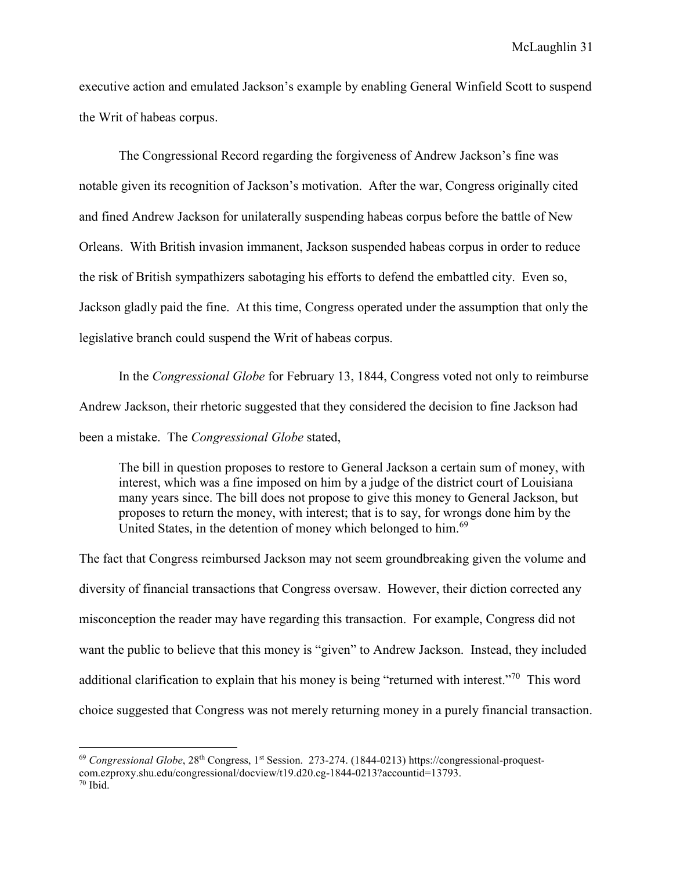executive action and emulated Jackson's example by enabling General Winfield Scott to suspend the Writ of habeas corpus.

The Congressional Record regarding the forgiveness of Andrew Jackson's fine was notable given its recognition of Jackson's motivation. After the war, Congress originally cited and fined Andrew Jackson for unilaterally suspending habeas corpus before the battle of New Orleans. With British invasion immanent, Jackson suspended habeas corpus in order to reduce the risk of British sympathizers sabotaging his efforts to defend the embattled city. Even so, Jackson gladly paid the fine. At this time, Congress operated under the assumption that only the legislative branch could suspend the Writ of habeas corpus.

 In the *Congressional Globe* for February 13, 1844, Congress voted not only to reimburse Andrew Jackson, their rhetoric suggested that they considered the decision to fine Jackson had been a mistake. The *Congressional Globe* stated,

The bill in question proposes to restore to General Jackson a certain sum of money, with interest, which was a fine imposed on him by a judge of the district court of Louisiana many years since. The bill does not propose to give this money to General Jackson, but proposes to return the money, with interest; that is to say, for wrongs done him by the United States, in the detention of money which belonged to him.<sup>69</sup>

The fact that Congress reimbursed Jackson may not seem groundbreaking given the volume and diversity of financial transactions that Congress oversaw. However, their diction corrected any misconception the reader may have regarding this transaction. For example, Congress did not want the public to believe that this money is "given" to Andrew Jackson. Instead, they included additional clarification to explain that his money is being "returned with interest."<sup>70</sup> This word choice suggested that Congress was not merely returning money in a purely financial transaction.

<sup>&</sup>lt;sup>69</sup> *Congressional Globe*, 28<sup>th</sup> Congress, 1<sup>st</sup> Session. 273-274. (1844-0213) https://congressional-proquestcom.ezproxy.shu.edu/congressional/docview/t19.d20.cg-1844-0213?accountid=13793.  $70$  Ibid.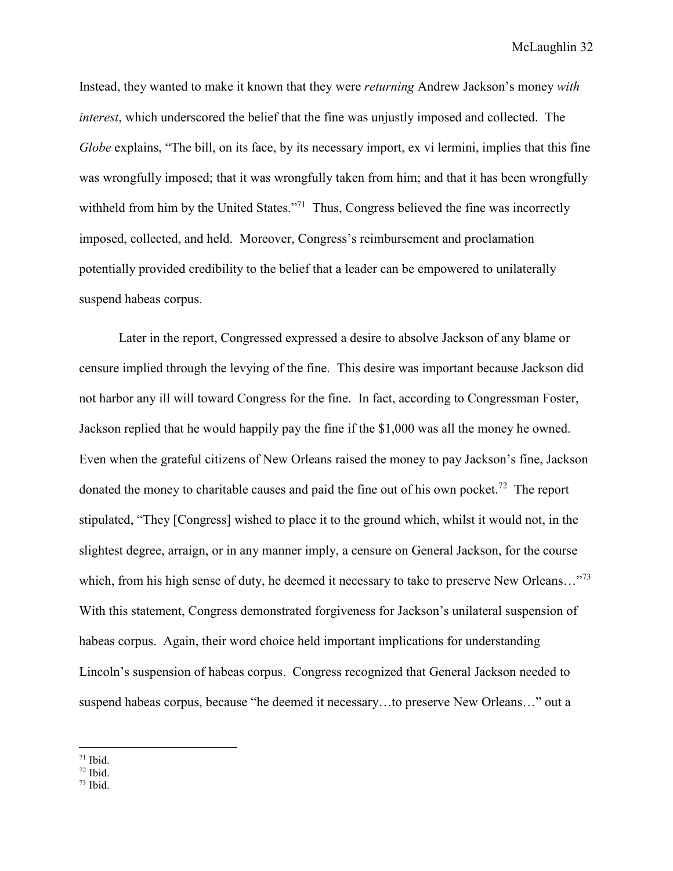Instead, they wanted to make it known that they were *returning* Andrew Jackson's money *with interest*, which underscored the belief that the fine was unjustly imposed and collected. The *Globe* explains, "The bill, on its face, by its necessary import, ex vi lermini, implies that this fine was wrongfully imposed; that it was wrongfully taken from him; and that it has been wrongfully withheld from him by the United States."<sup>71</sup> Thus, Congress believed the fine was incorrectly imposed, collected, and held. Moreover, Congress's reimbursement and proclamation potentially provided credibility to the belief that a leader can be empowered to unilaterally suspend habeas corpus.

Later in the report, Congressed expressed a desire to absolve Jackson of any blame or censure implied through the levying of the fine. This desire was important because Jackson did not harbor any ill will toward Congress for the fine. In fact, according to Congressman Foster, Jackson replied that he would happily pay the fine if the \$1,000 was all the money he owned. Even when the grateful citizens of New Orleans raised the money to pay Jackson's fine, Jackson donated the money to charitable causes and paid the fine out of his own pocket.<sup>72</sup> The report stipulated, "They [Congress] wished to place it to the ground which, whilst it would not, in the slightest degree, arraign, or in any manner imply, a censure on General Jackson, for the course which, from his high sense of duty, he deemed it necessary to take to preserve New Orleans..."<sup>73</sup> With this statement, Congress demonstrated forgiveness for Jackson's unilateral suspension of habeas corpus. Again, their word choice held important implications for understanding Lincoln's suspension of habeas corpus. Congress recognized that General Jackson needed to suspend habeas corpus, because "he deemed it necessary…to preserve New Orleans…" out a

 $73$  Ibid.

<sup>&</sup>lt;u>.</u>  $71$  Ibid.

 $72$  Ibid.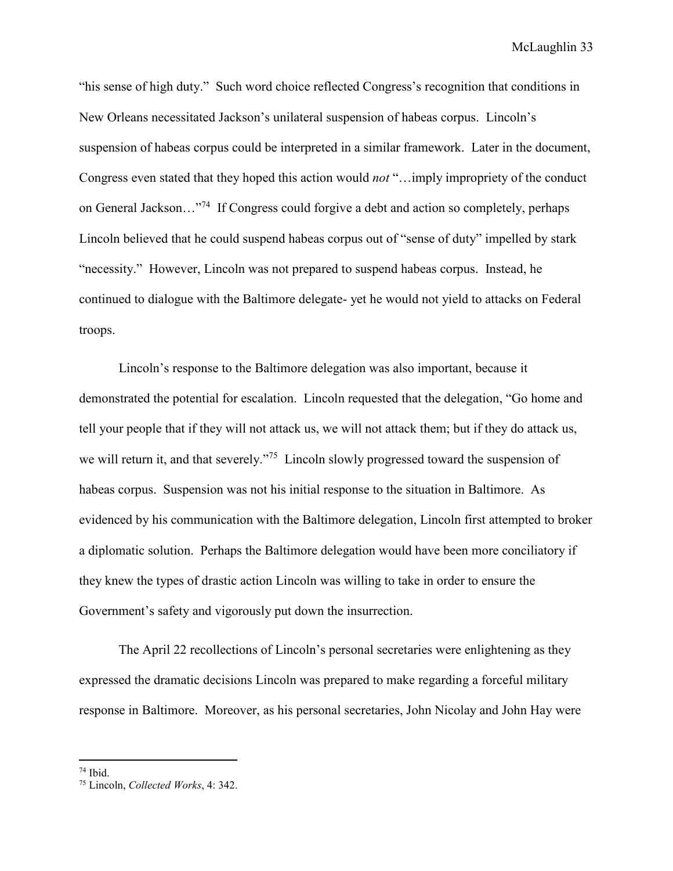"his sense of high duty." Such word choice reflected Congress's recognition that conditions in New Orleans necessitated Jackson's unilateral suspension of habeas corpus. Lincoln's suspension of habeas corpus could be interpreted in a similar framework. Later in the document, Congress even stated that they hoped this action would *not* "…imply impropriety of the conduct on General Jackson…"<sup>74</sup> If Congress could forgive a debt and action so completely, perhaps Lincoln believed that he could suspend habeas corpus out of "sense of duty" impelled by stark "necessity." However, Lincoln was not prepared to suspend habeas corpus. Instead, he continued to dialogue with the Baltimore delegate- yet he would not yield to attacks on Federal troops.

Lincoln's response to the Baltimore delegation was also important, because it demonstrated the potential for escalation. Lincoln requested that the delegation, "Go home and tell your people that if they will not attack us, we will not attack them; but if they do attack us, we will return it, and that severely.<sup>75</sup> Lincoln slowly progressed toward the suspension of habeas corpus. Suspension was not his initial response to the situation in Baltimore. As evidenced by his communication with the Baltimore delegation, Lincoln first attempted to broker a diplomatic solution. Perhaps the Baltimore delegation would have been more conciliatory if they knew the types of drastic action Lincoln was willing to take in order to ensure the Government's safety and vigorously put down the insurrection.

The April 22 recollections of Lincoln's personal secretaries were enlightening as they expressed the dramatic decisions Lincoln was prepared to make regarding a forceful military response in Baltimore. Moreover, as his personal secretaries, John Nicolay and John Hay were

<sup>74</sup> Ibid.

<sup>75</sup> Lincoln, *Collected Works*, 4: 342.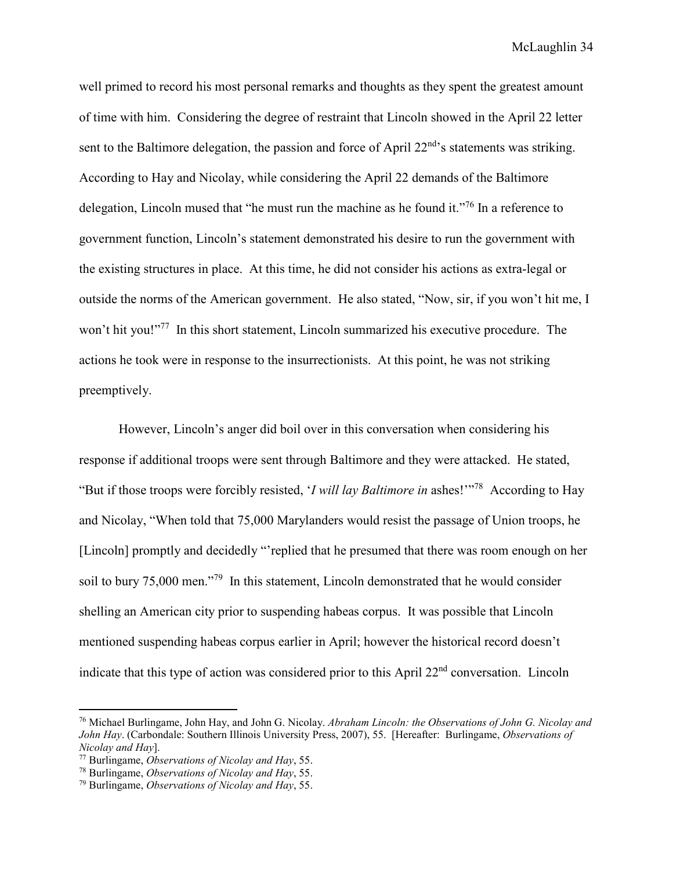well primed to record his most personal remarks and thoughts as they spent the greatest amount of time with him. Considering the degree of restraint that Lincoln showed in the April 22 letter sent to the Baltimore delegation, the passion and force of April 22<sup>nd</sup>'s statements was striking. According to Hay and Nicolay, while considering the April 22 demands of the Baltimore delegation, Lincoln mused that "he must run the machine as he found it."<sup>76</sup> In a reference to government function, Lincoln's statement demonstrated his desire to run the government with the existing structures in place. At this time, he did not consider his actions as extra-legal or outside the norms of the American government. He also stated, "Now, sir, if you won't hit me, I won't hit you!"<sup>77</sup> In this short statement, Lincoln summarized his executive procedure. The actions he took were in response to the insurrectionists. At this point, he was not striking preemptively.

However, Lincoln's anger did boil over in this conversation when considering his response if additional troops were sent through Baltimore and they were attacked. He stated, "But if those troops were forcibly resisted, '*I will lay Baltimore in* ashes!'"<sup>78</sup> According to Hay and Nicolay, "When told that 75,000 Marylanders would resist the passage of Union troops, he [Lincoln] promptly and decidedly "'replied that he presumed that there was room enough on her soil to bury 75,000 men."<sup>79</sup> In this statement, Lincoln demonstrated that he would consider shelling an American city prior to suspending habeas corpus. It was possible that Lincoln mentioned suspending habeas corpus earlier in April; however the historical record doesn't indicate that this type of action was considered prior to this April 22nd conversation. Lincoln

-

<sup>76</sup> Michael Burlingame, John Hay, and John G. Nicolay. *Abraham Lincoln: the Observations of John G. Nicolay and John Hay*. (Carbondale: Southern Illinois University Press, 2007), 55. [Hereafter: Burlingame, *Observations of Nicolay and Hay*].

<sup>77</sup> Burlingame, *Observations of Nicolay and Hay*, 55.

<sup>78</sup> Burlingame, *Observations of Nicolay and Hay*, 55.

<sup>79</sup> Burlingame, *Observations of Nicolay and Hay*, 55.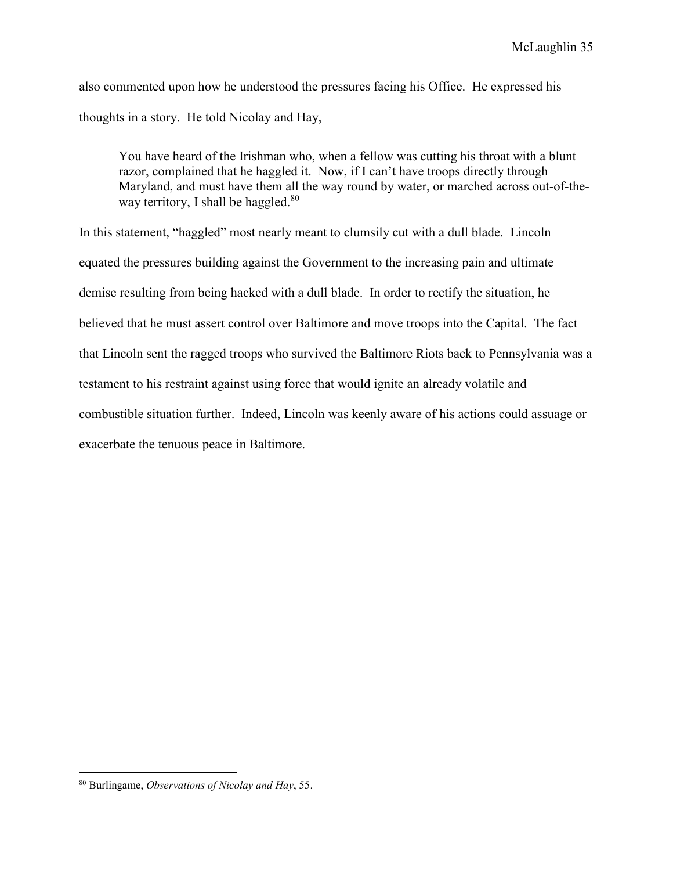also commented upon how he understood the pressures facing his Office. He expressed his thoughts in a story. He told Nicolay and Hay,

You have heard of the Irishman who, when a fellow was cutting his throat with a blunt razor, complained that he haggled it. Now, if I can't have troops directly through Maryland, and must have them all the way round by water, or marched across out-of-theway territory, I shall be haggled. $80$ 

In this statement, "haggled" most nearly meant to clumsily cut with a dull blade. Lincoln equated the pressures building against the Government to the increasing pain and ultimate demise resulting from being hacked with a dull blade. In order to rectify the situation, he believed that he must assert control over Baltimore and move troops into the Capital. The fact that Lincoln sent the ragged troops who survived the Baltimore Riots back to Pennsylvania was a testament to his restraint against using force that would ignite an already volatile and combustible situation further. Indeed, Lincoln was keenly aware of his actions could assuage or exacerbate the tenuous peace in Baltimore.

<sup>80</sup> Burlingame, *Observations of Nicolay and Hay*, 55.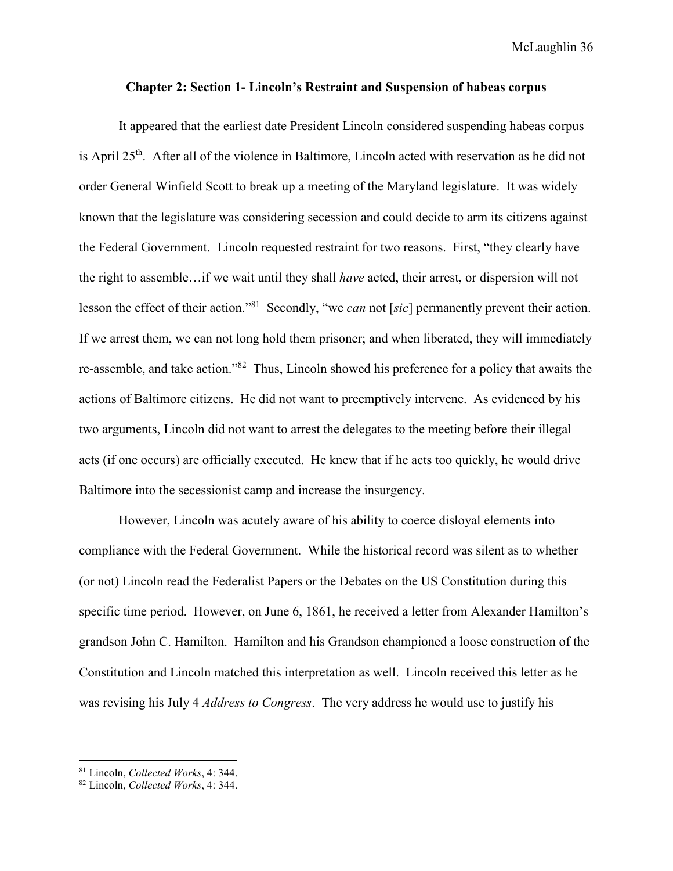## **Chapter 2: Section 1- Lincoln's Restraint and Suspension of habeas corpus**

 It appeared that the earliest date President Lincoln considered suspending habeas corpus is April 25<sup>th</sup>. After all of the violence in Baltimore, Lincoln acted with reservation as he did not order General Winfield Scott to break up a meeting of the Maryland legislature. It was widely known that the legislature was considering secession and could decide to arm its citizens against the Federal Government. Lincoln requested restraint for two reasons. First, "they clearly have the right to assemble…if we wait until they shall *have* acted, their arrest, or dispersion will not lesson the effect of their action."<sup>81</sup> Secondly, "we *can* not [*sic*] permanently prevent their action. If we arrest them, we can not long hold them prisoner; and when liberated, they will immediately re-assemble, and take action."<sup>82</sup> Thus, Lincoln showed his preference for a policy that awaits the actions of Baltimore citizens. He did not want to preemptively intervene. As evidenced by his two arguments, Lincoln did not want to arrest the delegates to the meeting before their illegal acts (if one occurs) are officially executed. He knew that if he acts too quickly, he would drive Baltimore into the secessionist camp and increase the insurgency.

However, Lincoln was acutely aware of his ability to coerce disloyal elements into compliance with the Federal Government. While the historical record was silent as to whether (or not) Lincoln read the Federalist Papers or the Debates on the US Constitution during this specific time period. However, on June 6, 1861, he received a letter from Alexander Hamilton's grandson John C. Hamilton. Hamilton and his Grandson championed a loose construction of the Constitution and Lincoln matched this interpretation as well. Lincoln received this letter as he was revising his July 4 *Address to Congress*. The very address he would use to justify his

<sup>81</sup> Lincoln, *Collected Works*, 4: 344.

<sup>82</sup> Lincoln, *Collected Works*, 4: 344.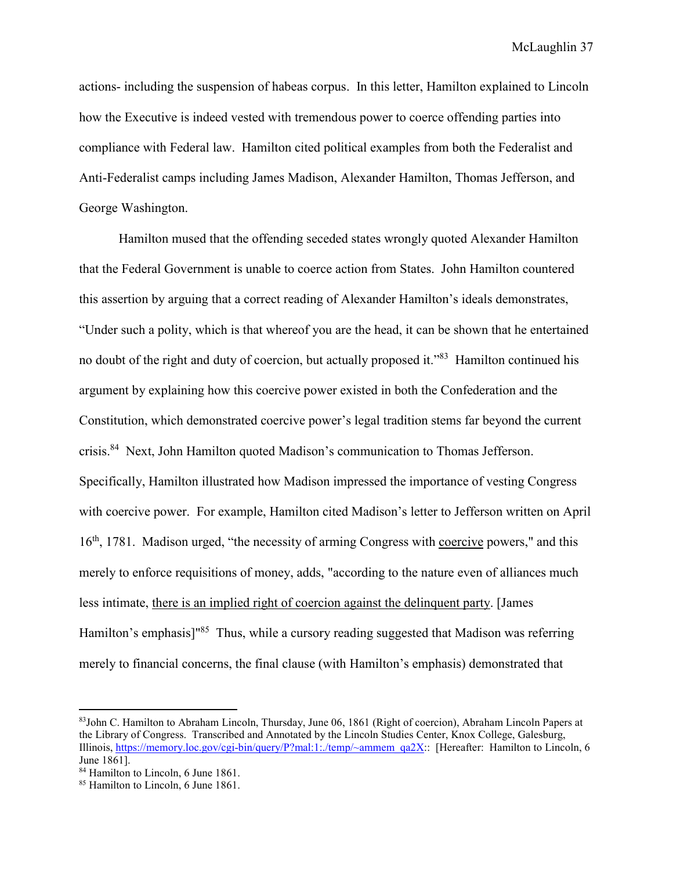actions- including the suspension of habeas corpus. In this letter, Hamilton explained to Lincoln how the Executive is indeed vested with tremendous power to coerce offending parties into compliance with Federal law. Hamilton cited political examples from both the Federalist and Anti-Federalist camps including James Madison, Alexander Hamilton, Thomas Jefferson, and George Washington.

Hamilton mused that the offending seceded states wrongly quoted Alexander Hamilton that the Federal Government is unable to coerce action from States. John Hamilton countered this assertion by arguing that a correct reading of Alexander Hamilton's ideals demonstrates, "Under such a polity, which is that whereof you are the head, it can be shown that he entertained no doubt of the right and duty of coercion, but actually proposed it."<sup>83</sup> Hamilton continued his argument by explaining how this coercive power existed in both the Confederation and the Constitution, which demonstrated coercive power's legal tradition stems far beyond the current crisis.<sup>84</sup> Next, John Hamilton quoted Madison's communication to Thomas Jefferson. Specifically, Hamilton illustrated how Madison impressed the importance of vesting Congress with coercive power. For example, Hamilton cited Madison's letter to Jefferson written on April 16<sup>th</sup>, 1781. Madison urged, "the necessity of arming Congress with coercive powers," and this merely to enforce requisitions of money, adds, "according to the nature even of alliances much less intimate, there is an implied right of coercion against the delinquent party. [James Hamilton's emphasis]<sup>"85</sup> Thus, while a cursory reading suggested that Madison was referring merely to financial concerns, the final clause (with Hamilton's emphasis) demonstrated that

 $\overline{a}$ 

<sup>83</sup>John C. Hamilton to Abraham Lincoln, Thursday, June 06, 1861 (Right of coercion), Abraham Lincoln Papers at the Library of Congress. Transcribed and Annotated by the Lincoln Studies Center, Knox College, Galesburg, Illinois, https://memory.loc.gov/cgi-bin/query/P?mal:1:./temp/~ammem\_qa2X:: [Hereafter: Hamilton to Lincoln, 6 June 1861].

<sup>&</sup>lt;sup>84</sup> Hamilton to Lincoln, 6 June 1861.

<sup>&</sup>lt;sup>85</sup> Hamilton to Lincoln, 6 June 1861.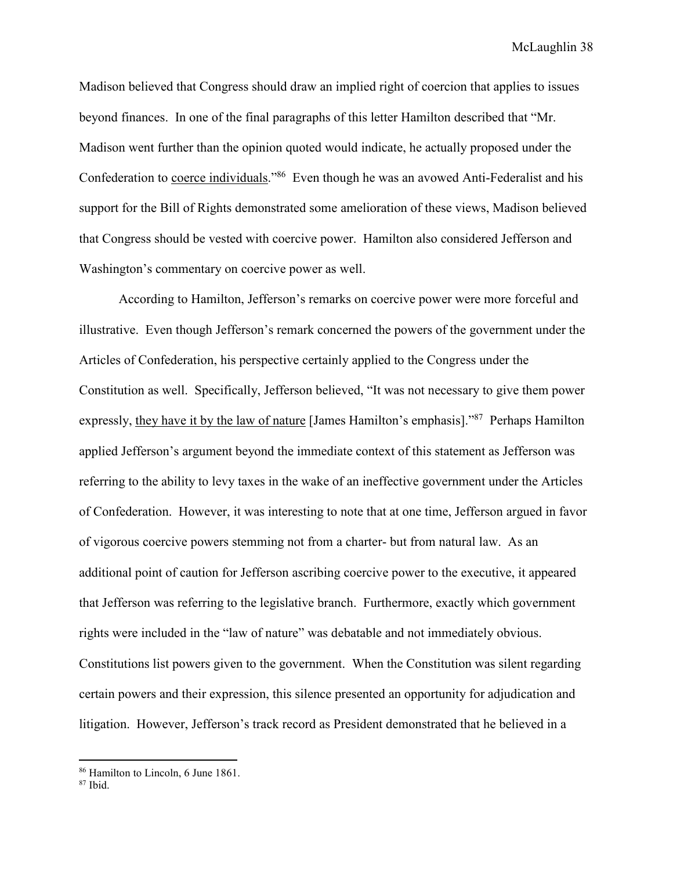Madison believed that Congress should draw an implied right of coercion that applies to issues beyond finances. In one of the final paragraphs of this letter Hamilton described that "Mr. Madison went further than the opinion quoted would indicate, he actually proposed under the Confederation to coerce individuals."<sup>86</sup> Even though he was an avowed Anti-Federalist and his support for the Bill of Rights demonstrated some amelioration of these views, Madison believed that Congress should be vested with coercive power. Hamilton also considered Jefferson and Washington's commentary on coercive power as well.

According to Hamilton, Jefferson's remarks on coercive power were more forceful and illustrative. Even though Jefferson's remark concerned the powers of the government under the Articles of Confederation, his perspective certainly applied to the Congress under the Constitution as well. Specifically, Jefferson believed, "It was not necessary to give them power expressly, they have it by the law of nature [James Hamilton's emphasis]."<sup>87</sup> Perhaps Hamilton applied Jefferson's argument beyond the immediate context of this statement as Jefferson was referring to the ability to levy taxes in the wake of an ineffective government under the Articles of Confederation. However, it was interesting to note that at one time, Jefferson argued in favor of vigorous coercive powers stemming not from a charter- but from natural law. As an additional point of caution for Jefferson ascribing coercive power to the executive, it appeared that Jefferson was referring to the legislative branch. Furthermore, exactly which government rights were included in the "law of nature" was debatable and not immediately obvious. Constitutions list powers given to the government. When the Constitution was silent regarding certain powers and their expression, this silence presented an opportunity for adjudication and litigation. However, Jefferson's track record as President demonstrated that he believed in a

<sup>86</sup> Hamilton to Lincoln, 6 June 1861.

<sup>87</sup> Ibid.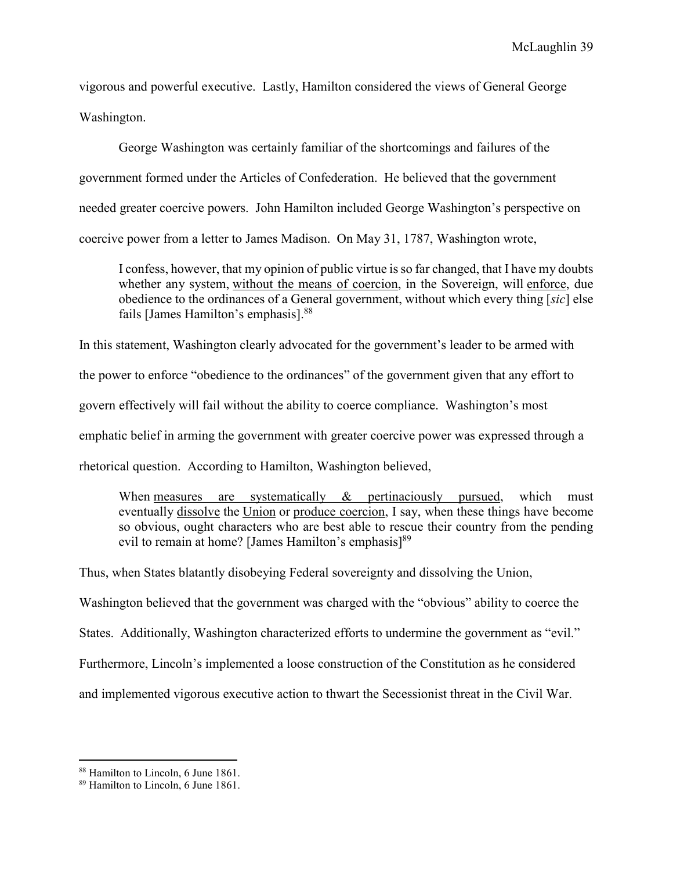vigorous and powerful executive. Lastly, Hamilton considered the views of General George Washington.

George Washington was certainly familiar of the shortcomings and failures of the government formed under the Articles of Confederation. He believed that the government needed greater coercive powers. John Hamilton included George Washington's perspective on coercive power from a letter to James Madison. On May 31, 1787, Washington wrote,

I confess, however, that my opinion of public virtue is so far changed, that I have my doubts whether any system, without the means of coercion, in the Sovereign, will enforce, due obedience to the ordinances of a General government, without which every thing [*sic*] else fails [James Hamilton's emphasis].<sup>88</sup>

In this statement, Washington clearly advocated for the government's leader to be armed with the power to enforce "obedience to the ordinances" of the government given that any effort to govern effectively will fail without the ability to coerce compliance. Washington's most emphatic belief in arming the government with greater coercive power was expressed through a rhetorical question. According to Hamilton, Washington believed,

When measures are systematically & pertinaciously pursued, which must eventually dissolve the Union or produce coercion, I say, when these things have become so obvious, ought characters who are best able to rescue their country from the pending evil to remain at home? [James Hamilton's emphasis]<sup>89</sup>

Thus, when States blatantly disobeying Federal sovereignty and dissolving the Union,

Washington believed that the government was charged with the "obvious" ability to coerce the

States. Additionally, Washington characterized efforts to undermine the government as "evil."

Furthermore, Lincoln's implemented a loose construction of the Constitution as he considered

and implemented vigorous executive action to thwart the Secessionist threat in the Civil War.

<sup>88</sup> Hamilton to Lincoln, 6 June 1861.

<sup>89</sup> Hamilton to Lincoln, 6 June 1861.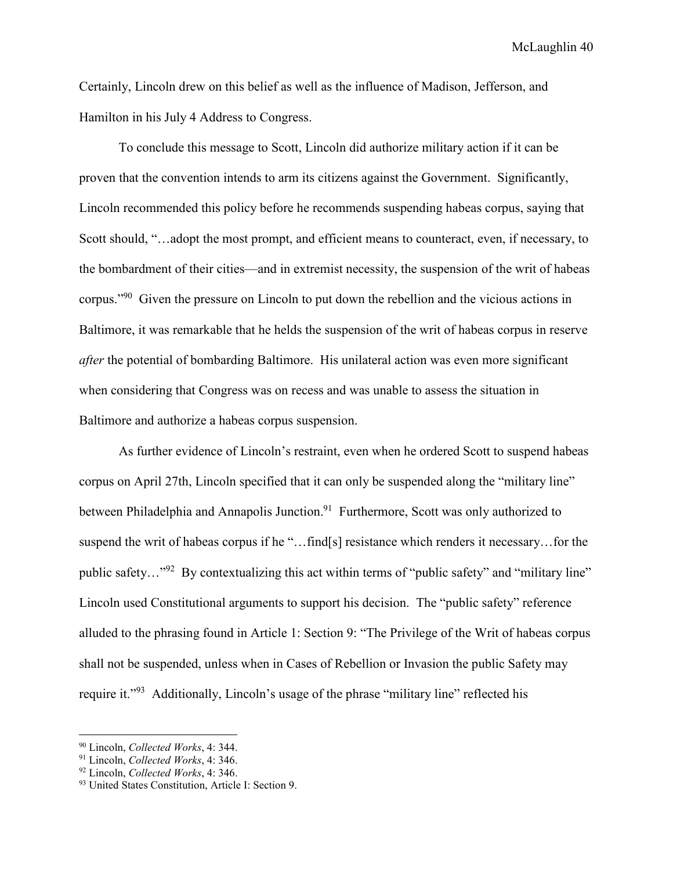Certainly, Lincoln drew on this belief as well as the influence of Madison, Jefferson, and Hamilton in his July 4 Address to Congress.

To conclude this message to Scott, Lincoln did authorize military action if it can be proven that the convention intends to arm its citizens against the Government. Significantly, Lincoln recommended this policy before he recommends suspending habeas corpus, saying that Scott should, "…adopt the most prompt, and efficient means to counteract, even, if necessary, to the bombardment of their cities—and in extremist necessity, the suspension of the writ of habeas corpus."<sup>90</sup> Given the pressure on Lincoln to put down the rebellion and the vicious actions in Baltimore, it was remarkable that he helds the suspension of the writ of habeas corpus in reserve *after* the potential of bombarding Baltimore. His unilateral action was even more significant when considering that Congress was on recess and was unable to assess the situation in Baltimore and authorize a habeas corpus suspension.

 As further evidence of Lincoln's restraint, even when he ordered Scott to suspend habeas corpus on April 27th, Lincoln specified that it can only be suspended along the "military line" between Philadelphia and Annapolis Junction.<sup>91</sup> Furthermore, Scott was only authorized to suspend the writ of habeas corpus if he "…find[s] resistance which renders it necessary…for the public safety..."<sup>92</sup> By contextualizing this act within terms of "public safety" and "military line" Lincoln used Constitutional arguments to support his decision. The "public safety" reference alluded to the phrasing found in Article 1: Section 9: "The Privilege of the Writ of habeas corpus shall not be suspended, unless when in Cases of Rebellion or Invasion the public Safety may require it."<sup>93</sup> Additionally, Lincoln's usage of the phrase "military line" reflected his

 $\overline{a}$ 

<sup>90</sup> Lincoln, *Collected Works*, 4: 344.

<sup>91</sup> Lincoln, *Collected Works*, 4: 346.

<sup>92</sup> Lincoln, *Collected Works*, 4: 346.

<sup>93</sup> United States Constitution, Article I: Section 9.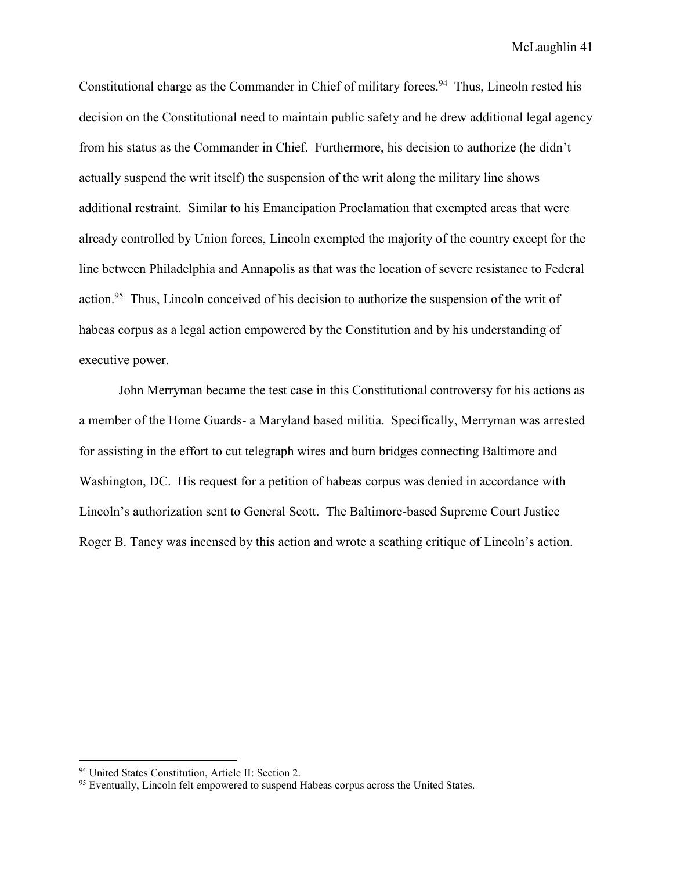Constitutional charge as the Commander in Chief of military forces.<sup>94</sup> Thus, Lincoln rested his decision on the Constitutional need to maintain public safety and he drew additional legal agency from his status as the Commander in Chief. Furthermore, his decision to authorize (he didn't actually suspend the writ itself) the suspension of the writ along the military line shows additional restraint. Similar to his Emancipation Proclamation that exempted areas that were already controlled by Union forces, Lincoln exempted the majority of the country except for the line between Philadelphia and Annapolis as that was the location of severe resistance to Federal action.<sup>95</sup> Thus, Lincoln conceived of his decision to authorize the suspension of the writ of habeas corpus as a legal action empowered by the Constitution and by his understanding of executive power.

 John Merryman became the test case in this Constitutional controversy for his actions as a member of the Home Guards- a Maryland based militia. Specifically, Merryman was arrested for assisting in the effort to cut telegraph wires and burn bridges connecting Baltimore and Washington, DC. His request for a petition of habeas corpus was denied in accordance with Lincoln's authorization sent to General Scott. The Baltimore-based Supreme Court Justice Roger B. Taney was incensed by this action and wrote a scathing critique of Lincoln's action.

 $\overline{a}$ 

<sup>&</sup>lt;sup>94</sup> United States Constitution, Article II: Section 2.

<sup>&</sup>lt;sup>95</sup> Eventually, Lincoln felt empowered to suspend Habeas corpus across the United States.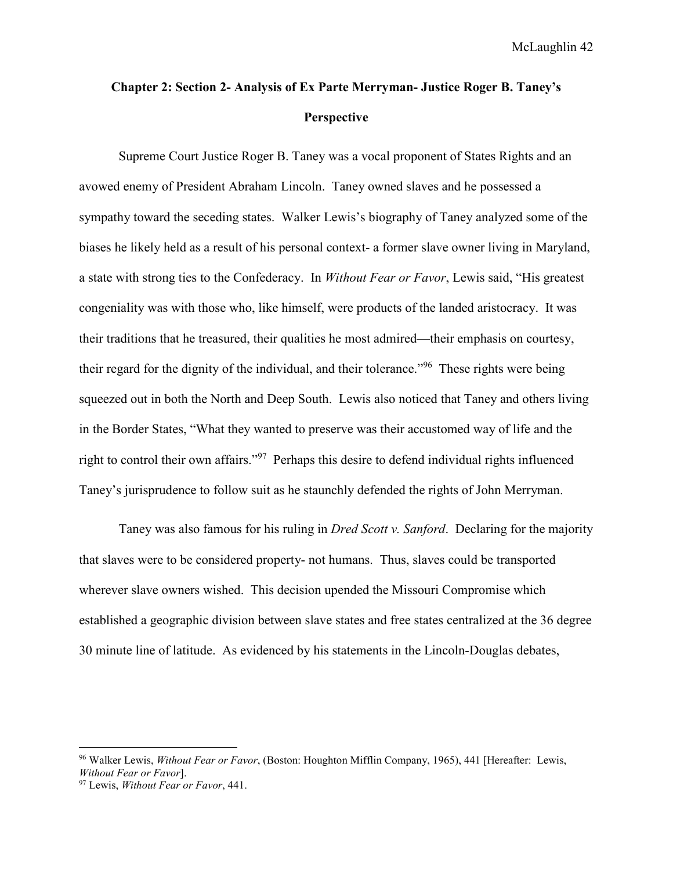## **Chapter 2: Section 2- Analysis of Ex Parte Merryman- Justice Roger B. Taney's Perspective**

Supreme Court Justice Roger B. Taney was a vocal proponent of States Rights and an avowed enemy of President Abraham Lincoln. Taney owned slaves and he possessed a sympathy toward the seceding states. Walker Lewis's biography of Taney analyzed some of the biases he likely held as a result of his personal context- a former slave owner living in Maryland, a state with strong ties to the Confederacy. In *Without Fear or Favor*, Lewis said, "His greatest congeniality was with those who, like himself, were products of the landed aristocracy. It was their traditions that he treasured, their qualities he most admired—their emphasis on courtesy, their regard for the dignity of the individual, and their tolerance."<sup>96</sup> These rights were being squeezed out in both the North and Deep South. Lewis also noticed that Taney and others living in the Border States, "What they wanted to preserve was their accustomed way of life and the right to control their own affairs."<sup>97</sup> Perhaps this desire to defend individual rights influenced Taney's jurisprudence to follow suit as he staunchly defended the rights of John Merryman.

Taney was also famous for his ruling in *Dred Scott v. Sanford*. Declaring for the majority that slaves were to be considered property- not humans. Thus, slaves could be transported wherever slave owners wished. This decision upended the Missouri Compromise which established a geographic division between slave states and free states centralized at the 36 degree 30 minute line of latitude. As evidenced by his statements in the Lincoln-Douglas debates,

<sup>96</sup> Walker Lewis, *Without Fear or Favor*, (Boston: Houghton Mifflin Company, 1965), 441 [Hereafter: Lewis, *Without Fear or Favor*].

<sup>97</sup> Lewis, *Without Fear or Favor*, 441.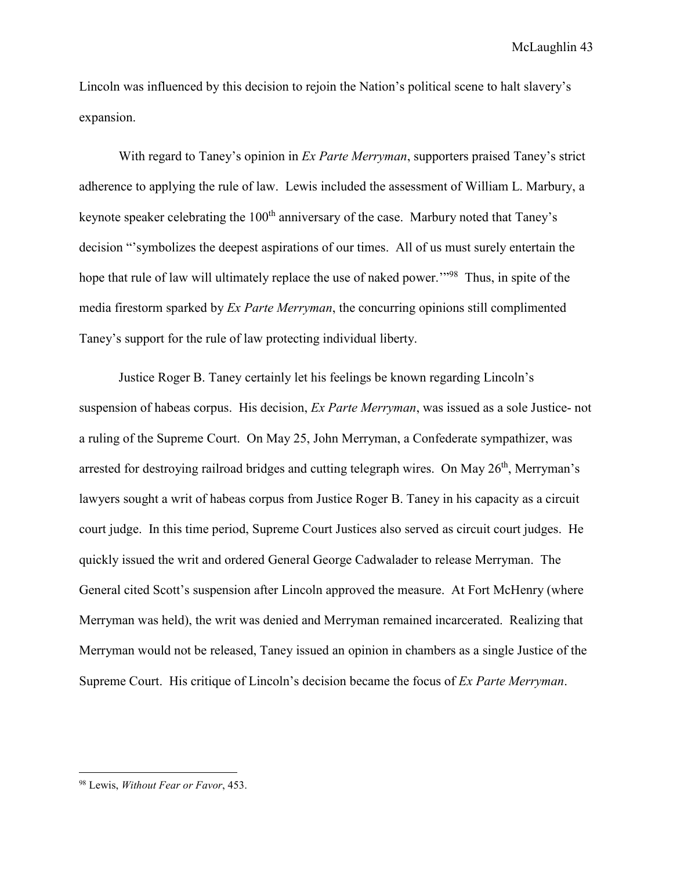Lincoln was influenced by this decision to rejoin the Nation's political scene to halt slavery's expansion.

With regard to Taney's opinion in *Ex Parte Merryman*, supporters praised Taney's strict adherence to applying the rule of law. Lewis included the assessment of William L. Marbury, a keynote speaker celebrating the 100<sup>th</sup> anniversary of the case. Marbury noted that Taney's decision "'symbolizes the deepest aspirations of our times. All of us must surely entertain the hope that rule of law will ultimately replace the use of naked power.<sup>198</sup> Thus, in spite of the media firestorm sparked by *Ex Parte Merryman*, the concurring opinions still complimented Taney's support for the rule of law protecting individual liberty.

Justice Roger B. Taney certainly let his feelings be known regarding Lincoln's suspension of habeas corpus. His decision, *Ex Parte Merryman*, was issued as a sole Justice- not a ruling of the Supreme Court. On May 25, John Merryman, a Confederate sympathizer, was arrested for destroying railroad bridges and cutting telegraph wires. On May 26<sup>th</sup>, Merryman's lawyers sought a writ of habeas corpus from Justice Roger B. Taney in his capacity as a circuit court judge. In this time period, Supreme Court Justices also served as circuit court judges. He quickly issued the writ and ordered General George Cadwalader to release Merryman. The General cited Scott's suspension after Lincoln approved the measure. At Fort McHenry (where Merryman was held), the writ was denied and Merryman remained incarcerated. Realizing that Merryman would not be released, Taney issued an opinion in chambers as a single Justice of the Supreme Court. His critique of Lincoln's decision became the focus of *Ex Parte Merryman*.

<sup>98</sup> Lewis, *Without Fear or Favor*, 453.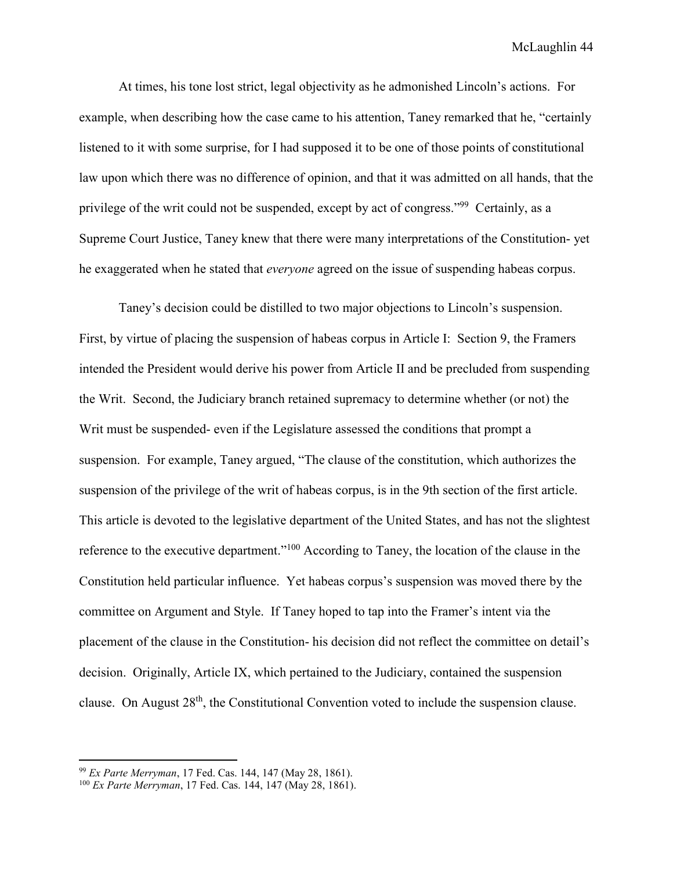At times, his tone lost strict, legal objectivity as he admonished Lincoln's actions. For example, when describing how the case came to his attention, Taney remarked that he, "certainly listened to it with some surprise, for I had supposed it to be one of those points of constitutional law upon which there was no difference of opinion, and that it was admitted on all hands, that the privilege of the writ could not be suspended, except by act of congress."<sup>99</sup> Certainly, as a Supreme Court Justice, Taney knew that there were many interpretations of the Constitution- yet he exaggerated when he stated that *everyone* agreed on the issue of suspending habeas corpus.

Taney's decision could be distilled to two major objections to Lincoln's suspension. First, by virtue of placing the suspension of habeas corpus in Article I: Section 9, the Framers intended the President would derive his power from Article II and be precluded from suspending the Writ. Second, the Judiciary branch retained supremacy to determine whether (or not) the Writ must be suspended- even if the Legislature assessed the conditions that prompt a suspension. For example, Taney argued, "The clause of the constitution, which authorizes the suspension of the privilege of the writ of habeas corpus, is in the 9th section of the first article. This article is devoted to the legislative department of the United States, and has not the slightest reference to the executive department."<sup>100</sup> According to Taney, the location of the clause in the Constitution held particular influence. Yet habeas corpus's suspension was moved there by the committee on Argument and Style. If Taney hoped to tap into the Framer's intent via the placement of the clause in the Constitution- his decision did not reflect the committee on detail's decision. Originally, Article IX, which pertained to the Judiciary, contained the suspension clause. On August 28th, the Constitutional Convention voted to include the suspension clause.

 $\overline{a}$ 

<sup>99</sup> *Ex Parte Merryman*, 17 Fed. Cas. 144, 147 (May 28, 1861).

<sup>100</sup> *Ex Parte Merryman*, 17 Fed. Cas. 144, 147 (May 28, 1861).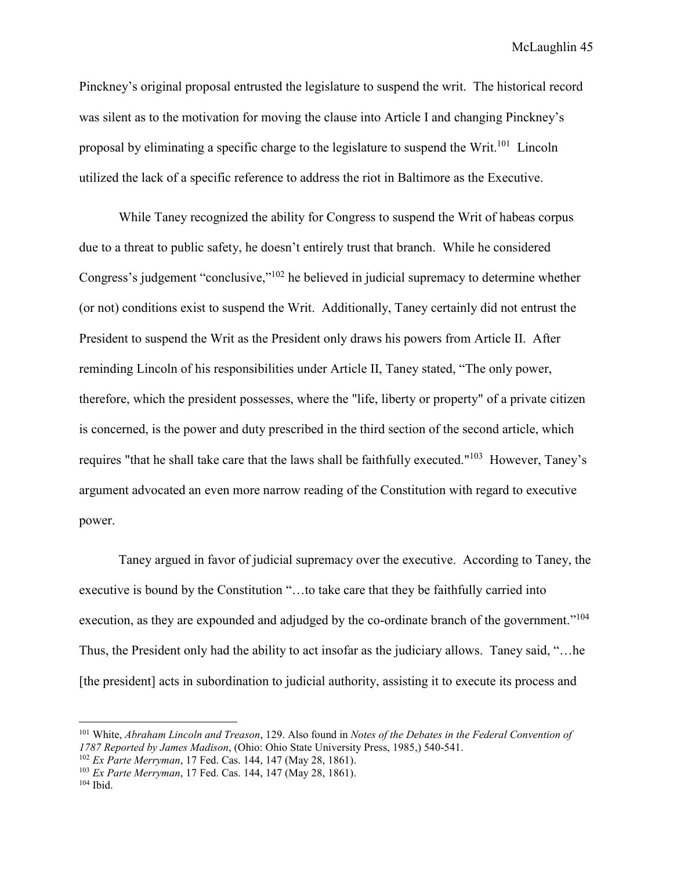Pinckney's original proposal entrusted the legislature to suspend the writ. The historical record was silent as to the motivation for moving the clause into Article I and changing Pinckney's proposal by eliminating a specific charge to the legislature to suspend the Writ.<sup>101</sup> Lincoln utilized the lack of a specific reference to address the riot in Baltimore as the Executive.

While Taney recognized the ability for Congress to suspend the Writ of habeas corpus due to a threat to public safety, he doesn't entirely trust that branch. While he considered Congress's judgement "conclusive,"<sup>102</sup> he believed in judicial supremacy to determine whether (or not) conditions exist to suspend the Writ. Additionally, Taney certainly did not entrust the President to suspend the Writ as the President only draws his powers from Article II. After reminding Lincoln of his responsibilities under Article II, Taney stated, "The only power, therefore, which the president possesses, where the "life, liberty or property" of a private citizen is concerned, is the power and duty prescribed in the third section of the second article, which requires "that he shall take care that the laws shall be faithfully executed."<sup>103</sup> However, Taney's argument advocated an even more narrow reading of the Constitution with regard to executive power.

Taney argued in favor of judicial supremacy over the executive. According to Taney, the executive is bound by the Constitution "…to take care that they be faithfully carried into execution, as they are expounded and adjudged by the co-ordinate branch of the government."<sup>104</sup> Thus, the President only had the ability to act insofar as the judiciary allows. Taney said, "…he [the president] acts in subordination to judicial authority, assisting it to execute its process and

-

<sup>101</sup> White, *Abraham Lincoln and Treason*, 129. Also found in *Notes of the Debates in the Federal Convention of 1787 Reported by James Madison*, (Ohio: Ohio State University Press, 1985,) 540-541.

<sup>102</sup> *Ex Parte Merryman*, 17 Fed. Cas. 144, 147 (May 28, 1861).

<sup>103</sup> *Ex Parte Merryman*, 17 Fed. Cas. 144, 147 (May 28, 1861).

<sup>104</sup> Ibid.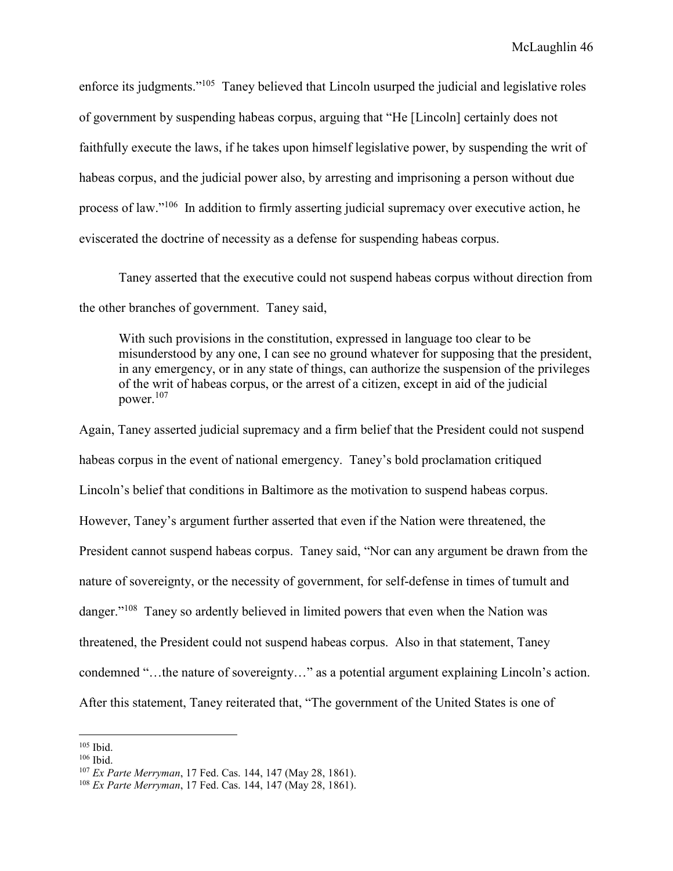enforce its judgments."<sup>105</sup> Taney believed that Lincoln usurped the judicial and legislative roles of government by suspending habeas corpus, arguing that "He [Lincoln] certainly does not faithfully execute the laws, if he takes upon himself legislative power, by suspending the writ of habeas corpus, and the judicial power also, by arresting and imprisoning a person without due process of law."<sup>106</sup> In addition to firmly asserting judicial supremacy over executive action, he eviscerated the doctrine of necessity as a defense for suspending habeas corpus.

 Taney asserted that the executive could not suspend habeas corpus without direction from the other branches of government. Taney said,

With such provisions in the constitution, expressed in language too clear to be misunderstood by any one, I can see no ground whatever for supposing that the president, in any emergency, or in any state of things, can authorize the suspension of the privileges of the writ of habeas corpus, or the arrest of a citizen, except in aid of the judicial power.<sup>107</sup>

Again, Taney asserted judicial supremacy and a firm belief that the President could not suspend habeas corpus in the event of national emergency. Taney's bold proclamation critiqued Lincoln's belief that conditions in Baltimore as the motivation to suspend habeas corpus. However, Taney's argument further asserted that even if the Nation were threatened, the President cannot suspend habeas corpus. Taney said, "Nor can any argument be drawn from the nature of sovereignty, or the necessity of government, for self-defense in times of tumult and danger."<sup>108</sup> Taney so ardently believed in limited powers that even when the Nation was threatened, the President could not suspend habeas corpus. Also in that statement, Taney condemned "…the nature of sovereignty…" as a potential argument explaining Lincoln's action. After this statement, Taney reiterated that, "The government of the United States is one of

<sup>&</sup>lt;u>.</u> <sup>105</sup> Ibid.

<sup>106</sup> Ibid.

<sup>107</sup> *Ex Parte Merryman*, 17 Fed. Cas. 144, 147 (May 28, 1861).

<sup>108</sup> *Ex Parte Merryman*, 17 Fed. Cas. 144, 147 (May 28, 1861).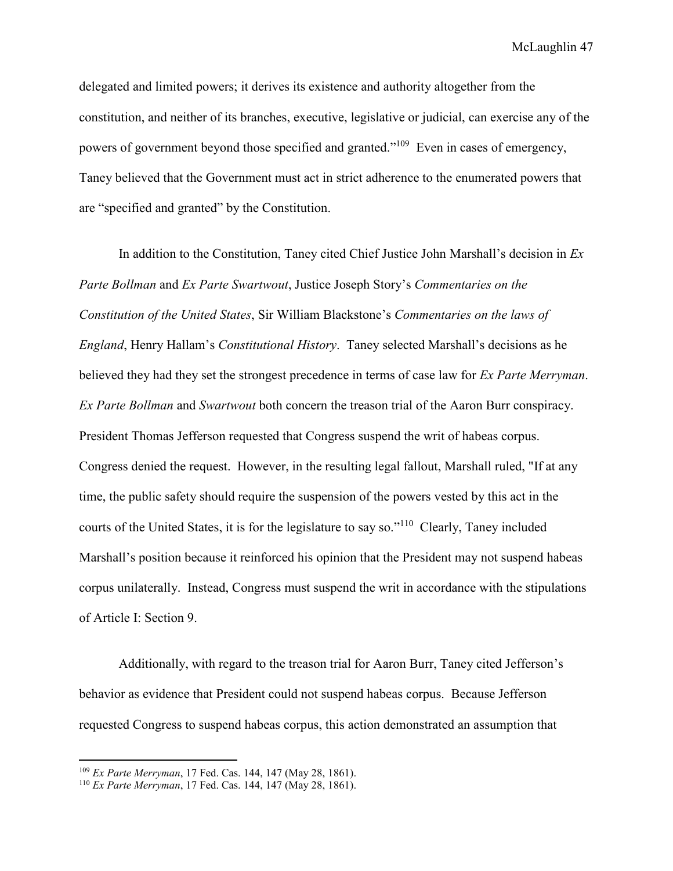delegated and limited powers; it derives its existence and authority altogether from the constitution, and neither of its branches, executive, legislative or judicial, can exercise any of the powers of government beyond those specified and granted."<sup>109</sup> Even in cases of emergency, Taney believed that the Government must act in strict adherence to the enumerated powers that are "specified and granted" by the Constitution.

 In addition to the Constitution, Taney cited Chief Justice John Marshall's decision in *Ex Parte Bollman* and *Ex Parte Swartwout*, Justice Joseph Story's *Commentaries on the Constitution of the United States*, Sir William Blackstone's *Commentaries on the laws of England*, Henry Hallam's *Constitutional History*. Taney selected Marshall's decisions as he believed they had they set the strongest precedence in terms of case law for *Ex Parte Merryman*. *Ex Parte Bollman* and *Swartwout* both concern the treason trial of the Aaron Burr conspiracy. President Thomas Jefferson requested that Congress suspend the writ of habeas corpus. Congress denied the request. However, in the resulting legal fallout, Marshall ruled, "If at any time, the public safety should require the suspension of the powers vested by this act in the courts of the United States, it is for the legislature to say so."<sup>110</sup> Clearly, Taney included Marshall's position because it reinforced his opinion that the President may not suspend habeas corpus unilaterally. Instead, Congress must suspend the writ in accordance with the stipulations of Article I: Section 9.

 Additionally, with regard to the treason trial for Aaron Burr, Taney cited Jefferson's behavior as evidence that President could not suspend habeas corpus. Because Jefferson requested Congress to suspend habeas corpus, this action demonstrated an assumption that

<sup>109</sup> *Ex Parte Merryman*, 17 Fed. Cas. 144, 147 (May 28, 1861).

<sup>110</sup> *Ex Parte Merryman*, 17 Fed. Cas. 144, 147 (May 28, 1861).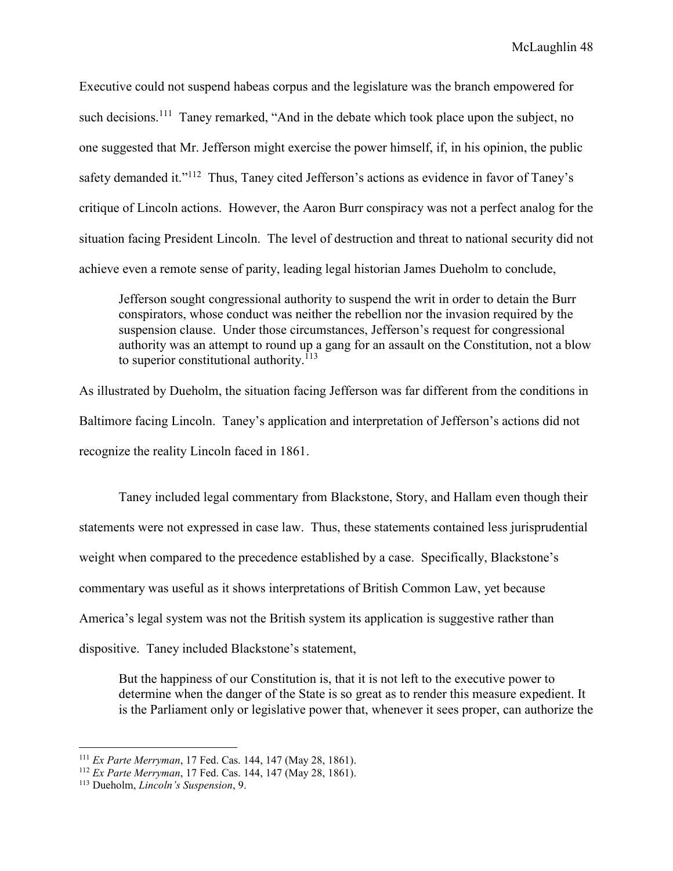Executive could not suspend habeas corpus and the legislature was the branch empowered for such decisions.<sup>111</sup> Taney remarked, "And in the debate which took place upon the subject, no one suggested that Mr. Jefferson might exercise the power himself, if, in his opinion, the public safety demanded it."<sup>112</sup> Thus, Taney cited Jefferson's actions as evidence in favor of Taney's critique of Lincoln actions. However, the Aaron Burr conspiracy was not a perfect analog for the situation facing President Lincoln. The level of destruction and threat to national security did not achieve even a remote sense of parity, leading legal historian James Dueholm to conclude,

Jefferson sought congressional authority to suspend the writ in order to detain the Burr conspirators, whose conduct was neither the rebellion nor the invasion required by the suspension clause. Under those circumstances, Jefferson's request for congressional authority was an attempt to round up a gang for an assault on the Constitution, not a blow to superior constitutional authority.<sup>113</sup>

As illustrated by Dueholm, the situation facing Jefferson was far different from the conditions in Baltimore facing Lincoln. Taney's application and interpretation of Jefferson's actions did not recognize the reality Lincoln faced in 1861.

 Taney included legal commentary from Blackstone, Story, and Hallam even though their statements were not expressed in case law. Thus, these statements contained less jurisprudential weight when compared to the precedence established by a case. Specifically, Blackstone's commentary was useful as it shows interpretations of British Common Law, yet because America's legal system was not the British system its application is suggestive rather than dispositive. Taney included Blackstone's statement,

But the happiness of our Constitution is, that it is not left to the executive power to determine when the danger of the State is so great as to render this measure expedient. It is the Parliament only or legislative power that, whenever it sees proper, can authorize the

<sup>111</sup> *Ex Parte Merryman*, 17 Fed. Cas. 144, 147 (May 28, 1861).

<sup>112</sup> *Ex Parte Merryman*, 17 Fed. Cas. 144, 147 (May 28, 1861).

<sup>113</sup> Dueholm, *Lincoln's Suspension*, 9.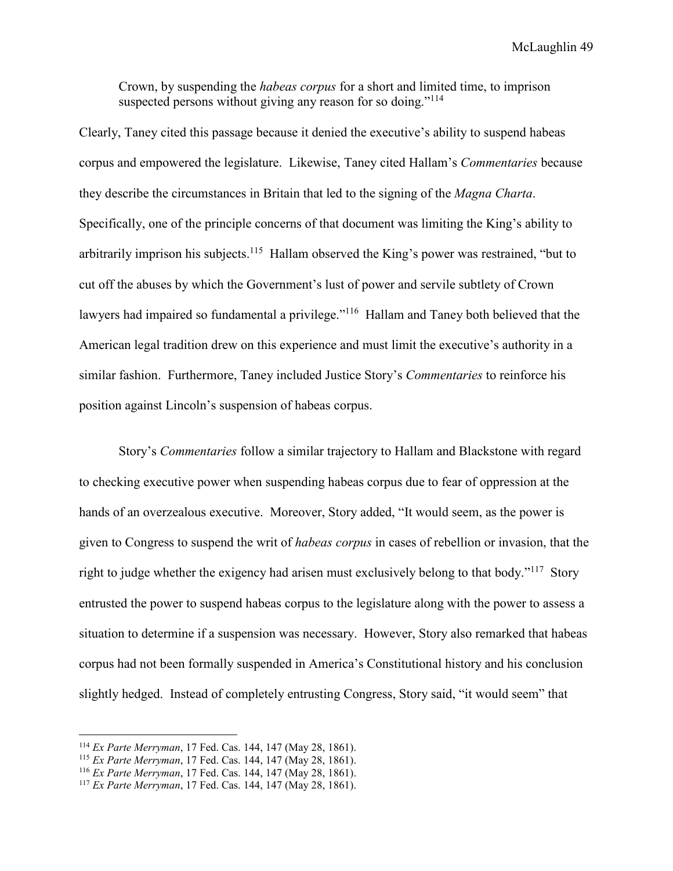Crown, by suspending the *habeas corpus* for a short and limited time, to imprison suspected persons without giving any reason for so doing."<sup>114</sup>

Clearly, Taney cited this passage because it denied the executive's ability to suspend habeas corpus and empowered the legislature. Likewise, Taney cited Hallam's *Commentaries* because they describe the circumstances in Britain that led to the signing of the *Magna Charta*. Specifically, one of the principle concerns of that document was limiting the King's ability to arbitrarily imprison his subjects.<sup>115</sup> Hallam observed the King's power was restrained, "but to cut off the abuses by which the Government's lust of power and servile subtlety of Crown lawyers had impaired so fundamental a privilege."<sup>116</sup> Hallam and Taney both believed that the American legal tradition drew on this experience and must limit the executive's authority in a similar fashion. Furthermore, Taney included Justice Story's *Commentaries* to reinforce his position against Lincoln's suspension of habeas corpus.

 Story's *Commentaries* follow a similar trajectory to Hallam and Blackstone with regard to checking executive power when suspending habeas corpus due to fear of oppression at the hands of an overzealous executive. Moreover, Story added, "It would seem, as the power is given to Congress to suspend the writ of *habeas corpus* in cases of rebellion or invasion, that the right to judge whether the exigency had arisen must exclusively belong to that body."<sup>117</sup> Story entrusted the power to suspend habeas corpus to the legislature along with the power to assess a situation to determine if a suspension was necessary. However, Story also remarked that habeas corpus had not been formally suspended in America's Constitutional history and his conclusion slightly hedged. Instead of completely entrusting Congress, Story said, "it would seem" that

<sup>114</sup> *Ex Parte Merryman*, 17 Fed. Cas. 144, 147 (May 28, 1861).

<sup>115</sup> *Ex Parte Merryman*, 17 Fed. Cas. 144, 147 (May 28, 1861).

<sup>116</sup> *Ex Parte Merryman*, 17 Fed. Cas. 144, 147 (May 28, 1861).

<sup>117</sup> *Ex Parte Merryman*, 17 Fed. Cas. 144, 147 (May 28, 1861).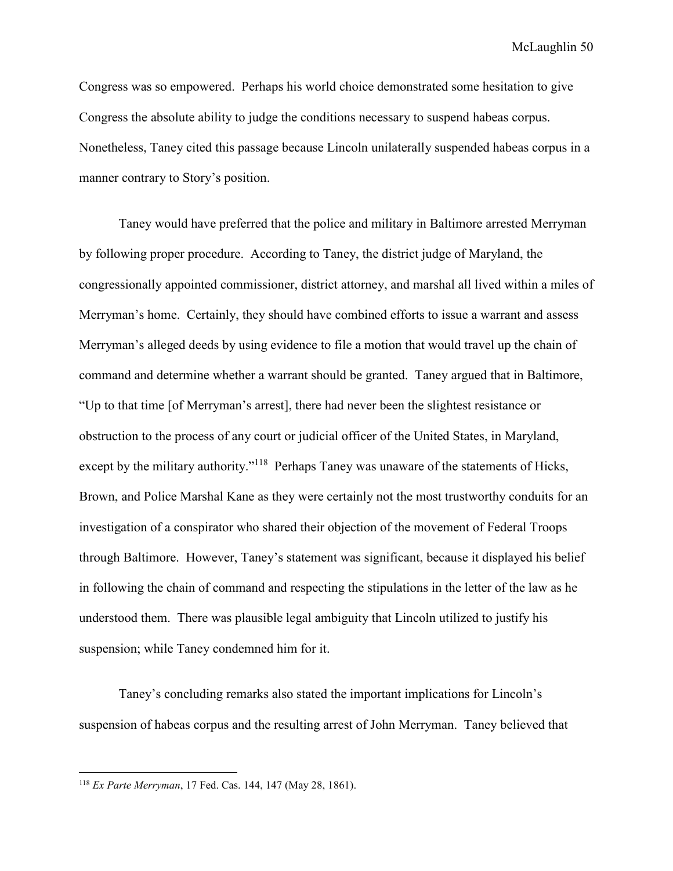Congress was so empowered. Perhaps his world choice demonstrated some hesitation to give Congress the absolute ability to judge the conditions necessary to suspend habeas corpus. Nonetheless, Taney cited this passage because Lincoln unilaterally suspended habeas corpus in a manner contrary to Story's position.

Taney would have preferred that the police and military in Baltimore arrested Merryman by following proper procedure. According to Taney, the district judge of Maryland, the congressionally appointed commissioner, district attorney, and marshal all lived within a miles of Merryman's home. Certainly, they should have combined efforts to issue a warrant and assess Merryman's alleged deeds by using evidence to file a motion that would travel up the chain of command and determine whether a warrant should be granted. Taney argued that in Baltimore, "Up to that time [of Merryman's arrest], there had never been the slightest resistance or obstruction to the process of any court or judicial officer of the United States, in Maryland, except by the military authority."<sup>118</sup> Perhaps Taney was unaware of the statements of Hicks, Brown, and Police Marshal Kane as they were certainly not the most trustworthy conduits for an investigation of a conspirator who shared their objection of the movement of Federal Troops through Baltimore. However, Taney's statement was significant, because it displayed his belief in following the chain of command and respecting the stipulations in the letter of the law as he understood them. There was plausible legal ambiguity that Lincoln utilized to justify his suspension; while Taney condemned him for it.

 Taney's concluding remarks also stated the important implications for Lincoln's suspension of habeas corpus and the resulting arrest of John Merryman. Taney believed that

<sup>118</sup> *Ex Parte Merryman*, 17 Fed. Cas. 144, 147 (May 28, 1861).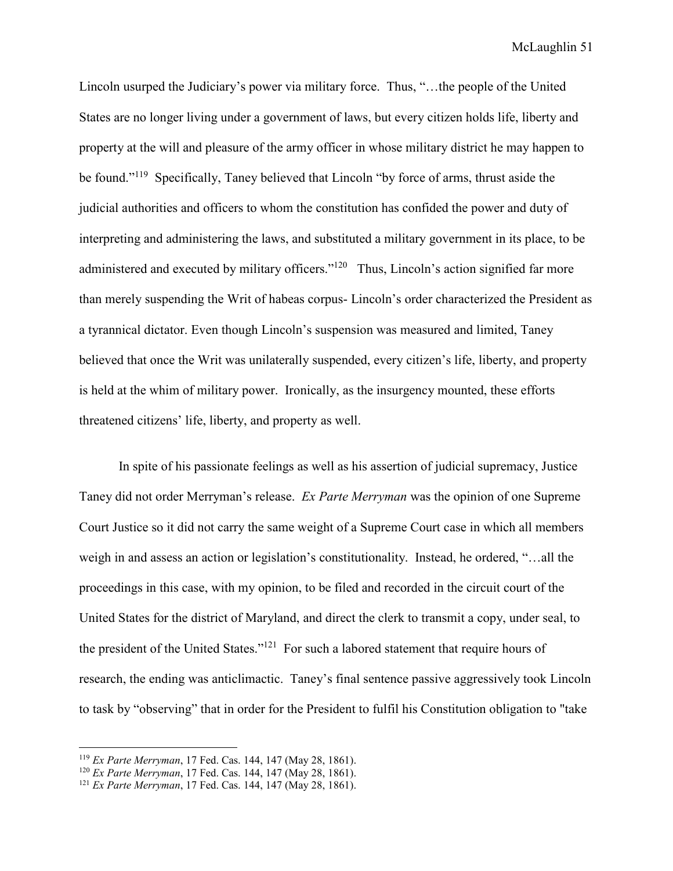Lincoln usurped the Judiciary's power via military force. Thus, "…the people of the United States are no longer living under a government of laws, but every citizen holds life, liberty and property at the will and pleasure of the army officer in whose military district he may happen to be found."<sup>119</sup> Specifically, Taney believed that Lincoln "by force of arms, thrust aside the judicial authorities and officers to whom the constitution has confided the power and duty of interpreting and administering the laws, and substituted a military government in its place, to be administered and executed by military officers."<sup>120</sup> Thus, Lincoln's action signified far more than merely suspending the Writ of habeas corpus- Lincoln's order characterized the President as a tyrannical dictator. Even though Lincoln's suspension was measured and limited, Taney believed that once the Writ was unilaterally suspended, every citizen's life, liberty, and property is held at the whim of military power. Ironically, as the insurgency mounted, these efforts threatened citizens' life, liberty, and property as well.

In spite of his passionate feelings as well as his assertion of judicial supremacy, Justice Taney did not order Merryman's release. *Ex Parte Merryman* was the opinion of one Supreme Court Justice so it did not carry the same weight of a Supreme Court case in which all members weigh in and assess an action or legislation's constitutionality. Instead, he ordered, "…all the proceedings in this case, with my opinion, to be filed and recorded in the circuit court of the United States for the district of Maryland, and direct the clerk to transmit a copy, under seal, to the president of the United States."<sup>121</sup> For such a labored statement that require hours of research, the ending was anticlimactic. Taney's final sentence passive aggressively took Lincoln to task by "observing" that in order for the President to fulfil his Constitution obligation to "take

<sup>119</sup> *Ex Parte Merryman*, 17 Fed. Cas. 144, 147 (May 28, 1861).

<sup>120</sup> *Ex Parte Merryman*, 17 Fed. Cas. 144, 147 (May 28, 1861).

<sup>121</sup> *Ex Parte Merryman*, 17 Fed. Cas. 144, 147 (May 28, 1861).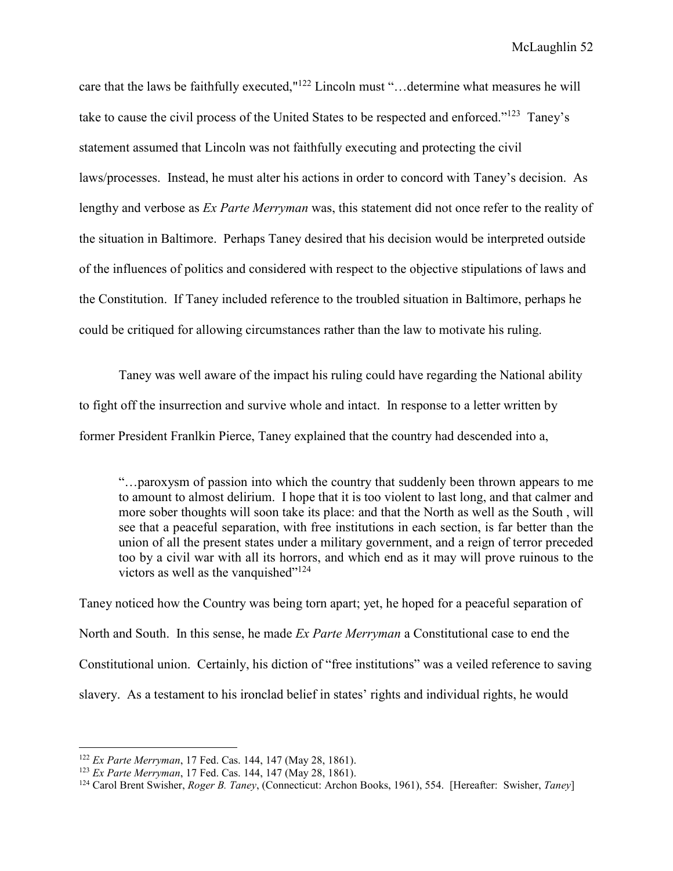care that the laws be faithfully executed,"<sup>122</sup> Lincoln must "…determine what measures he will take to cause the civil process of the United States to be respected and enforced."<sup>123</sup> Taney's statement assumed that Lincoln was not faithfully executing and protecting the civil laws/processes. Instead, he must alter his actions in order to concord with Taney's decision. As lengthy and verbose as *Ex Parte Merryman* was, this statement did not once refer to the reality of the situation in Baltimore. Perhaps Taney desired that his decision would be interpreted outside of the influences of politics and considered with respect to the objective stipulations of laws and the Constitution. If Taney included reference to the troubled situation in Baltimore, perhaps he could be critiqued for allowing circumstances rather than the law to motivate his ruling.

Taney was well aware of the impact his ruling could have regarding the National ability to fight off the insurrection and survive whole and intact. In response to a letter written by former President Franlkin Pierce, Taney explained that the country had descended into a,

"…paroxysm of passion into which the country that suddenly been thrown appears to me to amount to almost delirium. I hope that it is too violent to last long, and that calmer and more sober thoughts will soon take its place: and that the North as well as the South , will see that a peaceful separation, with free institutions in each section, is far better than the union of all the present states under a military government, and a reign of terror preceded too by a civil war with all its horrors, and which end as it may will prove ruinous to the victors as well as the vanquished" $124$ 

Taney noticed how the Country was being torn apart; yet, he hoped for a peaceful separation of North and South. In this sense, he made *Ex Parte Merryman* a Constitutional case to end the Constitutional union. Certainly, his diction of "free institutions" was a veiled reference to saving slavery. As a testament to his ironclad belief in states' rights and individual rights, he would

<sup>122</sup> *Ex Parte Merryman*, 17 Fed. Cas. 144, 147 (May 28, 1861).

<sup>123</sup> *Ex Parte Merryman*, 17 Fed. Cas. 144, 147 (May 28, 1861).

<sup>124</sup> Carol Brent Swisher, *Roger B. Taney*, (Connecticut: Archon Books, 1961), 554. [Hereafter: Swisher, *Taney*]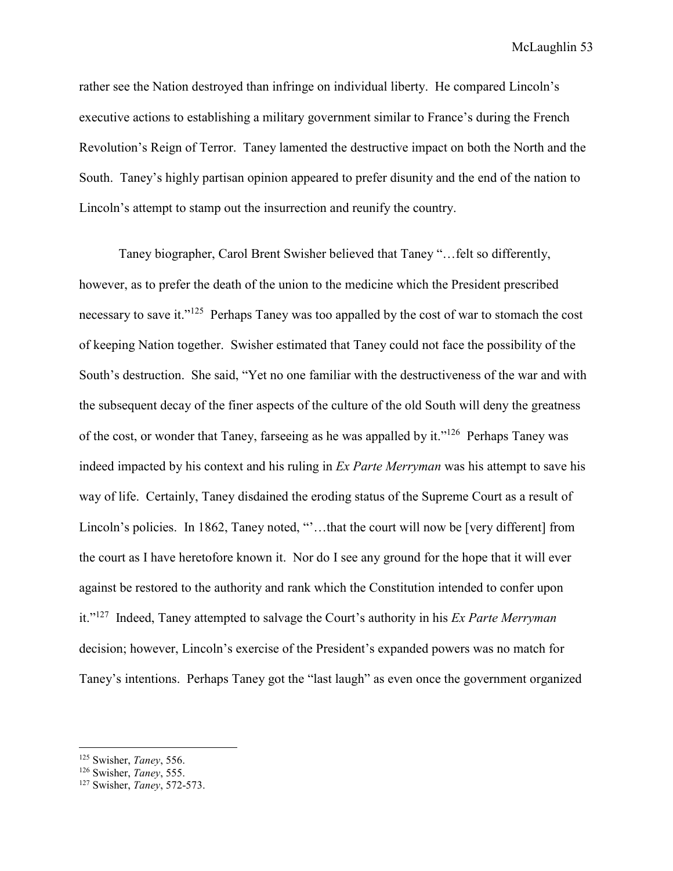rather see the Nation destroyed than infringe on individual liberty. He compared Lincoln's executive actions to establishing a military government similar to France's during the French Revolution's Reign of Terror. Taney lamented the destructive impact on both the North and the South. Taney's highly partisan opinion appeared to prefer disunity and the end of the nation to Lincoln's attempt to stamp out the insurrection and reunify the country.

Taney biographer, Carol Brent Swisher believed that Taney "…felt so differently, however, as to prefer the death of the union to the medicine which the President prescribed necessary to save it."<sup>125</sup> Perhaps Taney was too appalled by the cost of war to stomach the cost of keeping Nation together. Swisher estimated that Taney could not face the possibility of the South's destruction. She said, "Yet no one familiar with the destructiveness of the war and with the subsequent decay of the finer aspects of the culture of the old South will deny the greatness of the cost, or wonder that Taney, farseeing as he was appalled by it."<sup>126</sup> Perhaps Taney was indeed impacted by his context and his ruling in *Ex Parte Merryman* was his attempt to save his way of life. Certainly, Taney disdained the eroding status of the Supreme Court as a result of Lincoln's policies. In 1862, Taney noted, "'...that the court will now be [very different] from the court as I have heretofore known it. Nor do I see any ground for the hope that it will ever against be restored to the authority and rank which the Constitution intended to confer upon it."<sup>127</sup> Indeed, Taney attempted to salvage the Court's authority in his *Ex Parte Merryman* decision; however, Lincoln's exercise of the President's expanded powers was no match for Taney's intentions. Perhaps Taney got the "last laugh" as even once the government organized

<sup>125</sup> Swisher, *Taney*, 556.

<sup>126</sup> Swisher, *Taney*, 555.

<sup>127</sup> Swisher, *Taney*, 572-573.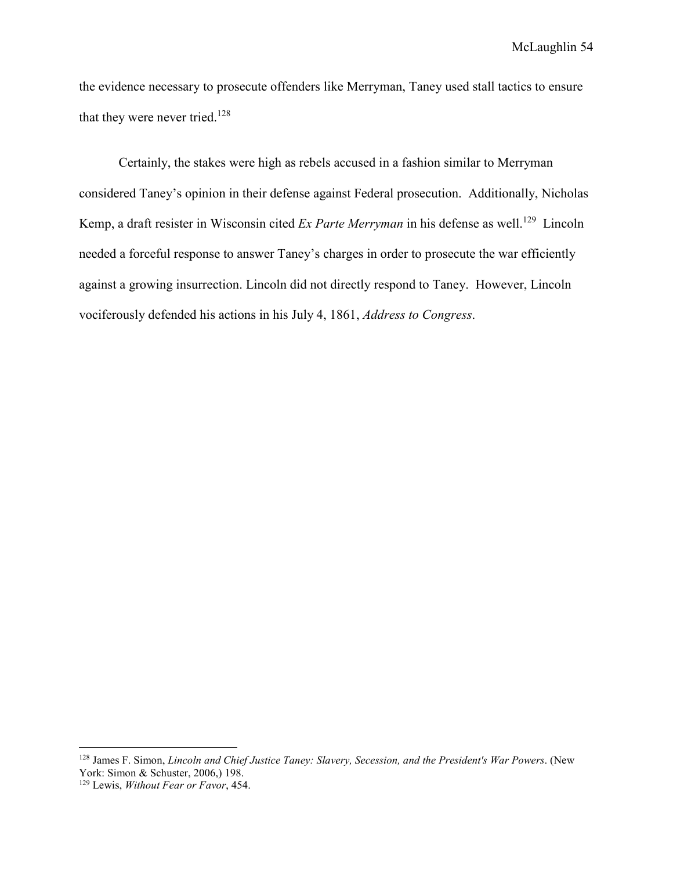the evidence necessary to prosecute offenders like Merryman, Taney used stall tactics to ensure that they were never tried.<sup>128</sup>

 Certainly, the stakes were high as rebels accused in a fashion similar to Merryman considered Taney's opinion in their defense against Federal prosecution. Additionally, Nicholas Kemp, a draft resister in Wisconsin cited *Ex Parte Merryman* in his defense as well.<sup>129</sup> Lincoln needed a forceful response to answer Taney's charges in order to prosecute the war efficiently against a growing insurrection. Lincoln did not directly respond to Taney. However, Lincoln vociferously defended his actions in his July 4, 1861, *Address to Congress*.

<sup>128</sup> James F. Simon, *Lincoln and Chief Justice Taney: Slavery, Secession, and the President's War Powers*. (New York: Simon & Schuster, 2006,) 198.

<sup>129</sup> Lewis, *Without Fear or Favor*, 454.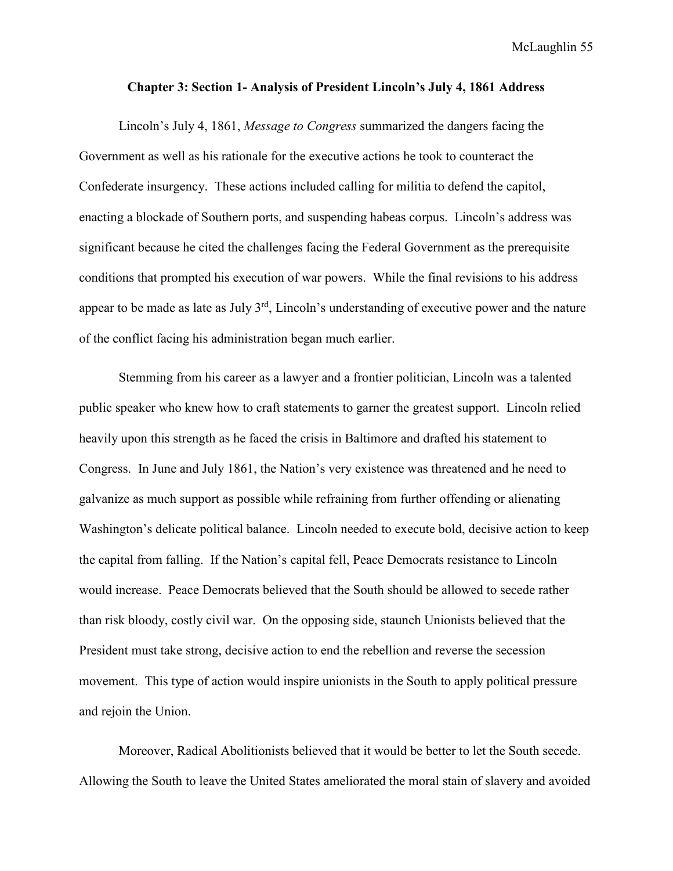## **Chapter 3: Section 1- Analysis of President Lincoln's July 4, 1861 Address**

Lincoln's July 4, 1861, *Message to Congress* summarized the dangers facing the Government as well as his rationale for the executive actions he took to counteract the Confederate insurgency. These actions included calling for militia to defend the capitol, enacting a blockade of Southern ports, and suspending habeas corpus. Lincoln's address was significant because he cited the challenges facing the Federal Government as the prerequisite conditions that prompted his execution of war powers. While the final revisions to his address appear to be made as late as July 3rd, Lincoln's understanding of executive power and the nature of the conflict facing his administration began much earlier.

 Stemming from his career as a lawyer and a frontier politician, Lincoln was a talented public speaker who knew how to craft statements to garner the greatest support. Lincoln relied heavily upon this strength as he faced the crisis in Baltimore and drafted his statement to Congress. In June and July 1861, the Nation's very existence was threatened and he need to galvanize as much support as possible while refraining from further offending or alienating Washington's delicate political balance. Lincoln needed to execute bold, decisive action to keep the capital from falling. If the Nation's capital fell, Peace Democrats resistance to Lincoln would increase. Peace Democrats believed that the South should be allowed to secede rather than risk bloody, costly civil war. On the opposing side, staunch Unionists believed that the President must take strong, decisive action to end the rebellion and reverse the secession movement. This type of action would inspire unionists in the South to apply political pressure and rejoin the Union.

Moreover, Radical Abolitionists believed that it would be better to let the South secede. Allowing the South to leave the United States ameliorated the moral stain of slavery and avoided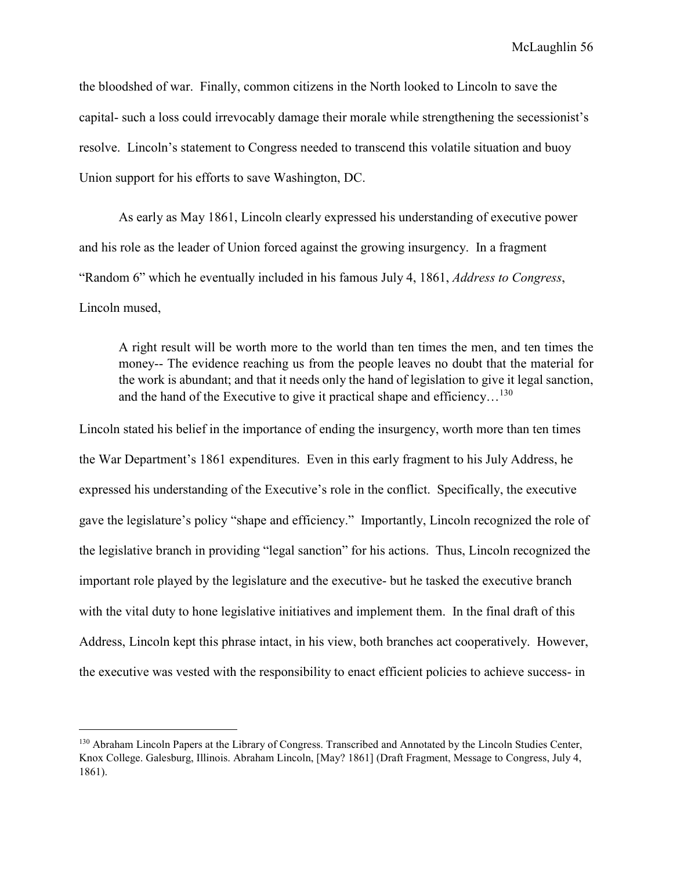the bloodshed of war. Finally, common citizens in the North looked to Lincoln to save the capital- such a loss could irrevocably damage their morale while strengthening the secessionist's resolve. Lincoln's statement to Congress needed to transcend this volatile situation and buoy Union support for his efforts to save Washington, DC.

As early as May 1861, Lincoln clearly expressed his understanding of executive power and his role as the leader of Union forced against the growing insurgency. In a fragment "Random 6" which he eventually included in his famous July 4, 1861, *Address to Congress*, Lincoln mused,

A right result will be worth more to the world than ten times the men, and ten times the money-- The evidence reaching us from the people leaves no doubt that the material for the work is abundant; and that it needs only the hand of legislation to give it legal sanction, and the hand of the Executive to give it practical shape and efficiency...<sup>130</sup>

Lincoln stated his belief in the importance of ending the insurgency, worth more than ten times the War Department's 1861 expenditures. Even in this early fragment to his July Address, he expressed his understanding of the Executive's role in the conflict. Specifically, the executive gave the legislature's policy "shape and efficiency." Importantly, Lincoln recognized the role of the legislative branch in providing "legal sanction" for his actions. Thus, Lincoln recognized the important role played by the legislature and the executive- but he tasked the executive branch with the vital duty to hone legislative initiatives and implement them. In the final draft of this Address, Lincoln kept this phrase intact, in his view, both branches act cooperatively. However, the executive was vested with the responsibility to enact efficient policies to achieve success- in

-

<sup>&</sup>lt;sup>130</sup> Abraham Lincoln Papers at the Library of Congress. Transcribed and Annotated by the Lincoln Studies Center, Knox College. Galesburg, Illinois. Abraham Lincoln, [May? 1861] (Draft Fragment, Message to Congress, July 4, 1861).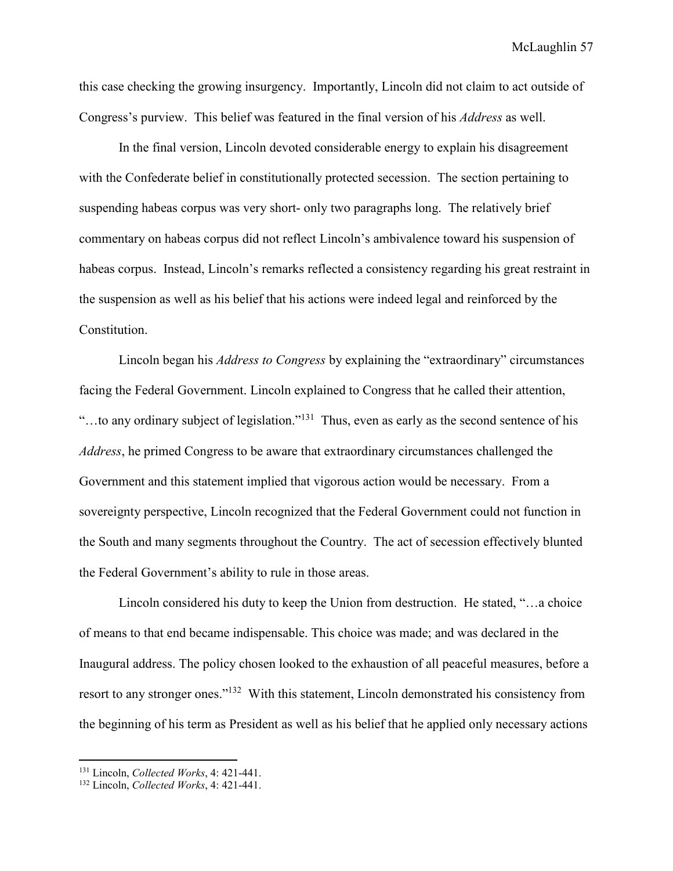this case checking the growing insurgency. Importantly, Lincoln did not claim to act outside of Congress's purview. This belief was featured in the final version of his *Address* as well.

 In the final version, Lincoln devoted considerable energy to explain his disagreement with the Confederate belief in constitutionally protected secession. The section pertaining to suspending habeas corpus was very short- only two paragraphs long. The relatively brief commentary on habeas corpus did not reflect Lincoln's ambivalence toward his suspension of habeas corpus. Instead, Lincoln's remarks reflected a consistency regarding his great restraint in the suspension as well as his belief that his actions were indeed legal and reinforced by the Constitution.

 Lincoln began his *Address to Congress* by explaining the "extraordinary" circumstances facing the Federal Government. Lincoln explained to Congress that he called their attention, "…to any ordinary subject of legislation."<sup>131</sup> Thus, even as early as the second sentence of his *Address*, he primed Congress to be aware that extraordinary circumstances challenged the Government and this statement implied that vigorous action would be necessary. From a sovereignty perspective, Lincoln recognized that the Federal Government could not function in the South and many segments throughout the Country. The act of secession effectively blunted the Federal Government's ability to rule in those areas.

 Lincoln considered his duty to keep the Union from destruction. He stated, "…a choice of means to that end became indispensable. This choice was made; and was declared in the Inaugural address. The policy chosen looked to the exhaustion of all peaceful measures, before a resort to any stronger ones."<sup>132</sup> With this statement, Lincoln demonstrated his consistency from the beginning of his term as President as well as his belief that he applied only necessary actions

<sup>131</sup> Lincoln, *Collected Works*, 4: 421-441.

<sup>132</sup> Lincoln, *Collected Works*, 4: 421-441.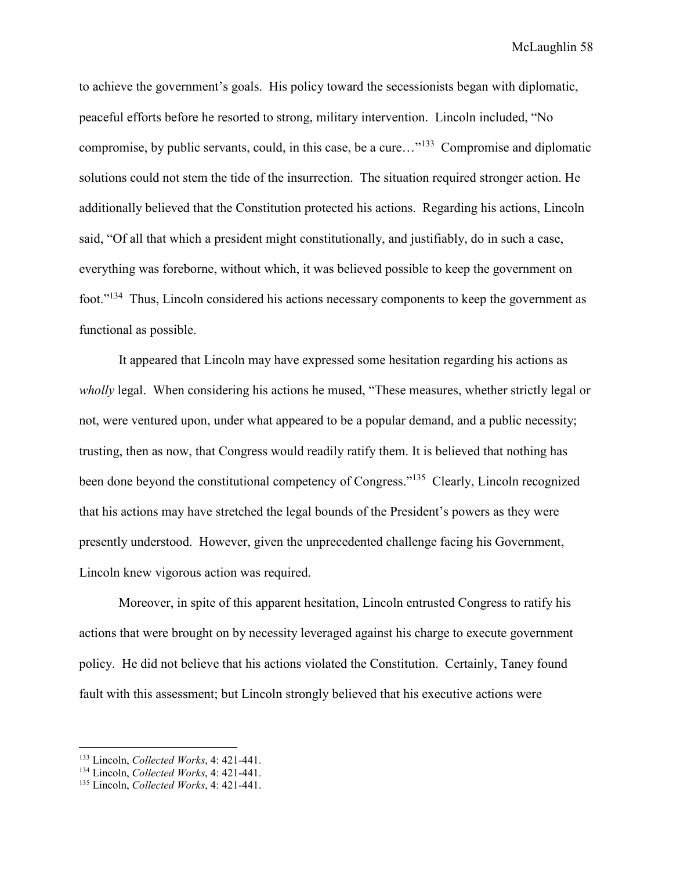to achieve the government's goals. His policy toward the secessionists began with diplomatic, peaceful efforts before he resorted to strong, military intervention. Lincoln included, "No compromise, by public servants, could, in this case, be a cure…"<sup>133</sup> Compromise and diplomatic solutions could not stem the tide of the insurrection. The situation required stronger action. He additionally believed that the Constitution protected his actions. Regarding his actions, Lincoln said, "Of all that which a president might constitutionally, and justifiably, do in such a case, everything was foreborne, without which, it was believed possible to keep the government on foot."<sup>134</sup> Thus, Lincoln considered his actions necessary components to keep the government as functional as possible.

 It appeared that Lincoln may have expressed some hesitation regarding his actions as *wholly* legal. When considering his actions he mused, "These measures, whether strictly legal or not, were ventured upon, under what appeared to be a popular demand, and a public necessity; trusting, then as now, that Congress would readily ratify them. It is believed that nothing has been done beyond the constitutional competency of Congress."<sup>135</sup> Clearly, Lincoln recognized that his actions may have stretched the legal bounds of the President's powers as they were presently understood. However, given the unprecedented challenge facing his Government, Lincoln knew vigorous action was required.

Moreover, in spite of this apparent hesitation, Lincoln entrusted Congress to ratify his actions that were brought on by necessity leveraged against his charge to execute government policy. He did not believe that his actions violated the Constitution. Certainly, Taney found fault with this assessment; but Lincoln strongly believed that his executive actions were

<sup>133</sup> Lincoln, *Collected Works*, 4: 421-441.

<sup>134</sup> Lincoln, *Collected Works*, 4: 421-441.

<sup>135</sup> Lincoln, *Collected Works*, 4: 421-441.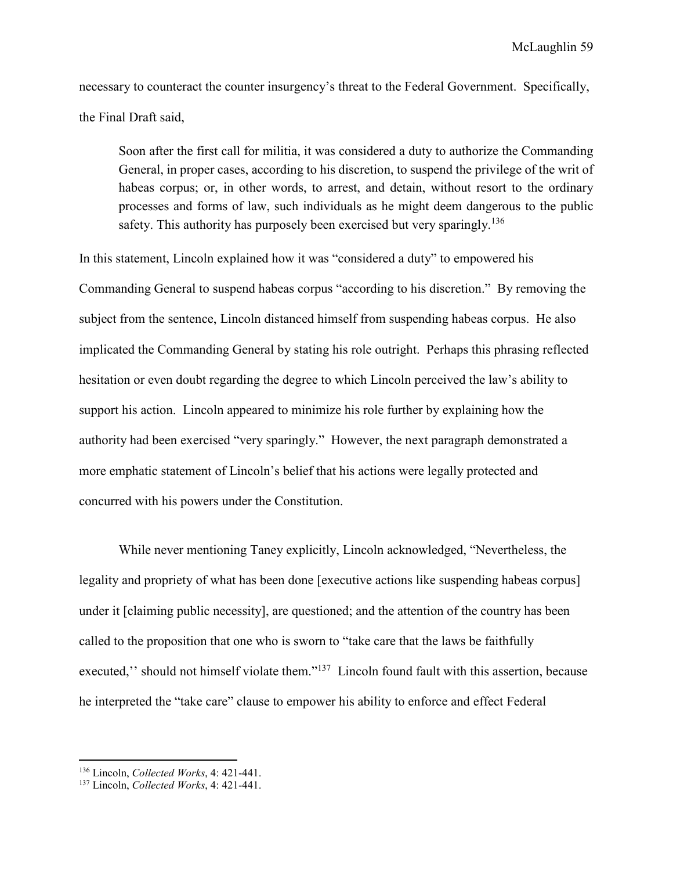necessary to counteract the counter insurgency's threat to the Federal Government. Specifically, the Final Draft said,

Soon after the first call for militia, it was considered a duty to authorize the Commanding General, in proper cases, according to his discretion, to suspend the privilege of the writ of habeas corpus; or, in other words, to arrest, and detain, without resort to the ordinary processes and forms of law, such individuals as he might deem dangerous to the public safety. This authority has purposely been exercised but very sparingly.<sup>136</sup>

In this statement, Lincoln explained how it was "considered a duty" to empowered his Commanding General to suspend habeas corpus "according to his discretion." By removing the subject from the sentence, Lincoln distanced himself from suspending habeas corpus. He also implicated the Commanding General by stating his role outright. Perhaps this phrasing reflected hesitation or even doubt regarding the degree to which Lincoln perceived the law's ability to support his action. Lincoln appeared to minimize his role further by explaining how the authority had been exercised "very sparingly." However, the next paragraph demonstrated a more emphatic statement of Lincoln's belief that his actions were legally protected and concurred with his powers under the Constitution.

While never mentioning Taney explicitly, Lincoln acknowledged, "Nevertheless, the legality and propriety of what has been done [executive actions like suspending habeas corpus] under it [claiming public necessity], are questioned; and the attention of the country has been called to the proposition that one who is sworn to "take care that the laws be faithfully executed," should not himself violate them."<sup>137</sup> Lincoln found fault with this assertion, because he interpreted the "take care" clause to empower his ability to enforce and effect Federal

<sup>136</sup> Lincoln, *Collected Works*, 4: 421-441.

<sup>137</sup> Lincoln, *Collected Works*, 4: 421-441.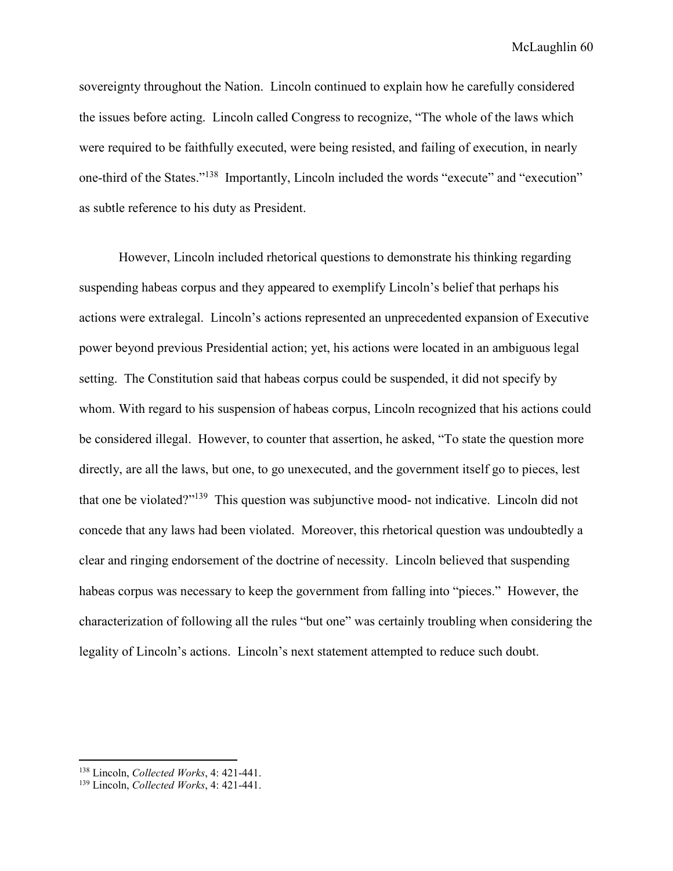sovereignty throughout the Nation. Lincoln continued to explain how he carefully considered the issues before acting. Lincoln called Congress to recognize, "The whole of the laws which were required to be faithfully executed, were being resisted, and failing of execution, in nearly one-third of the States."<sup>138</sup> Importantly, Lincoln included the words "execute" and "execution" as subtle reference to his duty as President.

However, Lincoln included rhetorical questions to demonstrate his thinking regarding suspending habeas corpus and they appeared to exemplify Lincoln's belief that perhaps his actions were extralegal. Lincoln's actions represented an unprecedented expansion of Executive power beyond previous Presidential action; yet, his actions were located in an ambiguous legal setting. The Constitution said that habeas corpus could be suspended, it did not specify by whom. With regard to his suspension of habeas corpus, Lincoln recognized that his actions could be considered illegal. However, to counter that assertion, he asked, "To state the question more directly, are all the laws, but one, to go unexecuted, and the government itself go to pieces, lest that one be violated?"<sup>139</sup> This question was subjunctive mood- not indicative. Lincoln did not concede that any laws had been violated. Moreover, this rhetorical question was undoubtedly a clear and ringing endorsement of the doctrine of necessity. Lincoln believed that suspending habeas corpus was necessary to keep the government from falling into "pieces." However, the characterization of following all the rules "but one" was certainly troubling when considering the legality of Lincoln's actions. Lincoln's next statement attempted to reduce such doubt.

<sup>138</sup> Lincoln, *Collected Works*, 4: 421-441.

<sup>139</sup> Lincoln, *Collected Works*, 4: 421-441.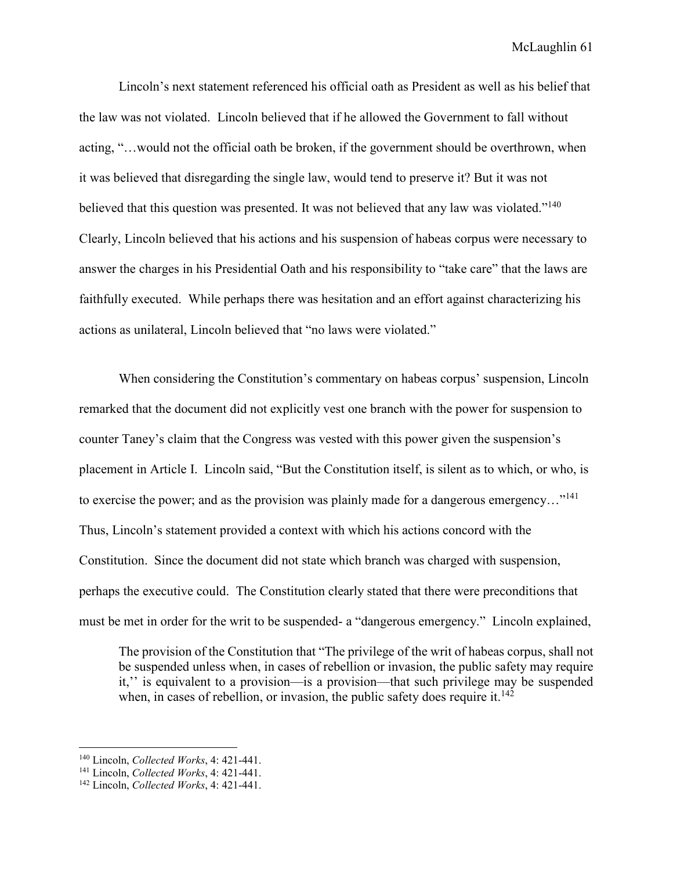Lincoln's next statement referenced his official oath as President as well as his belief that the law was not violated. Lincoln believed that if he allowed the Government to fall without acting, "…would not the official oath be broken, if the government should be overthrown, when it was believed that disregarding the single law, would tend to preserve it? But it was not believed that this question was presented. It was not believed that any law was violated."<sup>140</sup> Clearly, Lincoln believed that his actions and his suspension of habeas corpus were necessary to answer the charges in his Presidential Oath and his responsibility to "take care" that the laws are faithfully executed. While perhaps there was hesitation and an effort against characterizing his actions as unilateral, Lincoln believed that "no laws were violated."

 When considering the Constitution's commentary on habeas corpus' suspension, Lincoln remarked that the document did not explicitly vest one branch with the power for suspension to counter Taney's claim that the Congress was vested with this power given the suspension's placement in Article I. Lincoln said, "But the Constitution itself, is silent as to which, or who, is to exercise the power; and as the provision was plainly made for a dangerous emergency..."<sup>141</sup> Thus, Lincoln's statement provided a context with which his actions concord with the Constitution. Since the document did not state which branch was charged with suspension, perhaps the executive could. The Constitution clearly stated that there were preconditions that must be met in order for the writ to be suspended- a "dangerous emergency." Lincoln explained,

The provision of the Constitution that "The privilege of the writ of habeas corpus, shall not be suspended unless when, in cases of rebellion or invasion, the public safety may require it,'' is equivalent to a provision—is a provision—that such privilege may be suspended when, in cases of rebellion, or invasion, the public safety does require it.<sup>142</sup>

<sup>140</sup> Lincoln, *Collected Works*, 4: 421-441.

<sup>141</sup> Lincoln, *Collected Works*, 4: 421-441.

<sup>142</sup> Lincoln, *Collected Works*, 4: 421-441.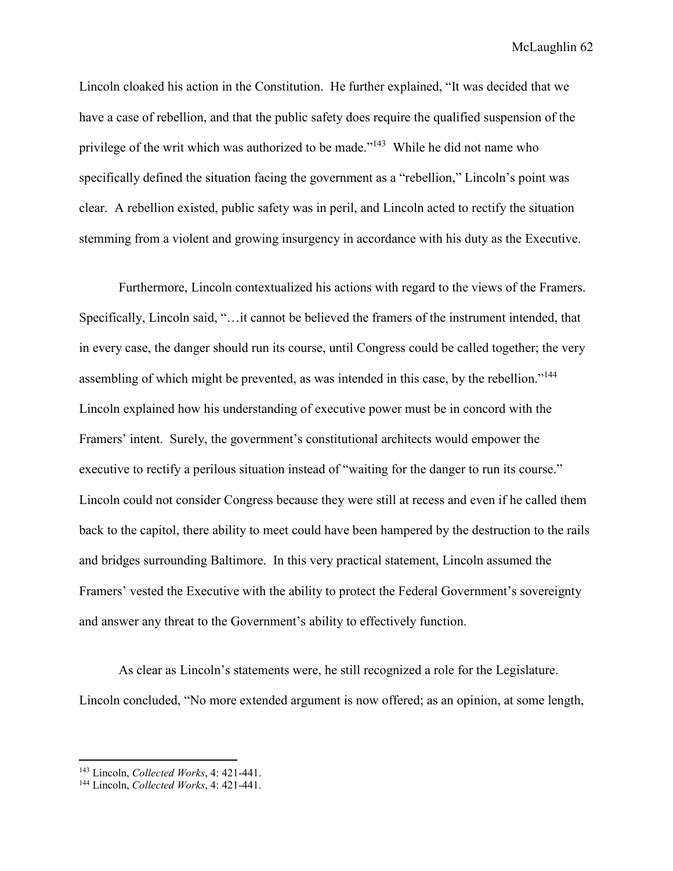Lincoln cloaked his action in the Constitution. He further explained, "It was decided that we have a case of rebellion, and that the public safety does require the qualified suspension of the privilege of the writ which was authorized to be made."<sup>143</sup> While he did not name who specifically defined the situation facing the government as a "rebellion," Lincoln's point was clear. A rebellion existed, public safety was in peril, and Lincoln acted to rectify the situation stemming from a violent and growing insurgency in accordance with his duty as the Executive.

 Furthermore, Lincoln contextualized his actions with regard to the views of the Framers. Specifically, Lincoln said, "…it cannot be believed the framers of the instrument intended, that in every case, the danger should run its course, until Congress could be called together; the very assembling of which might be prevented, as was intended in this case, by the rebellion."<sup>144</sup> Lincoln explained how his understanding of executive power must be in concord with the Framers' intent. Surely, the government's constitutional architects would empower the executive to rectify a perilous situation instead of "waiting for the danger to run its course." Lincoln could not consider Congress because they were still at recess and even if he called them back to the capitol, there ability to meet could have been hampered by the destruction to the rails and bridges surrounding Baltimore. In this very practical statement, Lincoln assumed the Framers' vested the Executive with the ability to protect the Federal Government's sovereignty and answer any threat to the Government's ability to effectively function.

 As clear as Lincoln's statements were, he still recognized a role for the Legislature. Lincoln concluded, "No more extended argument is now offered; as an opinion, at some length,

<sup>143</sup> Lincoln, *Collected Works*, 4: 421-441.

<sup>144</sup> Lincoln, *Collected Works*, 4: 421-441.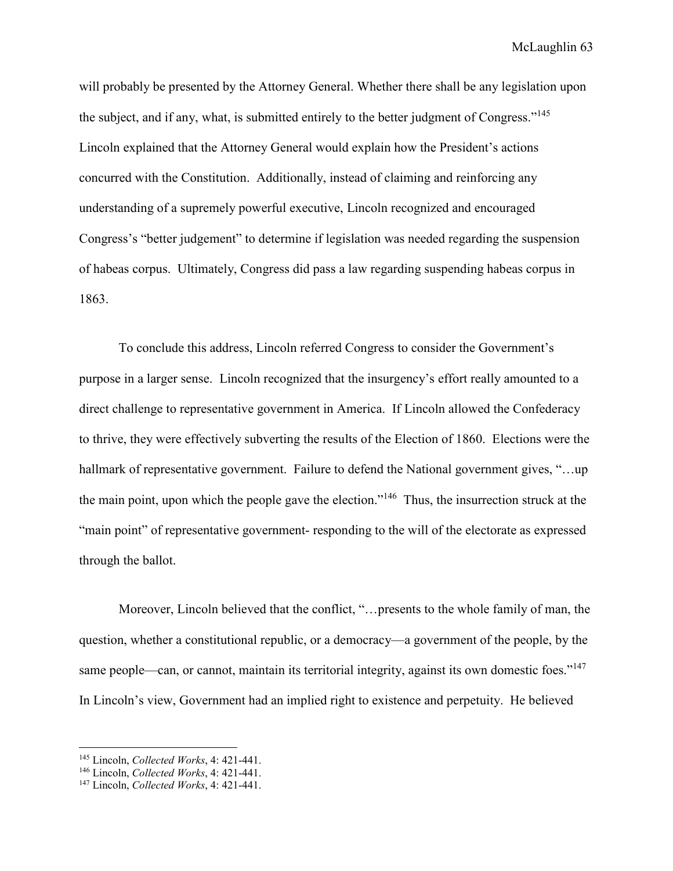will probably be presented by the Attorney General. Whether there shall be any legislation upon the subject, and if any, what, is submitted entirely to the better judgment of Congress."<sup>145</sup> Lincoln explained that the Attorney General would explain how the President's actions concurred with the Constitution. Additionally, instead of claiming and reinforcing any understanding of a supremely powerful executive, Lincoln recognized and encouraged Congress's "better judgement" to determine if legislation was needed regarding the suspension of habeas corpus. Ultimately, Congress did pass a law regarding suspending habeas corpus in 1863.

To conclude this address, Lincoln referred Congress to consider the Government's purpose in a larger sense. Lincoln recognized that the insurgency's effort really amounted to a direct challenge to representative government in America. If Lincoln allowed the Confederacy to thrive, they were effectively subverting the results of the Election of 1860. Elections were the hallmark of representative government. Failure to defend the National government gives, "...up the main point, upon which the people gave the election."<sup>146</sup> Thus, the insurrection struck at the "main point" of representative government- responding to the will of the electorate as expressed through the ballot.

Moreover, Lincoln believed that the conflict, "…presents to the whole family of man, the question, whether a constitutional republic, or a democracy—a government of the people, by the same people—can, or cannot, maintain its territorial integrity, against its own domestic foes."<sup>147</sup> In Lincoln's view, Government had an implied right to existence and perpetuity. He believed

<sup>145</sup> Lincoln, *Collected Works*, 4: 421-441.

<sup>146</sup> Lincoln, *Collected Works*, 4: 421-441.

<sup>147</sup> Lincoln, *Collected Works*, 4: 421-441.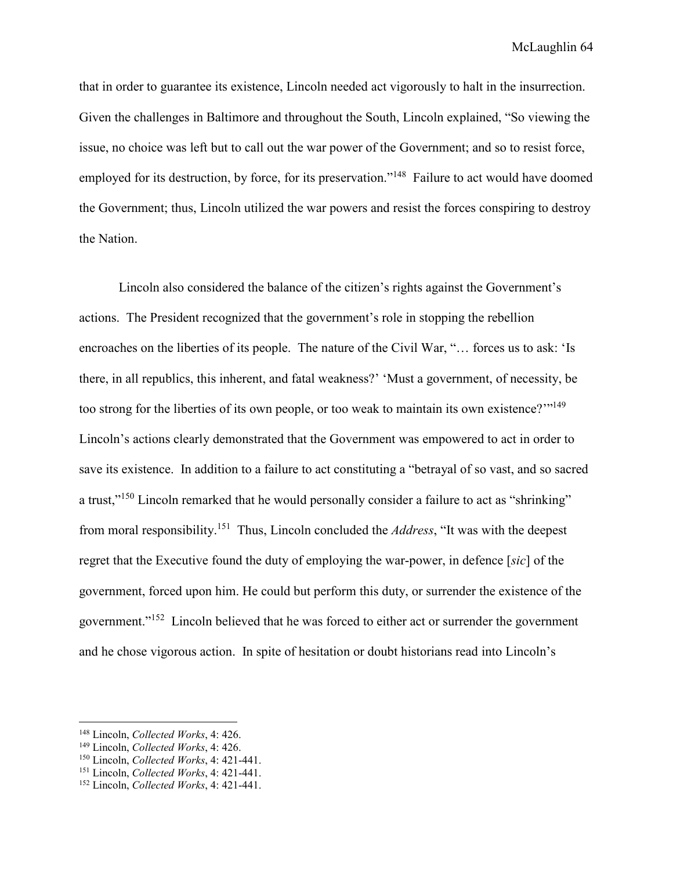that in order to guarantee its existence, Lincoln needed act vigorously to halt in the insurrection. Given the challenges in Baltimore and throughout the South, Lincoln explained, "So viewing the issue, no choice was left but to call out the war power of the Government; and so to resist force, employed for its destruction, by force, for its preservation."<sup>148</sup> Failure to act would have doomed the Government; thus, Lincoln utilized the war powers and resist the forces conspiring to destroy the Nation.

Lincoln also considered the balance of the citizen's rights against the Government's actions. The President recognized that the government's role in stopping the rebellion encroaches on the liberties of its people. The nature of the Civil War, "… forces us to ask: 'Is there, in all republics, this inherent, and fatal weakness?' 'Must a government, of necessity, be too strong for the liberties of its own people, or too weak to maintain its own existence?'"<sup>149</sup> Lincoln's actions clearly demonstrated that the Government was empowered to act in order to save its existence. In addition to a failure to act constituting a "betrayal of so vast, and so sacred a trust,"<sup>150</sup> Lincoln remarked that he would personally consider a failure to act as "shrinking" from moral responsibility.<sup>151</sup> Thus, Lincoln concluded the *Address*, "It was with the deepest regret that the Executive found the duty of employing the war-power, in defence [*sic*] of the government, forced upon him. He could but perform this duty, or surrender the existence of the government."<sup>152</sup> Lincoln believed that he was forced to either act or surrender the government and he chose vigorous action. In spite of hesitation or doubt historians read into Lincoln's

-

<sup>148</sup> Lincoln, *Collected Works*, 4: 426.

<sup>149</sup> Lincoln, *Collected Works*, 4: 426.

<sup>150</sup> Lincoln, *Collected Works*, 4: 421-441.

<sup>151</sup> Lincoln, *Collected Works*, 4: 421-441.

<sup>152</sup> Lincoln, *Collected Works*, 4: 421-441.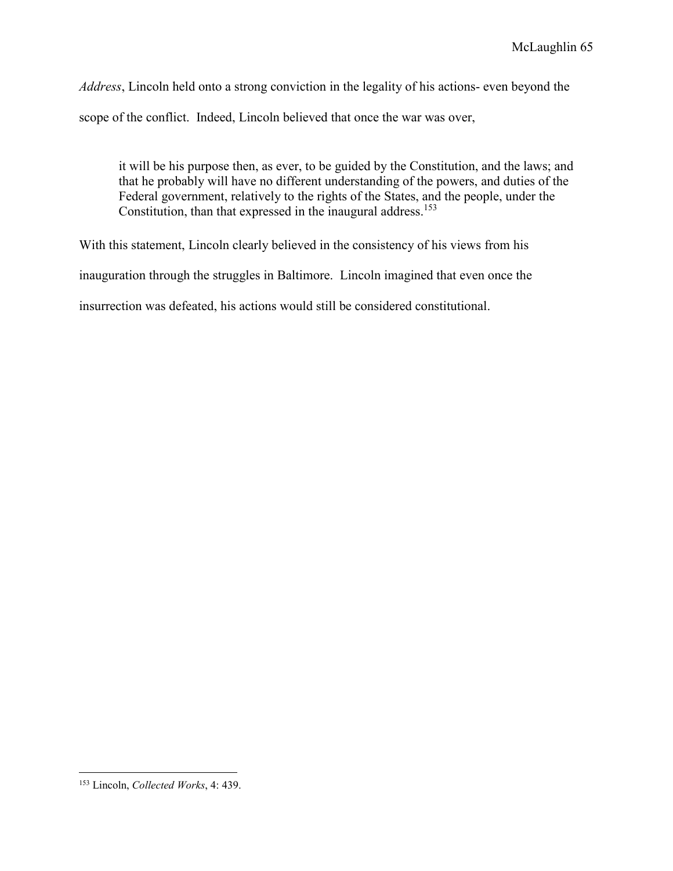*Address*, Lincoln held onto a strong conviction in the legality of his actions- even beyond the scope of the conflict. Indeed, Lincoln believed that once the war was over,

it will be his purpose then, as ever, to be guided by the Constitution, and the laws; and that he probably will have no different understanding of the powers, and duties of the Federal government, relatively to the rights of the States, and the people, under the Constitution, than that expressed in the inaugural address.<sup>153</sup>

With this statement, Lincoln clearly believed in the consistency of his views from his inauguration through the struggles in Baltimore. Lincoln imagined that even once the insurrection was defeated, his actions would still be considered constitutional.

<sup>153</sup> Lincoln, *Collected Works*, 4: 439.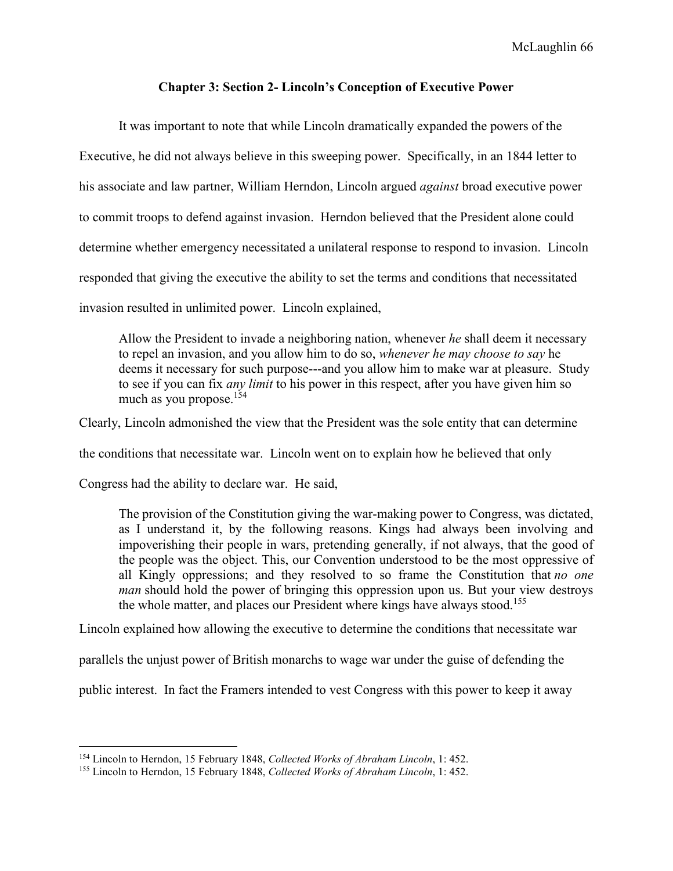# **Chapter 3: Section 2- Lincoln's Conception of Executive Power**

It was important to note that while Lincoln dramatically expanded the powers of the Executive, he did not always believe in this sweeping power. Specifically, in an 1844 letter to his associate and law partner, William Herndon, Lincoln argued *against* broad executive power to commit troops to defend against invasion. Herndon believed that the President alone could determine whether emergency necessitated a unilateral response to respond to invasion. Lincoln responded that giving the executive the ability to set the terms and conditions that necessitated invasion resulted in unlimited power. Lincoln explained,

Allow the President to invade a neighboring nation, whenever *he* shall deem it necessary to repel an invasion, and you allow him to do so, *whenever he may choose to say* he deems it necessary for such purpose---and you allow him to make war at pleasure. Study to see if you can fix *any limit* to his power in this respect, after you have given him so much as you propose.<sup>154</sup>

Clearly, Lincoln admonished the view that the President was the sole entity that can determine

the conditions that necessitate war. Lincoln went on to explain how he believed that only

Congress had the ability to declare war. He said,

-

The provision of the Constitution giving the war-making power to Congress, was dictated, as I understand it, by the following reasons. Kings had always been involving and impoverishing their people in wars, pretending generally, if not always, that the good of the people was the object. This, our Convention understood to be the most oppressive of all Kingly oppressions; and they resolved to so frame the Constitution that *no one man* should hold the power of bringing this oppression upon us. But your view destroys the whole matter, and places our President where kings have always stood.<sup>155</sup>

Lincoln explained how allowing the executive to determine the conditions that necessitate war

parallels the unjust power of British monarchs to wage war under the guise of defending the

public interest. In fact the Framers intended to vest Congress with this power to keep it away

<sup>154</sup> Lincoln to Herndon, 15 February 1848, *Collected Works of Abraham Lincoln*, 1: 452.

<sup>155</sup> Lincoln to Herndon, 15 February 1848, *Collected Works of Abraham Lincoln*, 1: 452.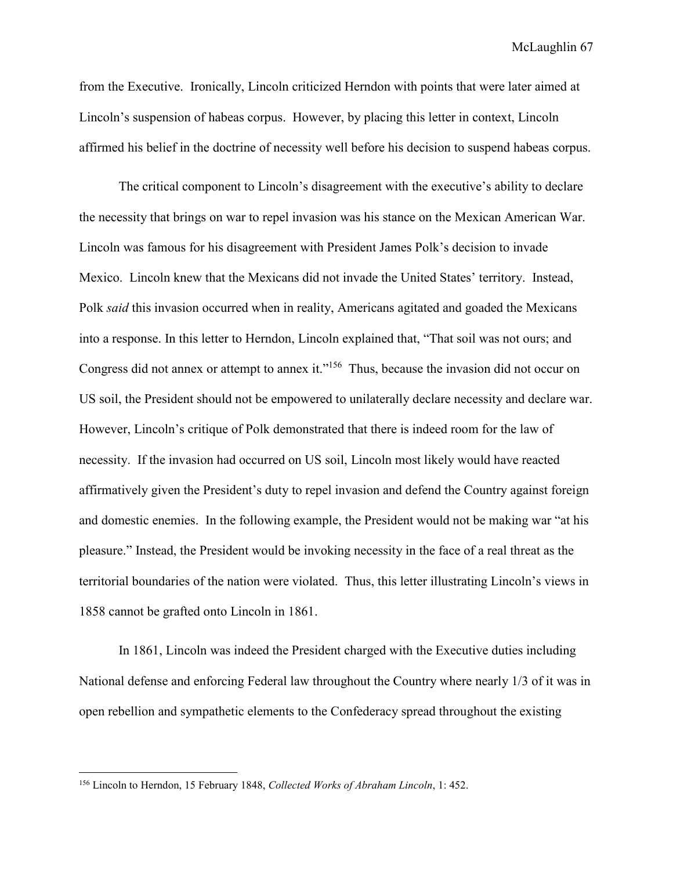from the Executive. Ironically, Lincoln criticized Herndon with points that were later aimed at Lincoln's suspension of habeas corpus. However, by placing this letter in context, Lincoln affirmed his belief in the doctrine of necessity well before his decision to suspend habeas corpus.

 The critical component to Lincoln's disagreement with the executive's ability to declare the necessity that brings on war to repel invasion was his stance on the Mexican American War. Lincoln was famous for his disagreement with President James Polk's decision to invade Mexico. Lincoln knew that the Mexicans did not invade the United States' territory. Instead, Polk *said* this invasion occurred when in reality, Americans agitated and goaded the Mexicans into a response. In this letter to Herndon, Lincoln explained that, "That soil was not ours; and Congress did not annex or attempt to annex it."<sup>156</sup> Thus, because the invasion did not occur on US soil, the President should not be empowered to unilaterally declare necessity and declare war. However, Lincoln's critique of Polk demonstrated that there is indeed room for the law of necessity. If the invasion had occurred on US soil, Lincoln most likely would have reacted affirmatively given the President's duty to repel invasion and defend the Country against foreign and domestic enemies. In the following example, the President would not be making war "at his pleasure." Instead, the President would be invoking necessity in the face of a real threat as the territorial boundaries of the nation were violated. Thus, this letter illustrating Lincoln's views in 1858 cannot be grafted onto Lincoln in 1861.

 In 1861, Lincoln was indeed the President charged with the Executive duties including National defense and enforcing Federal law throughout the Country where nearly 1/3 of it was in open rebellion and sympathetic elements to the Confederacy spread throughout the existing

<sup>156</sup> Lincoln to Herndon, 15 February 1848, *Collected Works of Abraham Lincoln*, 1: 452.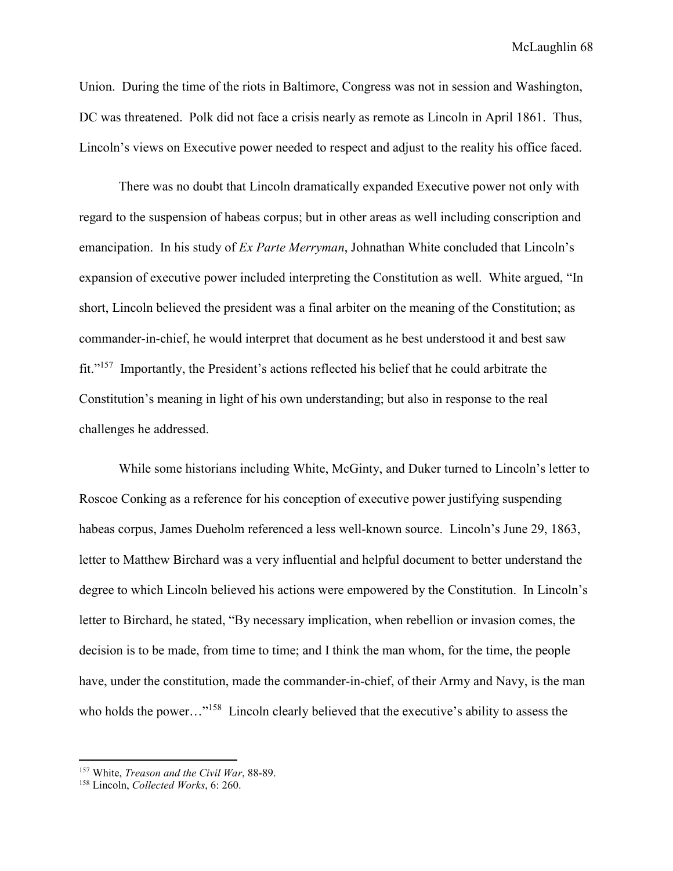Union. During the time of the riots in Baltimore, Congress was not in session and Washington, DC was threatened. Polk did not face a crisis nearly as remote as Lincoln in April 1861. Thus, Lincoln's views on Executive power needed to respect and adjust to the reality his office faced.

There was no doubt that Lincoln dramatically expanded Executive power not only with regard to the suspension of habeas corpus; but in other areas as well including conscription and emancipation. In his study of *Ex Parte Merryman*, Johnathan White concluded that Lincoln's expansion of executive power included interpreting the Constitution as well. White argued, "In short, Lincoln believed the president was a final arbiter on the meaning of the Constitution; as commander-in-chief, he would interpret that document as he best understood it and best saw fit."<sup>157</sup> Importantly, the President's actions reflected his belief that he could arbitrate the Constitution's meaning in light of his own understanding; but also in response to the real challenges he addressed.

While some historians including White, McGinty, and Duker turned to Lincoln's letter to Roscoe Conking as a reference for his conception of executive power justifying suspending habeas corpus, James Dueholm referenced a less well-known source. Lincoln's June 29, 1863, letter to Matthew Birchard was a very influential and helpful document to better understand the degree to which Lincoln believed his actions were empowered by the Constitution. In Lincoln's letter to Birchard, he stated, "By necessary implication, when rebellion or invasion comes, the decision is to be made, from time to time; and I think the man whom, for the time, the people have, under the constitution, made the commander-in-chief, of their Army and Navy, is the man who holds the power..."<sup>158</sup> Lincoln clearly believed that the executive's ability to assess the

 $\overline{a}$ 

<sup>157</sup> White, *Treason and the Civil War*, 88-89.

<sup>158</sup> Lincoln, *Collected Works*, 6: 260.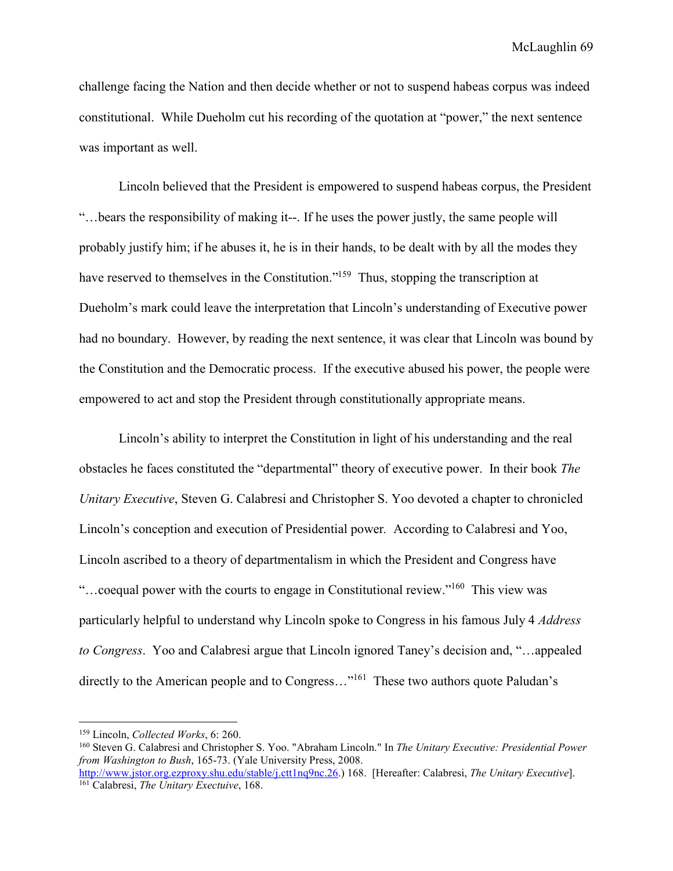challenge facing the Nation and then decide whether or not to suspend habeas corpus was indeed constitutional. While Dueholm cut his recording of the quotation at "power," the next sentence was important as well.

Lincoln believed that the President is empowered to suspend habeas corpus, the President "…bears the responsibility of making it--. If he uses the power justly, the same people will probably justify him; if he abuses it, he is in their hands, to be dealt with by all the modes they have reserved to themselves in the Constitution."<sup>159</sup> Thus, stopping the transcription at Dueholm's mark could leave the interpretation that Lincoln's understanding of Executive power had no boundary. However, by reading the next sentence, it was clear that Lincoln was bound by the Constitution and the Democratic process. If the executive abused his power, the people were empowered to act and stop the President through constitutionally appropriate means.

Lincoln's ability to interpret the Constitution in light of his understanding and the real obstacles he faces constituted the "departmental" theory of executive power. In their book *The Unitary Executive*, Steven G. Calabresi and Christopher S. Yoo devoted a chapter to chronicled Lincoln's conception and execution of Presidential power*.* According to Calabresi and Yoo, Lincoln ascribed to a theory of departmentalism in which the President and Congress have "…coequal power with the courts to engage in Constitutional review."<sup>160</sup> This view was particularly helpful to understand why Lincoln spoke to Congress in his famous July 4 *Address to Congress*. Yoo and Calabresi argue that Lincoln ignored Taney's decision and, "…appealed directly to the American people and to Congress..."<sup>161</sup> These two authors quote Paludan's

 $\overline{a}$ 

<sup>159</sup> Lincoln, *Collected Works*, 6: 260.

<sup>160</sup> Steven G. Calabresi and Christopher S. Yoo. "Abraham Lincoln." In *The Unitary Executive: Presidential Power from Washington to Bush*, 165-73. (Yale University Press, 2008. http://www.jstor.org.ezproxy.shu.edu/stable/j.ctt1nq9nc.26.) 168. [Hereafter: Calabresi, *The Unitary Executive*].

<sup>161</sup> Calabresi, *The Unitary Exectuive*, 168.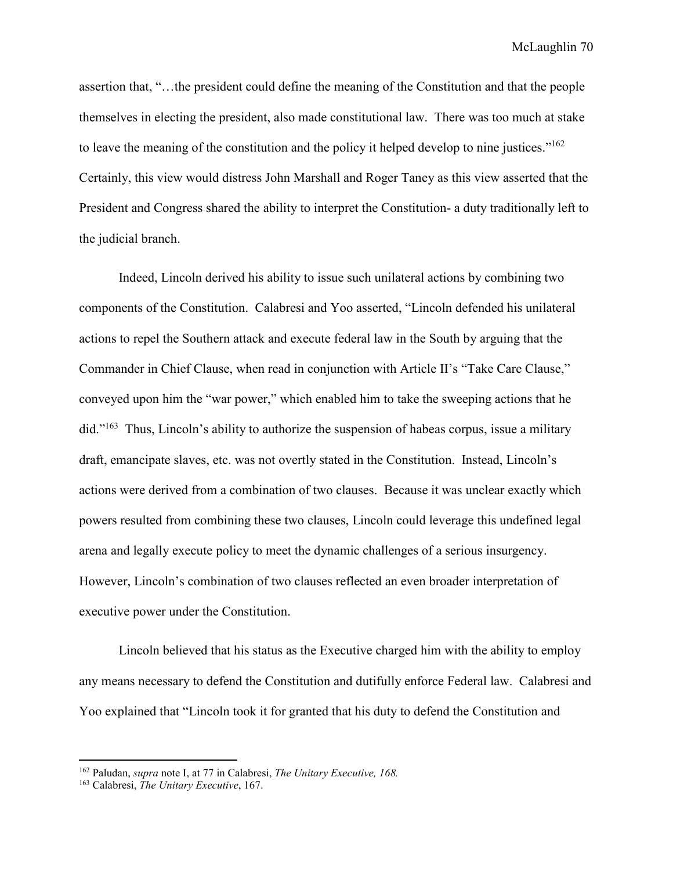McLaughlin 70

assertion that, "…the president could define the meaning of the Constitution and that the people themselves in electing the president, also made constitutional law. There was too much at stake to leave the meaning of the constitution and the policy it helped develop to nine justices." $162$ Certainly, this view would distress John Marshall and Roger Taney as this view asserted that the President and Congress shared the ability to interpret the Constitution- a duty traditionally left to the judicial branch.

Indeed, Lincoln derived his ability to issue such unilateral actions by combining two components of the Constitution. Calabresi and Yoo asserted, "Lincoln defended his unilateral actions to repel the Southern attack and execute federal law in the South by arguing that the Commander in Chief Clause, when read in conjunction with Article II's "Take Care Clause," conveyed upon him the "war power," which enabled him to take the sweeping actions that he did."<sup>163</sup> Thus, Lincoln's ability to authorize the suspension of habeas corpus, issue a military draft, emancipate slaves, etc. was not overtly stated in the Constitution. Instead, Lincoln's actions were derived from a combination of two clauses. Because it was unclear exactly which powers resulted from combining these two clauses, Lincoln could leverage this undefined legal arena and legally execute policy to meet the dynamic challenges of a serious insurgency. However, Lincoln's combination of two clauses reflected an even broader interpretation of executive power under the Constitution.

Lincoln believed that his status as the Executive charged him with the ability to employ any means necessary to defend the Constitution and dutifully enforce Federal law. Calabresi and Yoo explained that "Lincoln took it for granted that his duty to defend the Constitution and

<sup>162</sup> Paludan, *supra* note I, at 77 in Calabresi, *The Unitary Executive, 168.* 

<sup>163</sup> Calabresi, *The Unitary Executive*, 167.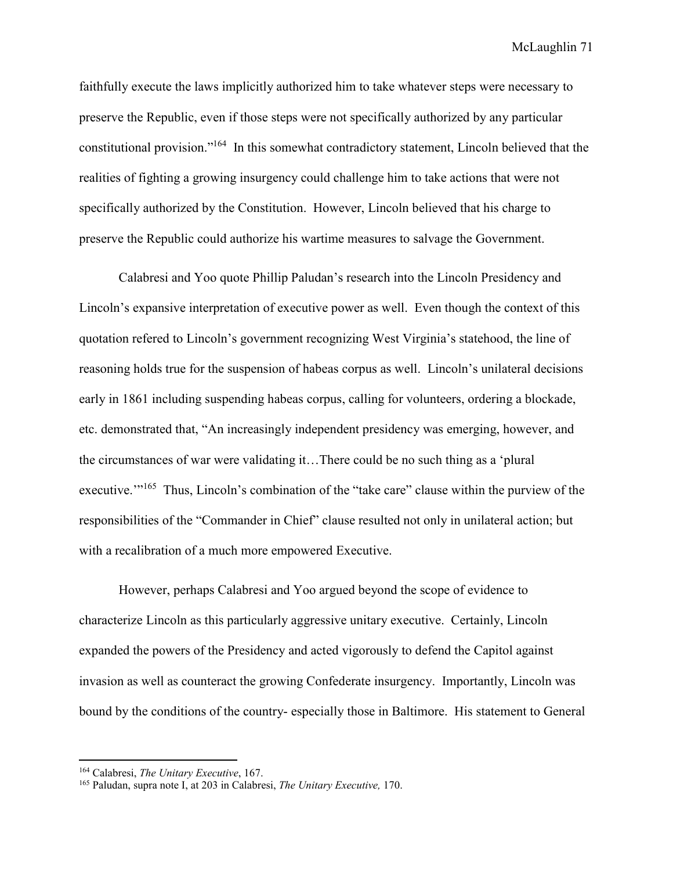McLaughlin 71

faithfully execute the laws implicitly authorized him to take whatever steps were necessary to preserve the Republic, even if those steps were not specifically authorized by any particular constitutional provision."<sup>164</sup> In this somewhat contradictory statement, Lincoln believed that the realities of fighting a growing insurgency could challenge him to take actions that were not specifically authorized by the Constitution. However, Lincoln believed that his charge to preserve the Republic could authorize his wartime measures to salvage the Government.

Calabresi and Yoo quote Phillip Paludan's research into the Lincoln Presidency and Lincoln's expansive interpretation of executive power as well. Even though the context of this quotation refered to Lincoln's government recognizing West Virginia's statehood, the line of reasoning holds true for the suspension of habeas corpus as well. Lincoln's unilateral decisions early in 1861 including suspending habeas corpus, calling for volunteers, ordering a blockade, etc. demonstrated that, "An increasingly independent presidency was emerging, however, and the circumstances of war were validating it…There could be no such thing as a 'plural executive."<sup>165</sup> Thus, Lincoln's combination of the "take care" clause within the purview of the responsibilities of the "Commander in Chief" clause resulted not only in unilateral action; but with a recalibration of a much more empowered Executive.

However, perhaps Calabresi and Yoo argued beyond the scope of evidence to characterize Lincoln as this particularly aggressive unitary executive. Certainly, Lincoln expanded the powers of the Presidency and acted vigorously to defend the Capitol against invasion as well as counteract the growing Confederate insurgency. Importantly, Lincoln was bound by the conditions of the country- especially those in Baltimore. His statement to General

<sup>164</sup> Calabresi, *The Unitary Executive*, 167.

<sup>165</sup> Paludan, supra note I, at 203 in Calabresi, *The Unitary Executive,* 170.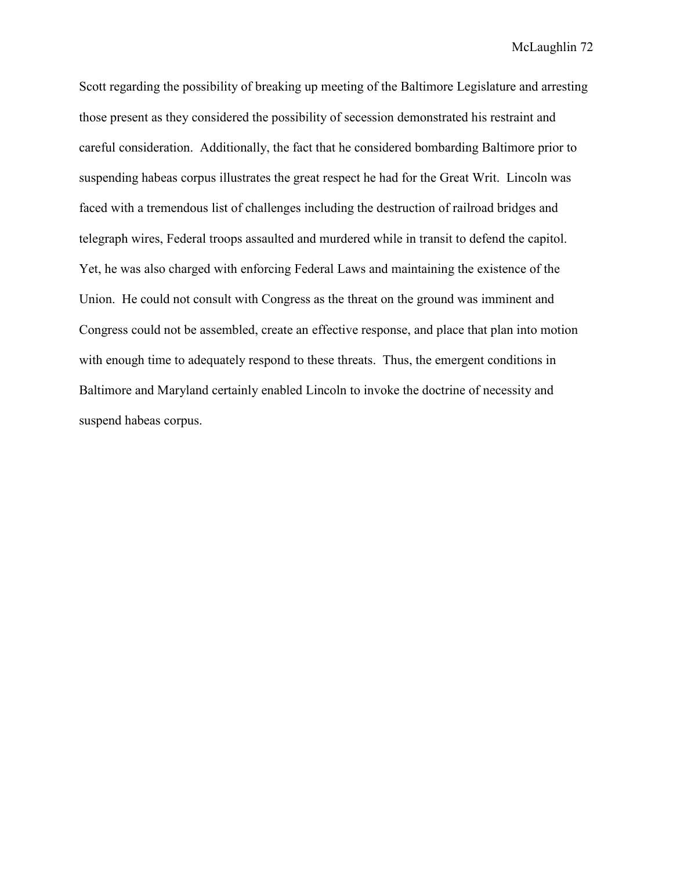Scott regarding the possibility of breaking up meeting of the Baltimore Legislature and arresting those present as they considered the possibility of secession demonstrated his restraint and careful consideration. Additionally, the fact that he considered bombarding Baltimore prior to suspending habeas corpus illustrates the great respect he had for the Great Writ. Lincoln was faced with a tremendous list of challenges including the destruction of railroad bridges and telegraph wires, Federal troops assaulted and murdered while in transit to defend the capitol. Yet, he was also charged with enforcing Federal Laws and maintaining the existence of the Union. He could not consult with Congress as the threat on the ground was imminent and Congress could not be assembled, create an effective response, and place that plan into motion with enough time to adequately respond to these threats. Thus, the emergent conditions in Baltimore and Maryland certainly enabled Lincoln to invoke the doctrine of necessity and suspend habeas corpus.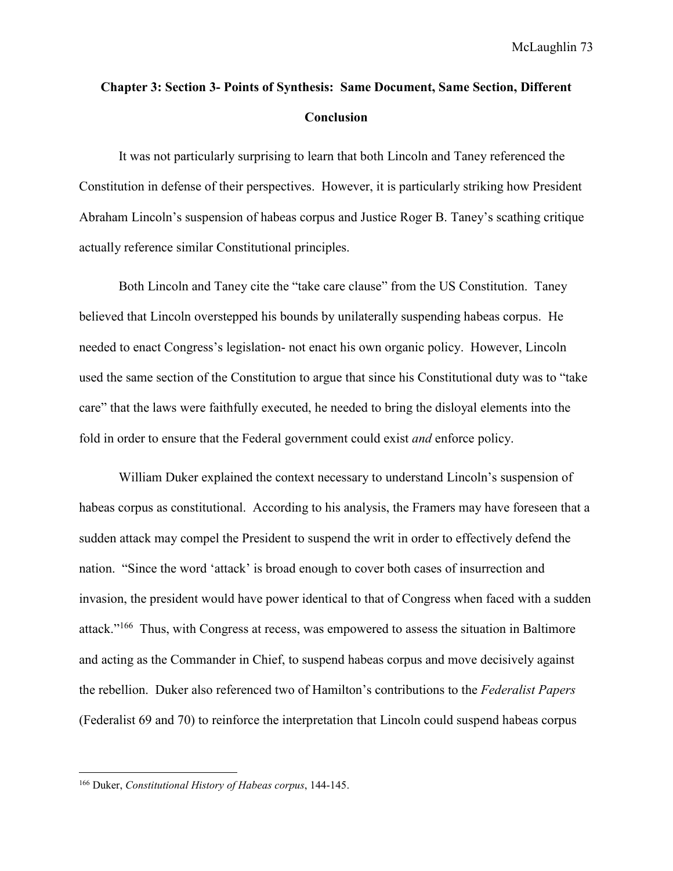# **Chapter 3: Section 3- Points of Synthesis: Same Document, Same Section, Different Conclusion**

It was not particularly surprising to learn that both Lincoln and Taney referenced the Constitution in defense of their perspectives. However, it is particularly striking how President Abraham Lincoln's suspension of habeas corpus and Justice Roger B. Taney's scathing critique actually reference similar Constitutional principles.

Both Lincoln and Taney cite the "take care clause" from the US Constitution. Taney believed that Lincoln overstepped his bounds by unilaterally suspending habeas corpus. He needed to enact Congress's legislation- not enact his own organic policy. However, Lincoln used the same section of the Constitution to argue that since his Constitutional duty was to "take care" that the laws were faithfully executed, he needed to bring the disloyal elements into the fold in order to ensure that the Federal government could exist *and* enforce policy.

William Duker explained the context necessary to understand Lincoln's suspension of habeas corpus as constitutional. According to his analysis, the Framers may have foreseen that a sudden attack may compel the President to suspend the writ in order to effectively defend the nation. "Since the word 'attack' is broad enough to cover both cases of insurrection and invasion, the president would have power identical to that of Congress when faced with a sudden attack."<sup>166</sup> Thus, with Congress at recess, was empowered to assess the situation in Baltimore and acting as the Commander in Chief, to suspend habeas corpus and move decisively against the rebellion. Duker also referenced two of Hamilton's contributions to the *Federalist Papers* (Federalist 69 and 70) to reinforce the interpretation that Lincoln could suspend habeas corpus

<sup>166</sup> Duker, *Constitutional History of Habeas corpus*, 144-145.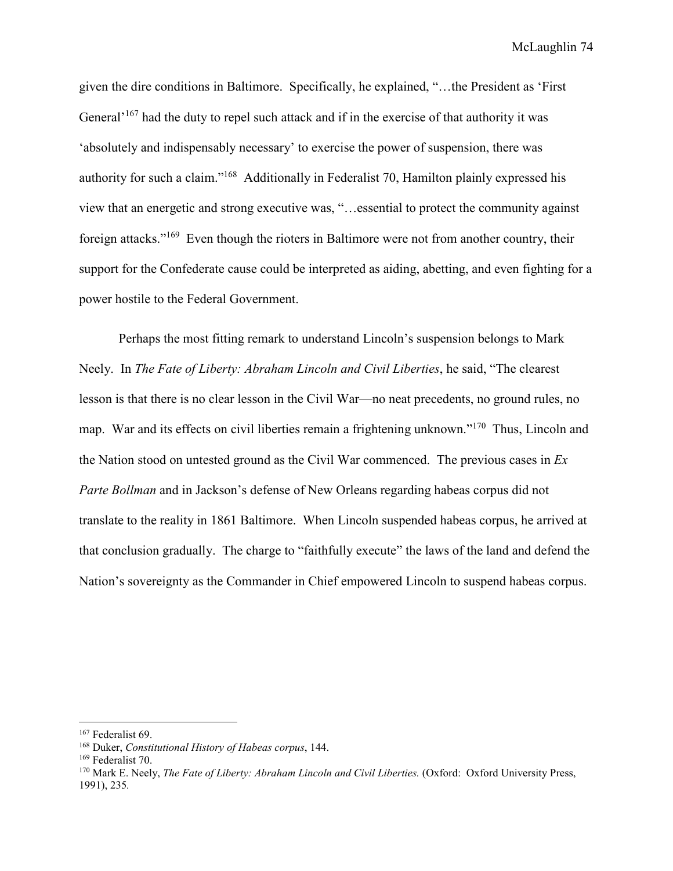McLaughlin 74

given the dire conditions in Baltimore. Specifically, he explained, "…the President as 'First General<sup> $167$ </sup> had the duty to repel such attack and if in the exercise of that authority it was 'absolutely and indispensably necessary' to exercise the power of suspension, there was authority for such a claim."<sup>168</sup> Additionally in Federalist 70, Hamilton plainly expressed his view that an energetic and strong executive was, "…essential to protect the community against foreign attacks."<sup>169</sup> Even though the rioters in Baltimore were not from another country, their support for the Confederate cause could be interpreted as aiding, abetting, and even fighting for a power hostile to the Federal Government.

Perhaps the most fitting remark to understand Lincoln's suspension belongs to Mark Neely. In *The Fate of Liberty: Abraham Lincoln and Civil Liberties*, he said, "The clearest lesson is that there is no clear lesson in the Civil War—no neat precedents, no ground rules, no map. War and its effects on civil liberties remain a frightening unknown."<sup>170</sup> Thus, Lincoln and the Nation stood on untested ground as the Civil War commenced. The previous cases in *Ex Parte Bollman* and in Jackson's defense of New Orleans regarding habeas corpus did not translate to the reality in 1861 Baltimore. When Lincoln suspended habeas corpus, he arrived at that conclusion gradually. The charge to "faithfully execute" the laws of the land and defend the Nation's sovereignty as the Commander in Chief empowered Lincoln to suspend habeas corpus.

 $\overline{a}$ 

<sup>167</sup> Federalist 69.

<sup>168</sup> Duker, *Constitutional History of Habeas corpus*, 144.

<sup>169</sup> Federalist 70.

<sup>&</sup>lt;sup>170</sup> Mark E. Neely, *The Fate of Liberty: Abraham Lincoln and Civil Liberties.* (Oxford: Oxford University Press, 1991), 235*.*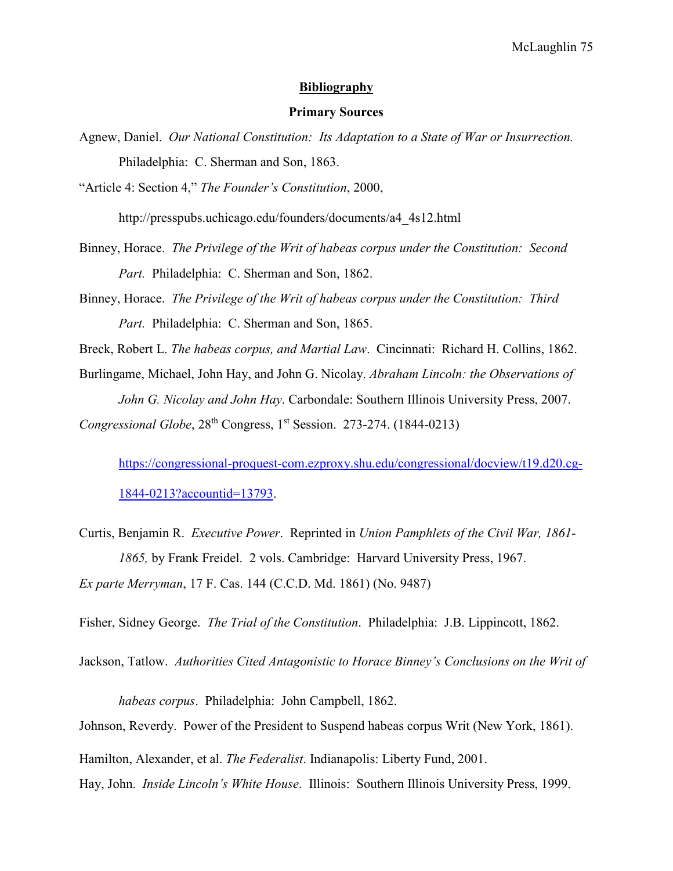## **Bibliography**

### **Primary Sources**

Agnew, Daniel. *Our National Constitution: Its Adaptation to a State of War or Insurrection.*  Philadelphia: C. Sherman and Son, 1863.

"Article 4: Section 4," *The Founder's Constitution*, 2000,

http://presspubs.uchicago.edu/founders/documents/a4\_4s12.html

- Binney, Horace. *The Privilege of the Writ of habeas corpus under the Constitution: Second Part.* Philadelphia: C. Sherman and Son, 1862.
- Binney, Horace. *The Privilege of the Writ of habeas corpus under the Constitution: Third Part.* Philadelphia: C. Sherman and Son, 1865.

Breck, Robert L. *The habeas corpus, and Martial Law*. Cincinnati: Richard H. Collins, 1862.

Burlingame, Michael, John Hay, and John G. Nicolay. *Abraham Lincoln: the Observations of John G. Nicolay and John Hay*. Carbondale: Southern Illinois University Press, 2007.

*Congressional Globe*, 28<sup>th</sup> Congress, 1<sup>st</sup> Session. 273-274. (1844-0213)

https://congressional-proquest-com.ezproxy.shu.edu/congressional/docview/t19.d20.cg-1844-0213?accountid=13793.

Curtis, Benjamin R. *Executive Power*. Reprinted in *Union Pamphlets of the Civil War, 1861- 1865,* by Frank Freidel. 2 vols. Cambridge: Harvard University Press, 1967. *Ex parte Merryman*, 17 F. Cas. 144 (C.C.D. Md. 1861) (No. 9487)

Fisher, Sidney George. *The Trial of the Constitution*. Philadelphia: J.B. Lippincott, 1862.

Jackson, Tatlow. *Authorities Cited Antagonistic to Horace Binney's Conclusions on the Writ of* 

*habeas corpus*. Philadelphia: John Campbell, 1862. Johnson, Reverdy. Power of the President to Suspend habeas corpus Writ (New York, 1861). Hamilton, Alexander, et al. *The Federalist*. Indianapolis: Liberty Fund, 2001. Hay, John. *Inside Lincoln's White House*. Illinois: Southern Illinois University Press, 1999.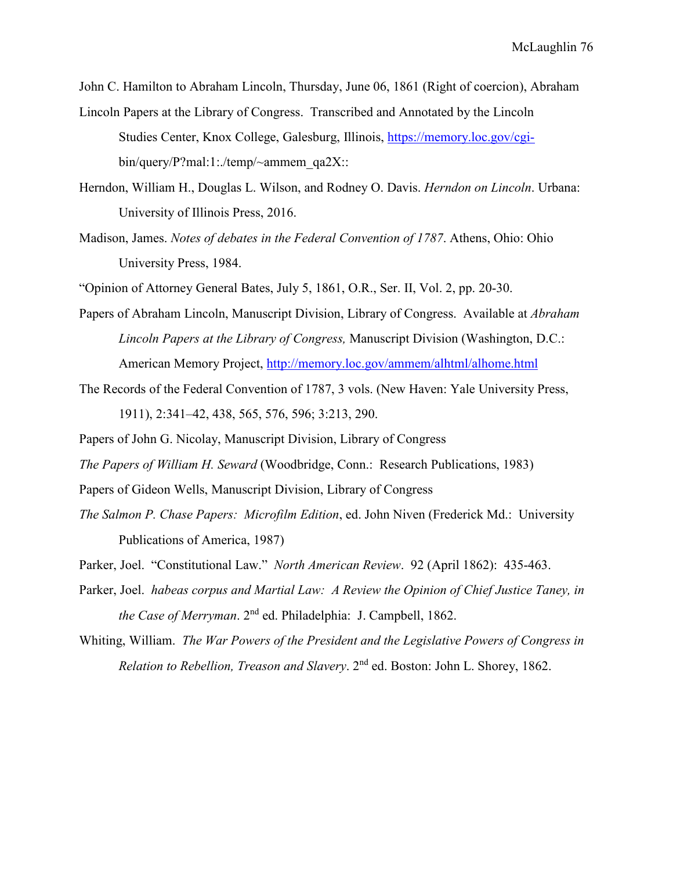John C. Hamilton to Abraham Lincoln, Thursday, June 06, 1861 (Right of coercion), Abraham

- Lincoln Papers at the Library of Congress. Transcribed and Annotated by the Lincoln Studies Center, Knox College, Galesburg, Illinois, https://memory.loc.gov/cgibin/query/P?mal:1:./temp/~ammem\_qa2X::
- Herndon, William H., Douglas L. Wilson, and Rodney O. Davis. *Herndon on Lincoln*. Urbana: University of Illinois Press, 2016.
- Madison, James. *Notes of debates in the Federal Convention of 1787*. Athens, Ohio: Ohio University Press, 1984.
- "Opinion of Attorney General Bates, July 5, 1861, O.R., Ser. II, Vol. 2, pp. 20-30.
- Papers of Abraham Lincoln, Manuscript Division, Library of Congress. Available at *Abraham Lincoln Papers at the Library of Congress,* Manuscript Division (Washington, D.C.: American Memory Project, http://memory.loc.gov/ammem/alhtml/alhome.html
- The Records of the Federal Convention of 1787, 3 vols. (New Haven: Yale University Press, 1911), 2:341–42, 438, 565, 576, 596; 3:213, 290.
- Papers of John G. Nicolay, Manuscript Division, Library of Congress
- *The Papers of William H. Seward* (Woodbridge, Conn.: Research Publications, 1983)
- Papers of Gideon Wells, Manuscript Division, Library of Congress
- *The Salmon P. Chase Papers: Microfilm Edition*, ed. John Niven (Frederick Md.: University Publications of America, 1987)
- Parker, Joel. "Constitutional Law." *North American Review*. 92 (April 1862): 435-463.
- Parker, Joel. *habeas corpus and Martial Law: A Review the Opinion of Chief Justice Taney, in the Case of Merryman*. 2nd ed. Philadelphia: J. Campbell, 1862.
- Whiting, William. *The War Powers of the President and the Legislative Powers of Congress in Relation to Rebellion, Treason and Slavery*. 2nd ed. Boston: John L. Shorey, 1862.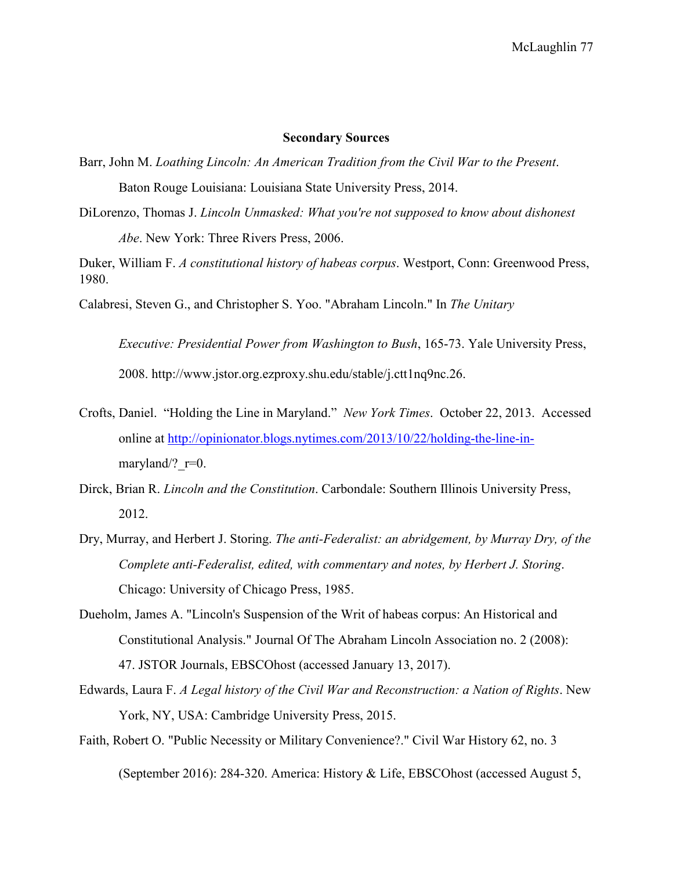### **Secondary Sources**

- Barr, John M. *Loathing Lincoln: An American Tradition from the Civil War to the Present*. Baton Rouge Louisiana: Louisiana State University Press, 2014.
- DiLorenzo, Thomas J. *Lincoln Unmasked: What you're not supposed to know about dishonest Abe*. New York: Three Rivers Press, 2006.

Duker, William F. *A constitutional history of habeas corpus*. Westport, Conn: Greenwood Press, 1980.

Calabresi, Steven G., and Christopher S. Yoo. "Abraham Lincoln." In *The Unitary* 

*Executive: Presidential Power from Washington to Bush*, 165-73. Yale University Press, 2008. http://www.jstor.org.ezproxy.shu.edu/stable/j.ctt1nq9nc.26.

- Crofts, Daniel. "Holding the Line in Maryland." *New York Times*. October 22, 2013. Accessed online at http://opinionator.blogs.nytimes.com/2013/10/22/holding-the-line-inmaryland/?  $r=0$ .
- Dirck, Brian R. *Lincoln and the Constitution*. Carbondale: Southern Illinois University Press, 2012.
- Dry, Murray, and Herbert J. Storing. *The anti-Federalist: an abridgement, by Murray Dry, of the Complete anti-Federalist, edited, with commentary and notes, by Herbert J. Storing*. Chicago: University of Chicago Press, 1985.
- Dueholm, James A. "Lincoln's Suspension of the Writ of habeas corpus: An Historical and Constitutional Analysis." Journal Of The Abraham Lincoln Association no. 2 (2008): 47. JSTOR Journals, EBSCOhost (accessed January 13, 2017).
- Edwards, Laura F. *A Legal history of the Civil War and Reconstruction: a Nation of Rights*. New York, NY, USA: Cambridge University Press, 2015.
- Faith, Robert O. "Public Necessity or Military Convenience?." Civil War History 62, no. 3 (September 2016): 284-320. America: History & Life, EBSCOhost (accessed August 5,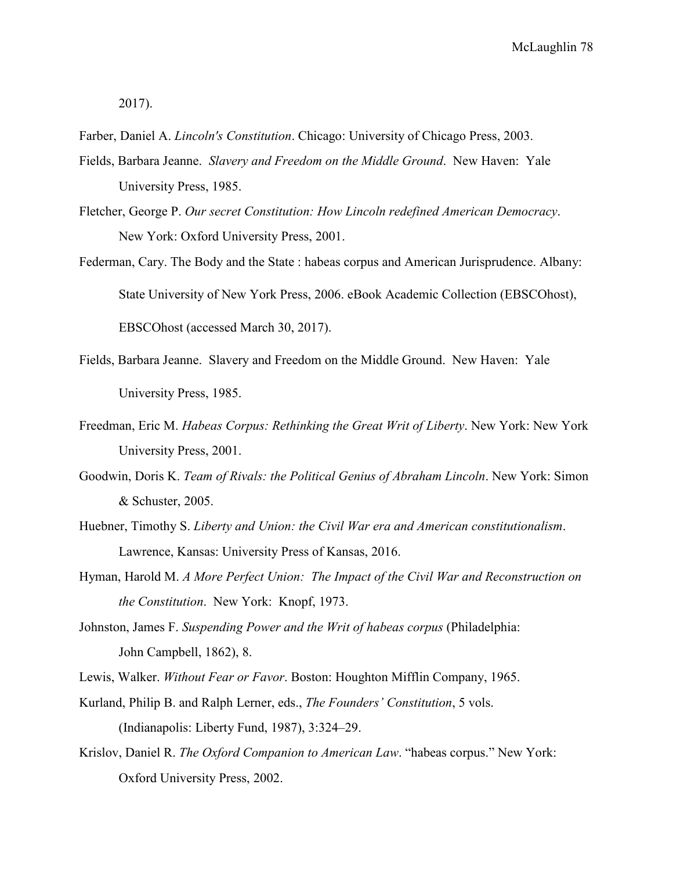2017).

Farber, Daniel A. *Lincoln's Constitution*. Chicago: University of Chicago Press, 2003.

- Fields, Barbara Jeanne. *Slavery and Freedom on the Middle Ground*. New Haven: Yale University Press, 1985.
- Fletcher, George P. *Our secret Constitution: How Lincoln redefined American Democracy*. New York: Oxford University Press, 2001.
- Federman, Cary. The Body and the State : habeas corpus and American Jurisprudence. Albany: State University of New York Press, 2006. eBook Academic Collection (EBSCOhost), EBSCOhost (accessed March 30, 2017).
- Fields, Barbara Jeanne. Slavery and Freedom on the Middle Ground. New Haven: Yale University Press, 1985.
- Freedman, Eric M. *Habeas Corpus: Rethinking the Great Writ of Liberty*. New York: New York University Press, 2001.
- Goodwin, Doris K. *Team of Rivals: the Political Genius of Abraham Lincoln*. New York: Simon & Schuster, 2005.
- Huebner, Timothy S. *Liberty and Union: the Civil War era and American constitutionalism*. Lawrence, Kansas: University Press of Kansas, 2016.
- Hyman, Harold M. *A More Perfect Union: The Impact of the Civil War and Reconstruction on the Constitution*. New York: Knopf, 1973.
- Johnston, James F. *Suspending Power and the Writ of habeas corpus* (Philadelphia: John Campbell, 1862), 8.

Lewis, Walker. *Without Fear or Favor*. Boston: Houghton Mifflin Company, 1965.

- Kurland, Philip B. and Ralph Lerner, eds., *The Founders' Constitution*, 5 vols. (Indianapolis: Liberty Fund, 1987), 3:324–29.
- Krislov, Daniel R. *The Oxford Companion to American Law*. "habeas corpus." New York: Oxford University Press, 2002.